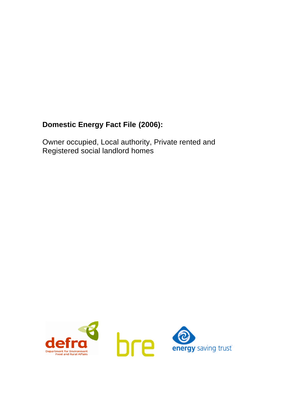# **Domestic Energy Fact File (2006):**

Owner occupied, Local authority, Private rented and Registered social landlord homes

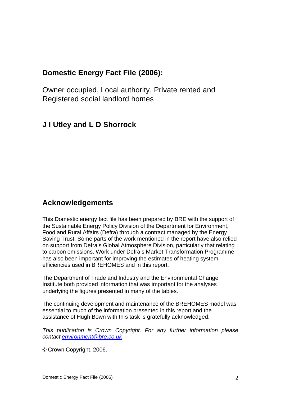## **Domestic Energy Fact File (2006):**

Owner occupied, Local authority, Private rented and Registered social landlord homes

### **J I Utley and L D Shorrock**

### **Acknowledgements**

This Domestic energy fact file has been prepared by BRE with the support of the Sustainable Energy Policy Division of the Department for Environment, Food and Rural Affairs (Defra) through a contract managed by the Energy Saving Trust. Some parts of the work mentioned in the report have also relied on support from Defra's Global Atmosphere Division, particularly that relating to carbon emissions. Work under Defra's Market Transformation Programme has also been important for improving the estimates of heating system efficiencies used in BREHOMES and in this report.

The Department of Trade and Industry and the Environmental Change Institute both provided information that was important for the analyses underlying the figures presented in many of the tables.

The continuing development and maintenance of the BREHOMES model was essential to much of the information presented in this report and the assistance of Hugh Bown with this task is gratefully acknowledged.

*This publication is Crown Copyright. For any further information please contact environment@bre.co.uk*

© Crown Copyright. 2006.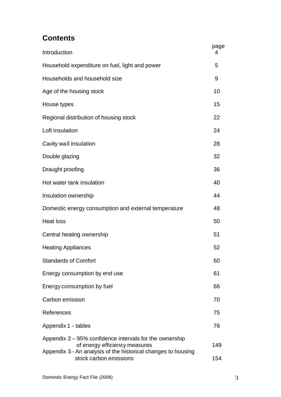## **Contents**

| Introduction                                                                                                                                                                        | page<br>4  |  |
|-------------------------------------------------------------------------------------------------------------------------------------------------------------------------------------|------------|--|
| Household expenditure on fuel, light and power                                                                                                                                      | 5          |  |
| Households and household size                                                                                                                                                       | 9          |  |
| Age of the housing stock                                                                                                                                                            | 10         |  |
| House types                                                                                                                                                                         | 15         |  |
| Regional distribution of housing stock                                                                                                                                              | 22         |  |
| Loft insulation                                                                                                                                                                     | 24         |  |
| Cavity wall insulation                                                                                                                                                              | 28         |  |
| Double glazing                                                                                                                                                                      | 32         |  |
| Draught proofing                                                                                                                                                                    | 36         |  |
| Hot water tank insulation                                                                                                                                                           | 40         |  |
| Insulation ownership                                                                                                                                                                | 44         |  |
| Domestic energy consumption and external temperature                                                                                                                                | 48         |  |
| <b>Heat loss</b>                                                                                                                                                                    | 50         |  |
| Central heating ownership                                                                                                                                                           | 51         |  |
| <b>Heating Appliances</b>                                                                                                                                                           | 52         |  |
| <b>Standards of Comfort</b>                                                                                                                                                         | 60         |  |
| Energy consumption by end use                                                                                                                                                       | 61         |  |
| Energy consumption by fuel                                                                                                                                                          | 66         |  |
| Carbon emission                                                                                                                                                                     | 70         |  |
| References                                                                                                                                                                          | 75         |  |
| Appendix 1 - tables                                                                                                                                                                 | 76         |  |
| Appendix 2 – 95% confidence intervals for the ownership<br>of energy efficiency measures<br>Appendix 3 - An analysis of the historical changes to housing<br>stock carbon emissions | 149<br>154 |  |
|                                                                                                                                                                                     |            |  |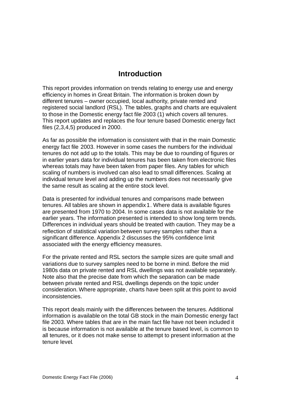#### **Introduction**

This report provides information on trends relating to energy use and energy efficiency in homes in Great Britain. The information is broken down by different tenures – owner occupied, local authority, private rented and registered social landlord (RSL). The tables, graphs and charts are equivalent to those in the Domestic energy fact file 2003 (1) which covers all tenures. This report updates and replaces the four tenure based Domestic energy fact files (2,3,4,5) produced in 2000.

As far as possible the information is consistent with that in the main Domestic energy fact file 2003. However in some cases the numbers for the individual tenures do not add up to the totals. This may be due to rounding of figures or in earlier years data for individual tenures has been taken from electronic files whereas totals may have been taken from paper files. Any tables for which scaling of numbers is involved can also lead to small differences. Scaling at individual tenure level and adding up the numbers does not necessarily give the same result as scaling at the entire stock level.

Data is presented for individual tenures and comparisons made between tenures. All tables are shown in appendix 1. Where data is available figures are presented from 1970 to 2004. In some cases data is not available for the earlier years. The information presented is intended to show long term trends. Differences in individual years should be treated with caution. They may be a reflection of statistical variation between survey samples rather than a significant difference. Appendix 2 discusses the 95% confidence limit associated with the energy efficiency measures.

For the private rented and RSL sectors the sample sizes are quite small and variations due to survey samples need to be borne in mind. Before the mid 1980s data on private rented and RSL dwellings was not available separately. Note also that the precise date from which the separation can be made between private rented and RSL dwellings depends on the topic under consideration. Where appropriate, charts have been split at this point to avoid inconsistencies.

This report deals mainly with the differences between the tenures. Additional information is available on the total GB stock in the main Domestic energy fact file 2003. Where tables that are in the main fact file have not been included it is because information is not available at the tenure based level, is common to all tenures, or it does not make sense to attempt to present information at the tenure level.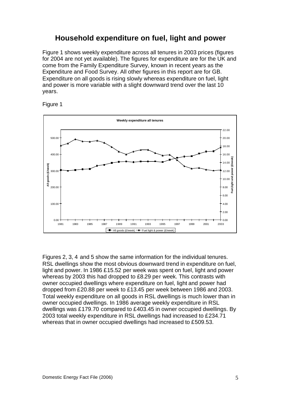### **Household expenditure on fuel, light and power**

Figure 1 shows weekly expenditure across all tenures in 2003 prices (figures for 2004 are not yet available). The figures for expenditure are for the UK and come from the Family Expenditure Survey, known in recent years as the Expenditure and Food Survey. All other figures in this report are for GB. Expenditure on all goods is rising slowly whereas expenditure on fuel, light and power is more variable with a slight downward trend over the last 10 years.





Figures 2, 3, 4 and 5 show the same information for the individual tenures. RSL dwellings show the most obvious downward trend in expenditure on fuel, light and power. In 1986 £15.52 per week was spent on fuel, light and power whereas by 2003 this had dropped to £8.29 per week. This contrasts with owner occupied dwellings where expenditure on fuel, light and power had dropped from £20.88 per week to £13.45 per week between 1986 and 2003. Total weekly expenditure on all goods in RSL dwellings is much lower than in owner occupied dwellings. In 1986 average weekly expenditure in RSL dwellings was £179.70 compared to £403.45 in owner occupied dwellings. By 2003 total weekly expenditure in RSL dwellings had increased to £234.71 whereas that in owner occupied dwellings had increased to £509.53.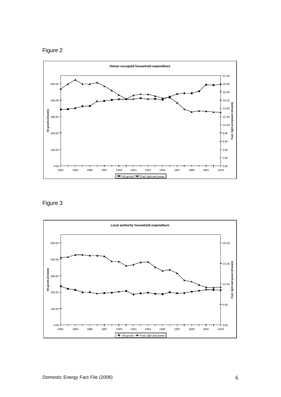



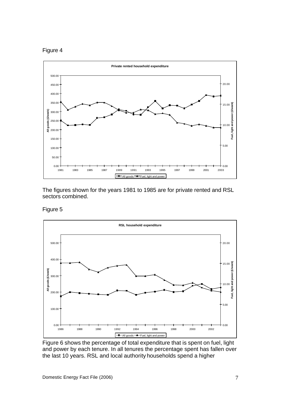



The figures shown for the years 1981 to 1985 are for private rented and RSL sectors combined.

Figure 5



Figure 6 shows the percentage of total expenditure that is spent on fuel, light and power by each tenure. In all tenures the percentage spent has fallen over the last 10 years. RSL and local authority households spend a higher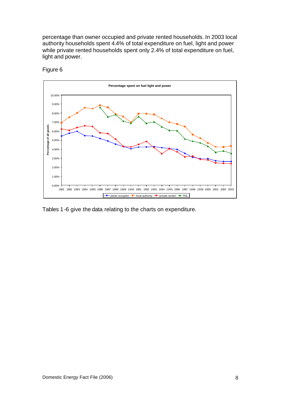percentage than owner occupied and private rented households. In 2003 local authority households spent 4.4% of total expenditure on fuel, light and power while private rented households spent only 2.4% of total expenditure on fuel, light and power.



Figure 6

Tables 1-6 give the data relating to the charts on expenditure.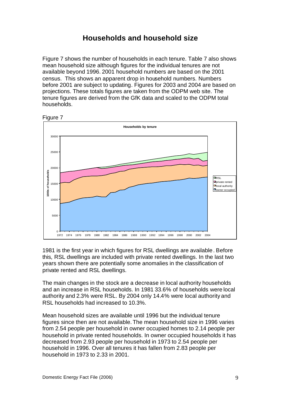### **Households and household size**

Figure 7 shows the number of households in each tenure. Table 7 also shows mean household size although figures for the individual tenures are not available beyond 1996. 2001 household numbers are based on the 2001 census. This shows an apparent drop in household numbers. Numbers before 2001 are subject to updating. Figures for 2003 and 2004 are based on projections. These totals figures are taken from the ODPM web site. The tenure figures are derived from the GfK data and scaled to the ODPM total households.



Figure 7

1981 is the first year in which figures for RSL dwellings are available. Before this, RSL dwellings are included with private rented dwellings. In the last two years shown there are potentially some anomalies in the classification of private rented and RSL dwellings.

The main changes in the stock are a decrease in local authority households and an increase in RSL households. In 1981 33.6% of households were local authority and 2.3% were RSL. By 2004 only 14.4% were local authority and RSL households had increased to 10.3%.

Mean household sizes are available until 1996 but the individual tenure figures since then are not available. The mean household size in 1996 varies from 2.54 people per household in owner occupied homes to 2.14 people per household in private rented households. In owner occupied households it has decreased from 2.93 people per household in 1973 to 2.54 people per household in 1996. Over all tenures it has fallen from 2.83 people per household in 1973 to 2.33 in 2001.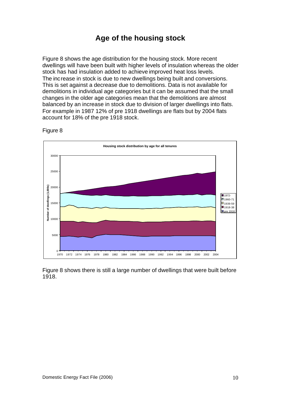## **Age of the housing stock**

Figure 8 shows the age distribution for the housing stock. More recent dwellings will have been built with higher levels of insulation whereas the older stock has had insulation added to achieve improved heat loss levels. The increase in stock is due to new dwellings being built and conversions. This is set against a decrease due to demolitions. Data is not available for demolitions in individual age categories but it can be assumed that the small changes in the older age categories mean that the demolitions are almost balanced by an increase in stock due to division of larger dwellings into flats. For example in 1987 12% of pre 1918 dwellings are flats but by 2004 flats account for 18% of the pre 1918 stock.



Figure 8

Figure 8 shows there is still a large number of dwellings that were built before 1918.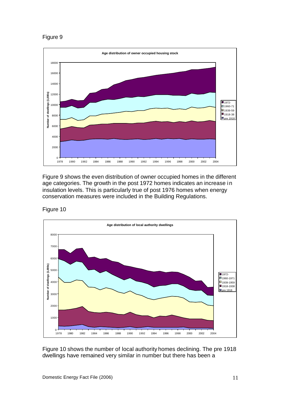

Figure 9 shows the even distribution of owner occupied homes in the different age categories. The growth in the post 1972 homes indicates an increase in insulation levels. This is particularly true of post 1976 homes when energy conservation measures were included in the Building Regulations.

Figure 10



Figure 10 shows the number of local authority homes declining. The pre 1918 dwellings have remained very similar in number but there has been a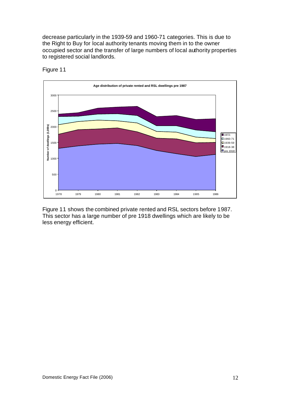decrease particularly in the 1939-59 and 1960-71 categories. This is due to the Right to Buy for local authority tenants moving them in to the owner occupied sector and the transfer of large numbers of local authority properties to registered social landlords.



Figure 11

Figure 11 shows the combined private rented and RSL sectors before 1987. This sector has a large number of pre 1918 dwellings which are likely to be less energy efficient.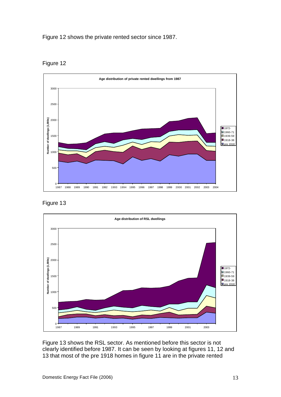Figure 12 shows the private rented sector since 1987.



Figure 12





Figure 13 shows the RSL sector. As mentioned before this sector is not clearly identified before 1987. It can be seen by looking at figures 11, 12 and 13 that most of the pre 1918 homes in figure 11 are in the private rented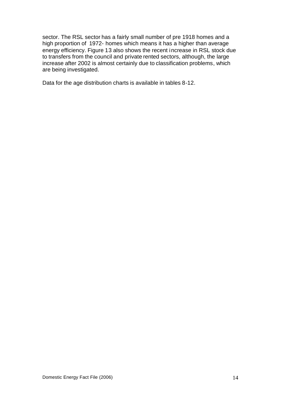sector. The RSL sector has a fairly small number of pre 1918 homes and a high proportion of 1972- homes which means it has a higher than average energy efficiency. Figure 13 also shows the recent increase in RSL stock due to transfers from the council and private rented sectors, although, the large increase after 2002 is almost certainly due to classification problems, which are being investigated.

Data for the age distribution charts is available in tables 8-12.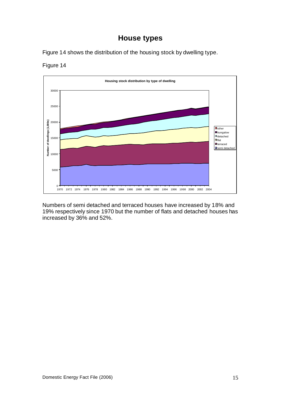## **House types**

Figure 14 shows the distribution of the housing stock by dwelling type.





Numbers of semi detached and terraced houses have increased by 18% and 19% respectively since 1970 but the number of flats and detached houses has increased by 36% and 52%.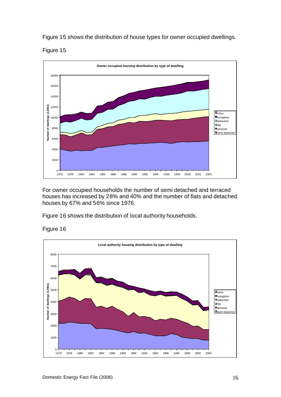Figure 15 shows the distribution of house types for owner occupied dwellings.





For owner occupied households the number of semi detached and terraced houses has increased by 28% and 40% and the number of flats and detached houses by 67% and 56% since 1976.

Figure 16 shows the distribution of local authority households.



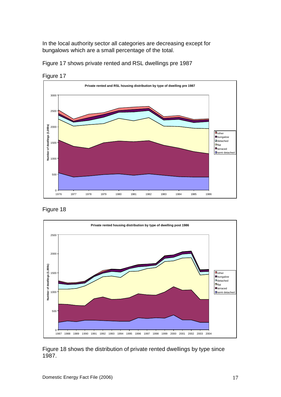In the local authority sector all categories are decreasing except for bungalows which are a small percentage of the total.

Figure 17 shows private rented and RSL dwellings pre 1987



Figure 17





Figure 18 shows the distribution of private rented dwellings by type since 1987.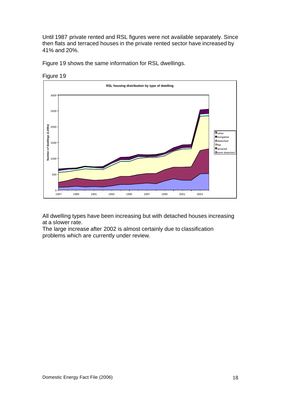Until 1987 private rented and RSL figures were not available separately. Since then flats and terraced houses in the private rented sector have increased by 41% and 20%.

Figure 19 shows the same information for RSL dwellings.



Figure 19

All dwelling types have been increasing but with detached houses increasing at a slower rate.

The large increase after 2002 is almost certainly due to classification problems which are currently under review.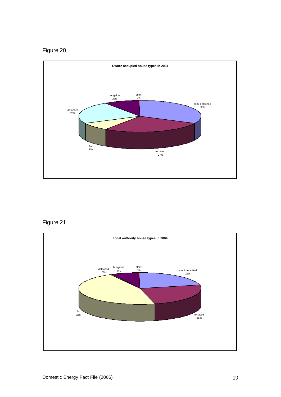

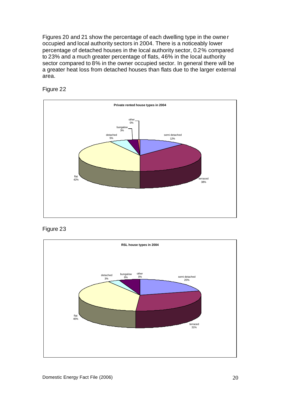Figures 20 and 21 show the percentage of each dwelling type in the owner occupied and local authority sectors in 2004. There is a noticeably lower percentage of detached houses in the local authority sector, 0.2% compared to 23% and a much greater percentage of flats, 46% in the local authority sector compared to 8% in the owner occupied sector. In general there will be a greater heat loss from detached houses than flats due to the larger external area.





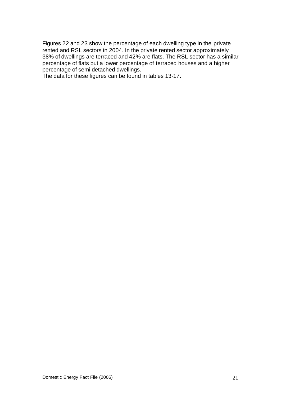Figures 22 and 23 show the percentage of each dwelling type in the private rented and RSL sectors in 2004. In the private rented sector approximately 38% of dwellings are terraced and 42% are flats. The RSL sector has a similar percentage of flats but a lower percentage of terraced houses and a higher percentage of semi detached dwellings.

The data for these figures can be found in tables 13-17.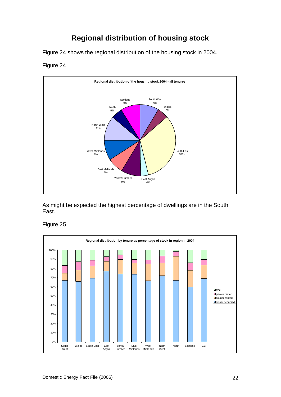# **Regional distribution of housing stock**

Figure 24 shows the regional distribution of the housing stock in 2004.

#### Figure 24



As might be expected the highest percentage of dwellings are in the South East.

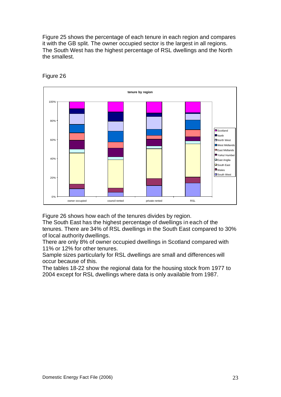Figure 25 shows the percentage of each tenure in each region and compares it with the GB split. The owner occupied sector is the largest in all regions. The South West has the highest percentage of RSL dwellings and the North the smallest.



Figure 26

Figure 26 shows how each of the tenures divides by region.

The South East has the highest percentage of dwellings in each of the tenures. There are 34% of RSL dwellings in the South East compared to 30% of local authority dwellings.

There are only 8% of owner occupied dwellings in Scotland compared with 11% or 12% for other tenures.

Sample sizes particularly for RSL dwellings are small and differences will occur because of this.

The tables 18-22 show the regional data for the housing stock from 1977 to 2004 except for RSL dwellings where data is only available from 1987.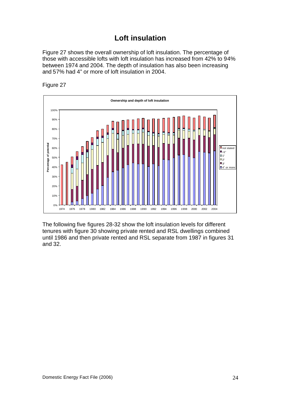## **Loft insulation**

Figure 27 shows the overall ownership of loft insulation. The percentage of those with accessible lofts with loft insulation has increased from 42% to 94% between 1974 and 2004. The depth of insulation has also been increasing and 57% had 4" or more of loft insulation in 2004.





The following five figures 28-32 show the loft insulation levels for different tenures with figure 30 showing private rented and RSL dwellings combined until 1986 and then private rented and RSL separate from 1987 in figures 31 and 32.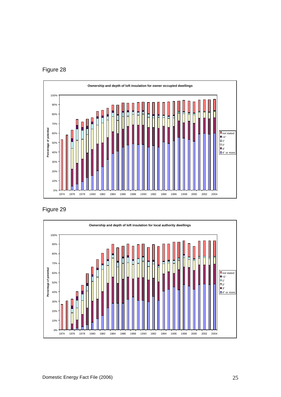



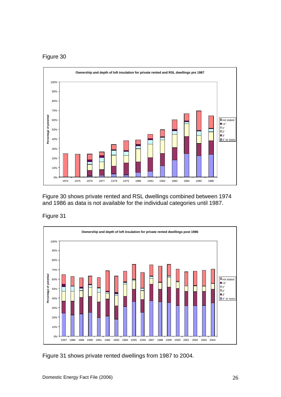



Figure 30 shows private rented and RSL dwellings combined between 1974 and 1986 as data is not available for the individual categories until 1987.





Figure 31 shows private rented dwellings from 1987 to 2004.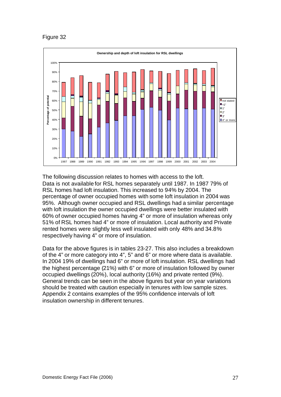

The following discussion relates to homes with access to the loft. Data is not available for RSL homes separately until 1987. In 1987 79% of RSL homes had loft insulation. This increased to 94% by 2004. The percentage of owner occupied homes with some loft insulation in 2004 was 95%. Although owner occupied and RSL dwellings had a similar percentage with loft insulation the owner occupied dwellings were better insulated with 60% of owner occupied homes having 4" or more of insulation whereas only 51% of RSL homes had 4" or more of insulation. Local authority and Private rented homes were slightly less well insulated with only 48% and 34.8% respectively having 4" or more of insulation.

Data for the above figures is in tables 23-27. This also includes a breakdown of the 4" or more category into 4", 5" and 6" or more where data is available. In 2004 19% of dwellings had 6" or more of loft insulation. RSL dwellings had the highest percentage (21%) with 6" or more of insulation followed by owner occupied dwellings (20%), local authority (16%) and private rented (9%). General trends can be seen in the above figures but year on year variations should be treated with caution especially in tenures with low sample sizes. Appendix 2 contains examples of the 95% confidence intervals of loft insulation ownership in different tenures.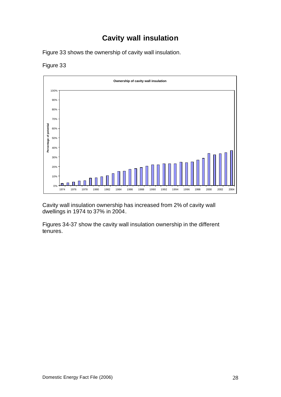## **Cavity wall insulation**

Figure 33 shows the ownership of cavity wall insulation.





Cavity wall insulation ownership has increased from 2% of cavity wall dwellings in 1974 to 37% in 2004.

Figures 34-37 show the cavity wall insulation ownership in the different tenures.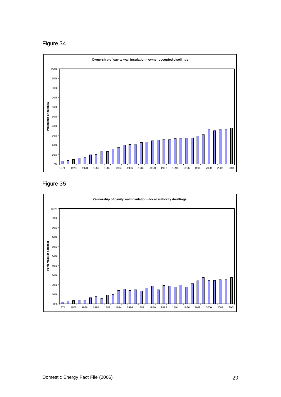Figure 34



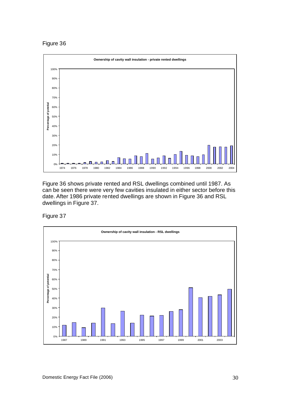Figure 36



Figure 36 shows private rented and RSL dwellings combined until 1987. As can be seen there were very few cavities insulated in either sector before this date. After 1986 private rented dwellings are shown in Figure 36 and RSL dwellings in Figure 37.

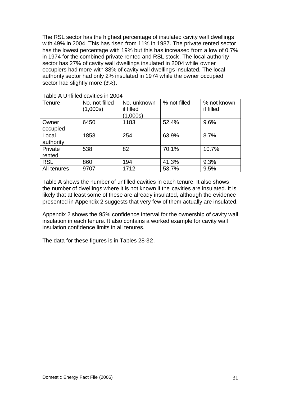The RSL sector has the highest percentage of insulated cavity wall dwellings with 49% in 2004. This has risen from 11% in 1987. The private rented sector has the lowest percentage with 19% but this has increased from a low of 0.7% in 1974 for the combined private rented and RSL stock. The local authority sector has 27% of cavity wall dwellings insulated in 2004 while owner occupiers had more with 38% of cavity wall dwellings insulated. The local authority sector had only 2% insulated in 1974 while the owner occupied sector had slightly more (3%).

| Tenure             | No. not filled<br>(1,000s) | No. unknown<br>if filled<br>(1,000s) | % not filled | % not known<br>if filled |
|--------------------|----------------------------|--------------------------------------|--------------|--------------------------|
| Owner<br>occupied  | 6450                       | 1183                                 | 52.4%        | 9.6%                     |
| Local<br>authority | 1858                       | 254                                  | 63.9%        | 8.7%                     |
| Private<br>rented  | 538                        | 82                                   | 70.1%        | 10.7%                    |
| <b>RSL</b>         | 860                        | 194                                  | 41.3%        | 9.3%                     |
| All tenures        | 9707                       | 1712                                 | 53.7%        | 9.5%                     |

Table A Unfilled cavities in 2004

Table A shows the number of unfilled cavities in each tenure. It also shows the number of dwellings where it is not known if the cavities are insulated. It is likely that at least some of these are already insulated, although the evidence presented in Appendix 2 suggests that very few of them actually are insulated.

Appendix 2 shows the 95% confidence interval for the ownership of cavity wall insulation in each tenure. It also contains a worked example for cavity wall insulation confidence limits in all tenures.

The data for these figures is in Tables 28-32.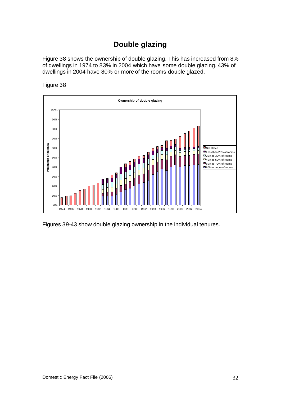## **Double glazing**

Figure 38 shows the ownership of double glazing. This has increased from 8% of dwellings in 1974 to 83% in 2004 which have some double glazing. 43% of dwellings in 2004 have 80% or more of the rooms double glazed.





Figures 39-43 show double glazing ownership in the individual tenures.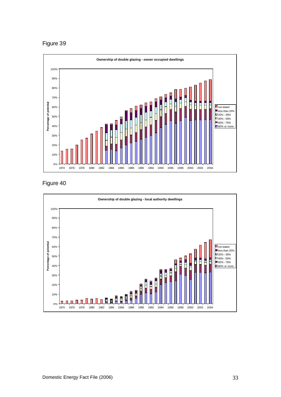Figure 39



Figure 40

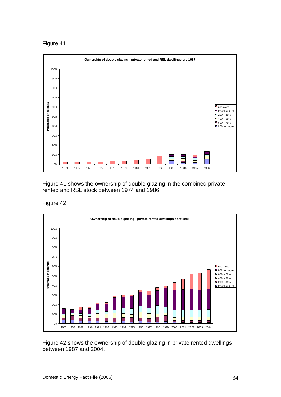Figure 41



Figure 41 shows the ownership of double glazing in the combined private rented and RSL stock between 1974 and 1986.





Figure 42 shows the ownership of double glazing in private rented dwellings between 1987 and 2004.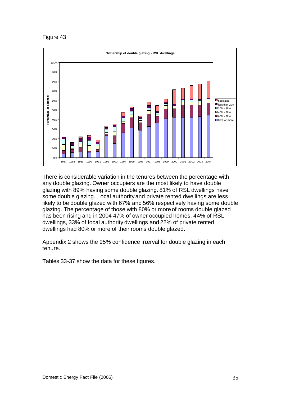

There is considerable variation in the tenures between the percentage with any double glazing. Owner occupiers are the most likely to have double glazing with 89% having some double glazing. 81% of RSL dwellings have some double glazing. Local authority and private rented dwellings are less likely to be double glazed with 67% and 56% respectively having some double glazing. The percentage of those with 80% or more of rooms double glazed has been rising and in 2004 47% of owner occupied homes, 44% of RSL dwellings, 33% of local authority dwellings and 22% of private rented dwellings had 80% or more of their rooms double glazed.

Appendix 2 shows the 95% confidence interval for double glazing in each tenure.

Tables 33-37 show the data for these figures.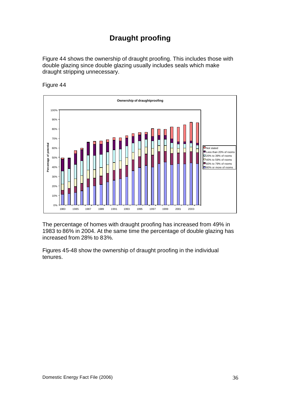# **Draught proofing**

Figure 44 shows the ownership of draught proofing. This includes those with double glazing since double glazing usually includes seals which make draught stripping unnecessary.





The percentage of homes with draught proofing has increased from 49% in 1983 to 86% in 2004. At the same time the percentage of double glazing has increased from 28% to 83%.

Figures 45-48 show the ownership of draught proofing in the individual tenures.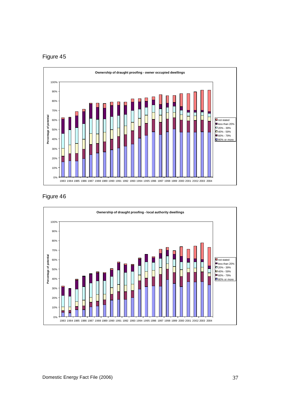





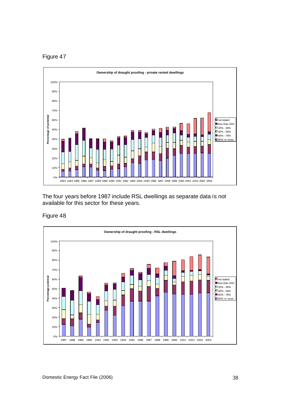



The four years before 1987 include RSL dwellings as separate data is not available for this sector for these years.

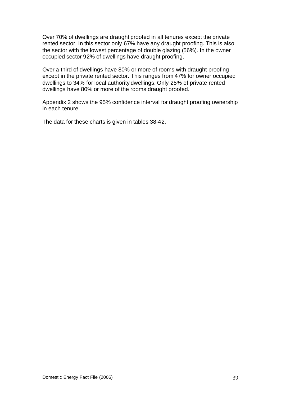Over 70% of dwellings are draught proofed in all tenures except the private rented sector. In this sector only 67% have any draught proofing. This is also the sector with the lowest percentage of double glazing (56%). In the owner occupied sector 92% of dwellings have draught proofing.

Over a third of dwellings have 80% or more of rooms with draught proofing except in the private rented sector. This ranges from 47% for owner occupied dwellings to 34% for local authority dwellings. Only 25% of private rented dwellings have 80% or more of the rooms draught proofed.

Appendix 2 shows the 95% confidence interval for draught proofing ownership in each tenure.

The data for these charts is given in tables 38-42.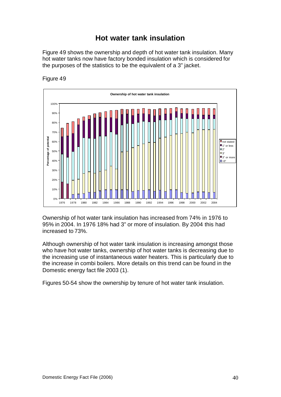## **Hot water tank insulation**

Figure 49 shows the ownership and depth of hot water tank insulation. Many hot water tanks now have factory bonded insulation which is considered for the purposes of the statistics to be the equivalent of a 3" jacket.





Ownership of hot water tank insulation has increased from 74% in 1976 to 95% in 2004. In 1976 18% had 3" or more of insulation. By 2004 this had increased to 73%.

Although ownership of hot water tank insulation is increasing amongst those who have hot water tanks, ownership of hot water tanks is decreasing due to the increasing use of instantaneous water heaters. This is particularly due to the increase in combi boilers. More details on this trend can be found in the Domestic energy fact file 2003 (1).

Figures 50-54 show the ownership by tenure of hot water tank insulation.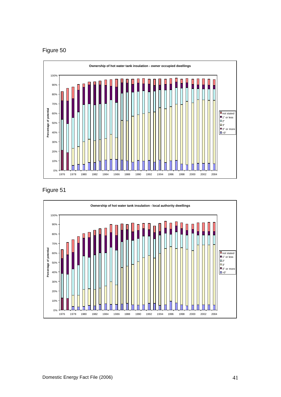



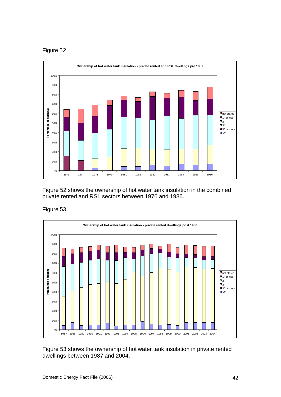

Figure 52 shows the ownership of hot water tank insulation in the combined private rented and RSL sectors between 1976 and 1986.

### Figure 53



Figure 53 shows the ownership of hot water tank insulation in private rented dwellings between 1987 and 2004.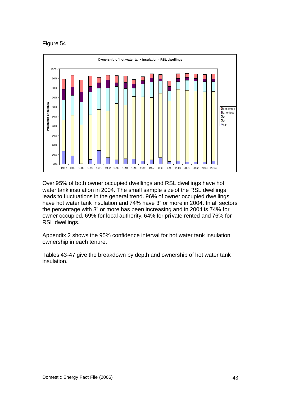

Over 95% of both owner occupied dwellings and RSL dwellings have hot water tank insulation in 2004. The small sample size of the RSL dwellings leads to fluctuations in the general trend. 96% of owner occupied dwellings have hot water tank insulation and 74% have 3" or more in 2004. In all sectors the percentage with 3" or more has been increasing and in 2004 is 74% for owner occupied, 69% for local authority, 64% for pri vate rented and 76% for RSL dwellings.

Appendix 2 shows the 95% confidence interval for hot water tank insulation ownership in each tenure.

Tables 43-47 give the breakdown by depth and ownership of hot water tank insulation.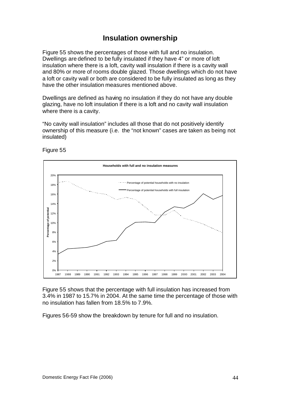### **Insulation ownership**

Figure 55 shows the percentages of those with full and no insulation. Dwellings are defined to be fully insulated if they have 4" or more of loft insulation where there is a loft, cavity wall insulation if there is a cavity wall and 80% or more of rooms double glazed. Those dwellings which do not have a loft or cavity wall or both are considered to be fully insulated as long as they have the other insulation measures mentioned above.

Dwellings are defined as having no insulation if they do not have any double glazing, have no loft insulation if there is a loft and no cavity wall insulation where there is a cavity.

"No cavity wall insulation" includes all those that do not positively identify ownership of this measure (i.e. the "not known" cases are taken as being not insulated)



Figure 55

Figure 55 shows that the percentage with full insulation has increased from 3.4% in 1987 to 15.7% in 2004. At the same time the percentage of those with no insulation has fallen from 18.5% to 7.9%.

Figures 56-59 show the breakdown by tenure for full and no insulation.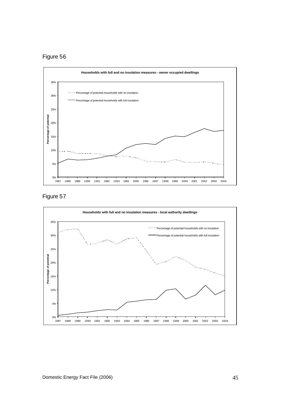



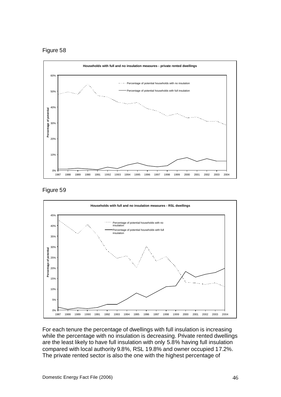





For each tenure the percentage of dwellings with full insulation is increasing while the percentage with no insulation is decreasing. Private rented dwellings are the least likely to have full insulation with only 5.8% having full insulation compared with local authority 9.8%, RSL 19.8% and owner occupied 17.2%. The private rented sector is also the one with the highest percentage of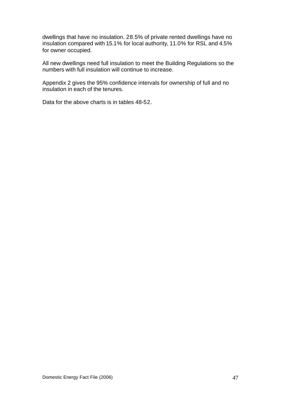dwellings that have no insulation. 28.5% of private rented dwellings have no insulation compared with 15.1% for local authority, 11.0% for RSL and 4.5% for owner occupied.

All new dwellings need full insulation to meet the Building Regulations so the numbers with full insulation will continue to increase.

Appendix 2 gives the 95% confidence intervals for ownership of full and no insulation in each of the tenures.

Data for the above charts is in tables 48-52.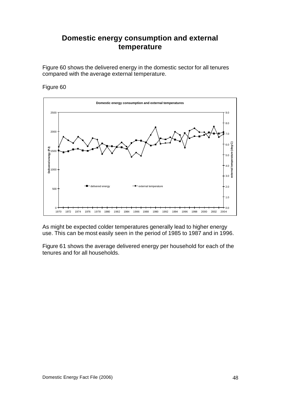## **Domestic energy consumption and external temperature**

Figure 60 shows the delivered energy in the domestic sector for all tenures compared with the average external temperature.

#### Figure 60



As might be expected colder temperatures generally lead to higher energy use. This can be most easily seen in the period of 1985 to 1987 and in 1996.

Figure 61 shows the average delivered energy per household for each of the tenures and for all households.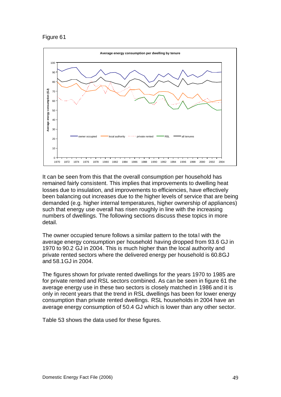

It can be seen from this that the overall consumption per household has remained fairly consistent. This implies that improvements to dwelling heat losses due to insulation, and improvements to efficiencies, have effectively been balancing out increases due to the higher levels of service that are being demanded (e.g. higher internal temperatures, higher ownership of appliances) such that energy use overall has risen roughly in line with the increasing numbers of dwellings. The following sections discuss these topics in more detail.

The owner occupied tenure follows a similar pattern to the total with the average energy consumption per household having dropped from 93.6 GJ in 1970 to 90.2 GJ in 2004. This is much higher than the local authority and private rented sectors where the delivered energy per household is 60.8GJ and 58.1GJ in 2004.

The figures shown for private rented dwellings for the years 1970 to 1985 are for private rented and RSL sectors combined. As can be seen in figure 61 the average energy use in these two sectors is closely matched in 1986 and it is only in recent years that the trend in RSL dwellings has been for lower energy consumption than private rented dwellings. RSL households in 2004 have an average energy consumption of 50.4 GJ which is lower than any other sector.

Table 53 shows the data used for these figures.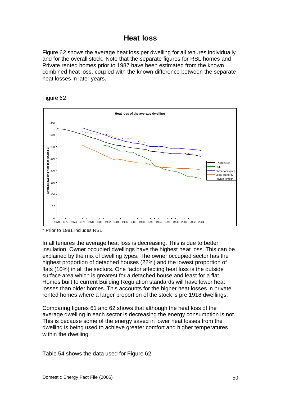## **Heat loss**

Figure 62 shows the average heat loss per dwelling for all tenures individually and for the overall stock. Note that the separate figures for RSL homes and Private rented homes prior to 1987 have been estimated from the known combined heat loss, coupled with the known difference between the separate heat losses in later years.





\* Prior to 1981 includes RSL

In all tenures the average heat loss is decreasing. This is due to better insulation. Owner occupied dwellings have the highest heat loss. This can be explained by the mix of dwelling types. The owner occupied sector has the highest proportion of detached houses (22%) and the lowest proportion of flats (10%) in all the sectors. One factor affecting heat loss is the outside surface area which is greatest for a detached house and least for a flat. Homes built to current Building Regulation standards will have lower heat losses than older homes. This accounts for the higher heat losses in private rented homes where a larger proportion of the stock is pre 1918 dwellings.

Comparing figures 61 and 62 shows that although the heat loss of the average dwelling in each sector is decreasing the energy consumption is not. This is because some of the energy saved in lower heat losses from the dwelling is being used to achieve greater comfort and higher temperatures within the dwelling.

Table 54 shows the data used for Figure 62.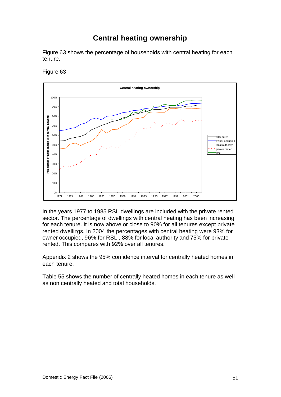## **Central heating ownership**

Figure 63 shows the percentage of households with central heating for each tenure.



Figure 63

In the years 1977 to 1985 RSL dwellings are included with the private rented sector. The percentage of dwellings with central heating has been increasing for each tenure. It is now above or close to 90% for all tenures except private rented dwellings. In 2004 the percentages with central heating were 93% for owner occupied, 96% for RSL , 88% for local authority and 75% for private rented. This compares with 92% over all tenures.

Appendix 2 shows the 95% confidence interval for centrally heated homes in each tenure.

Table 55 shows the number of centrally heated homes in each tenure as well as non centrally heated and total households.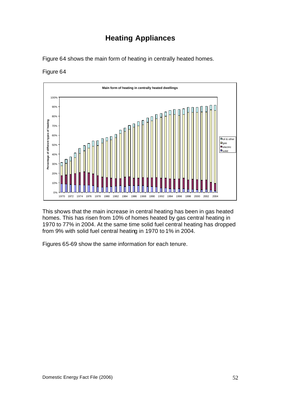# **Heating Appliances**

Figure 64 shows the main form of heating in centrally heated homes.

### Figure 64



This shows that the main increase in central heating has been in gas heated homes. This has risen from 10% of homes heated by gas central heating in 1970 to 77% in 2004. At the same time solid fuel central heating has dropped from 9% with solid fuel central heating in 1970 to 1% in 2004.

Figures 65-69 show the same information for each tenure.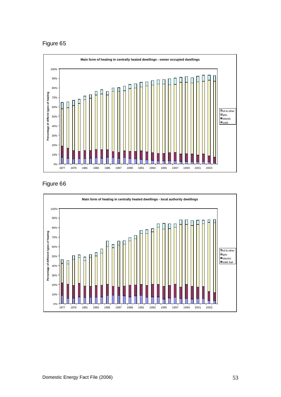

Figure 66

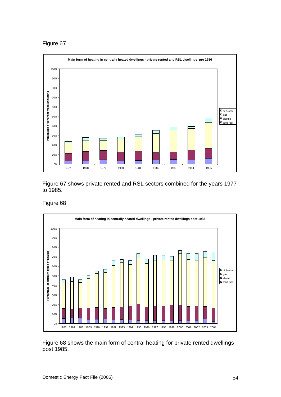

Figure 67 shows private rented and RSL sectors combined for the years 1977 to 1985.

#### Figure 68



Figure 68 shows the main form of central heating for private rented dwellings post 1985.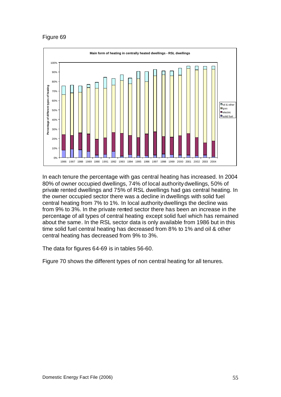

In each tenure the percentage with gas central heating has increased. In 2004 80% of owner occupied dwellings, 74% of local authority dwellings, 50% of private rented dwellings and 75% of RSL dwellings had gas central heating. In the owner occupied sector there was a decline in dwellings with solid fuel central heating from 7% to 1%. In local authority dwellings the decline was from 9% to 3%. In the private rented sector there has been an increase in the percentage of all types of central heating except solid fuel which has remained about the same. In the RSL sector data is only available from 1986 but in this time solid fuel central heating has decreased from 8% to 1% and oil & other central heating has decreased from 9% to 3%.

The data for figures 64-69 is in tables 56-60.

Figure 70 shows the different types of non central heating for all tenures.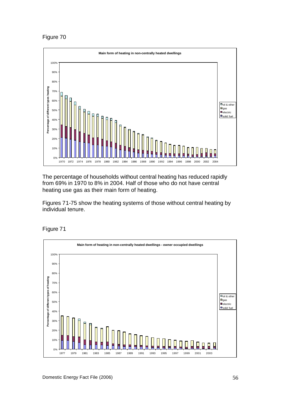

The percentage of households without central heating has reduced rapidly from 69% in 1970 to 8% in 2004. Half of those who do not have central heating use gas as their main form of heating.

Figures 71-75 show the heating systems of those without central heating by individual tenure.



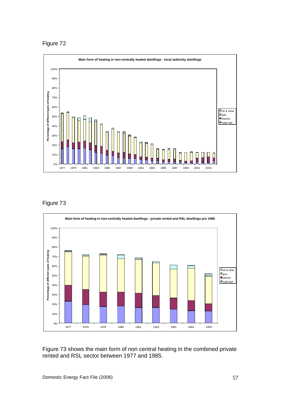Figure 72





Figure 73 shows the main form of non central heating in the combined private rented and RSL sector between 1977 and 1985.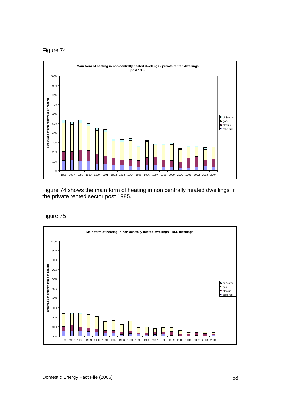

Figure 74 shows the main form of heating in non centrally heated dwellings in the private rented sector post 1985.

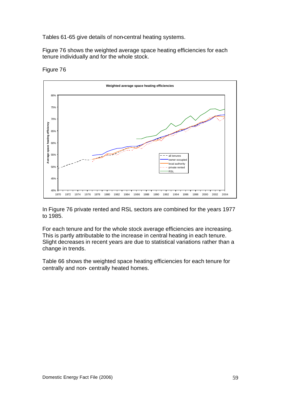Tables 61-65 give details of non-central heating systems.

Figure 76 shows the weighted average space heating efficiencies for each tenure individually and for the whole stock.



Figure 76

In Figure 76 private rented and RSL sectors are combined for the years 1977 to 1985.

For each tenure and for the whole stock average efficiencies are increasing. This is partly attributable to the increase in central heating in each tenure. Slight decreases in recent years are due to statistical variations rather than a change in trends.

Table 66 shows the weighted space heating efficiencies for each tenure for centrally and non- centrally heated homes.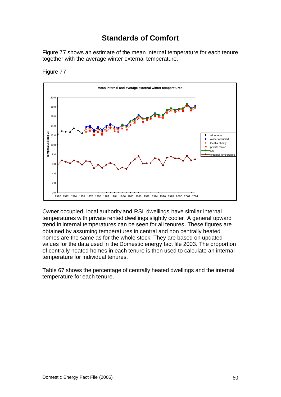## **Standards of Comfort**

Figure 77 shows an estimate of the mean internal temperature for each tenure together with the average winter external temperature.



Figure 77

Owner occupied, local authority and RSL dwellings have similar internal temperatures with private rented dwellings slightly cooler. A general upward trend in internal temperatures can be seen for all tenures. These figures are obtained by assuming temperatures in central and non centrally heated homes are the same as for the whole stock. They are based on updated values for the data used in the Domestic energy fact file 2003. The proportion of centrally heated homes in each tenure is then used to calculate an internal temperature for individual tenures.

Table 67 shows the percentage of centrally heated dwellings and the internal temperature for each tenure.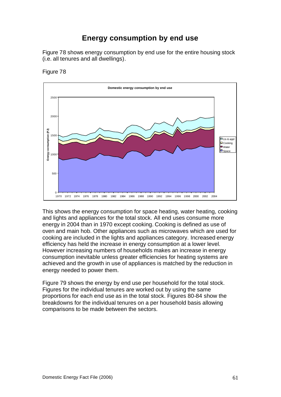## **Energy consumption by end use**

Figure 78 shows energy consumption by end use for the entire housing stock (i.e. all tenures and all dwellings).





This shows the energy consumption for space heating, water heating, cooking and lights and appliances for the total stock. All end uses consume more energy in 2004 than in 1970 except cooking. Cooking is defined as use of oven and main hob. Other appliances such as microwaves which are used for cooking are included in the lights and appliances category. Increased energy efficiency has held the increase in energy consumption at a lower level. However increasing numbers of households makes an increase in energy consumption inevitable unless greater efficiencies for heating systems are achieved and the growth in use of appliances is matched by the reduction in energy needed to power them.

Figure 79 shows the energy by end use per household for the total stock. Figures for the individual tenures are worked out by using the same proportions for each end use as in the total stock. Figures 80-84 show the breakdowns for the individual tenures on a per household basis allowing comparisons to be made between the sectors.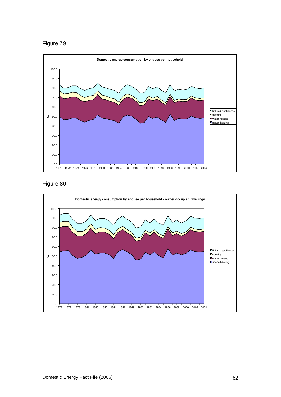





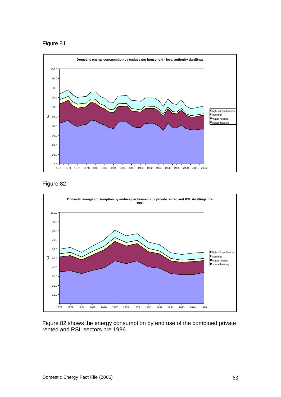



Figure 82



Figure 82 shows the energy consumption by end use of the combined private rented and RSL sectors pre 1986.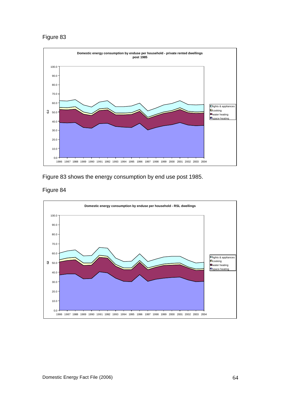

Figure 83 shows the energy consumption by end use post 1985.



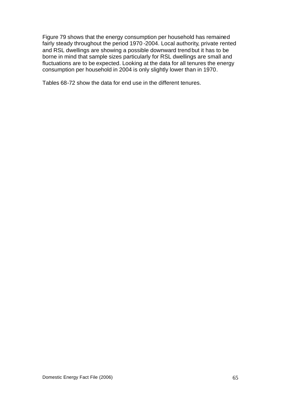Figure 79 shows that the energy consumption per household has remained fairly steady throughout the period 1970 -2004. Local authority, private rented and RSL dwellings are showing a possible downward trend but it has to be borne in mind that sample sizes particularly for RSL dwellings are small and fluctuations are to be expected. Looking at the data for all tenures the energy consumption per household in 2004 is only slightly lower than in 1970.

Tables 68-72 show the data for end use in the different tenures.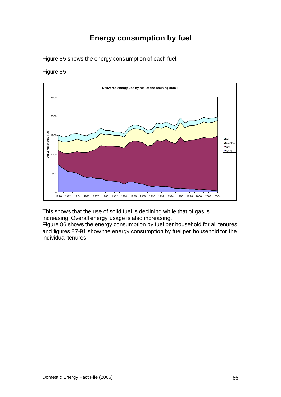# **Energy consumption by fuel**

Figure 85 shows the energy consumption of each fuel.

### Figure 85



This shows that the use of solid fuel is declining while that of gas is increasing. Overall energy usage is also increasing.

Figure 86 shows the energy consumption by fuel per household for all tenures and figures 87-91 show the energy consumption by fuel per household for the individual tenures.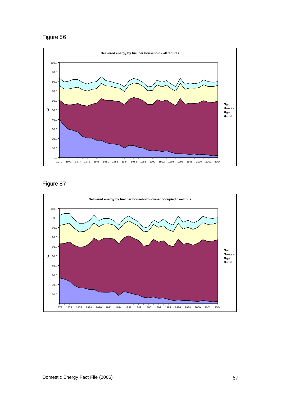



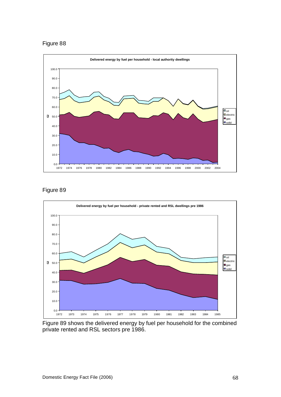





Figure 89 shows the delivered energy by fuel per household for the combined private rented and RSL sectors pre 1986.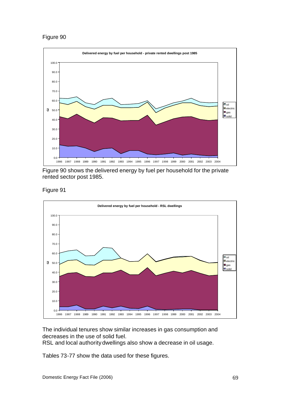

Figure 90 shows the delivered energy by fuel per household for the private rented sector post 1985.

Figure 91



The individual tenures show similar increases in gas consumption and decreases in the use of solid fuel.

RSL and local authority dwellings also show a decrease in oil usage.

Tables 73-77 show the data used for these figures.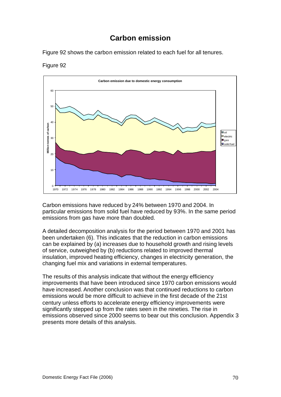## **Carbon emission**

Figure 92 shows the carbon emission related to each fuel for all tenures.



Figure 92

Carbon emissions have reduced by 24% between 1970 and 2004. In particular emissions from solid fuel have reduced by 93%. In the same period emissions from gas have more than doubled.

A detailed decomposition analysis for the period between 1970 and 2001 has been undertaken (6). This indicates that the reduction in carbon emissions can be explained by (a) increases due to household growth and rising levels of service, outweighed by (b) reductions related to improved thermal insulation, improved heating efficiency, changes in electricity generation, the changing fuel mix and variations in external temperatures.

The results of this analysis indicate that without the energy efficiency improvements that have been introduced since 1970 carbon emissions would have increased. Another conclusion was that continued reductions to carbon emissions would be more difficult to achieve in the first decade of the 21st century unless efforts to accelerate energy efficiency improvements were significantly stepped up from the rates seen in the nineties. The rise in emissions observed since 2000 seems to bear out this conclusion. Appendix 3 presents more details of this analysis.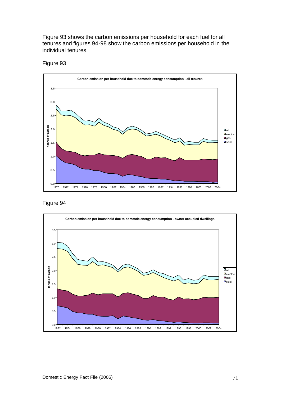Figure 93 shows the carbon emissions per household for each fuel for all tenures and figures 94-98 show the carbon emissions per household in the individual tenures.





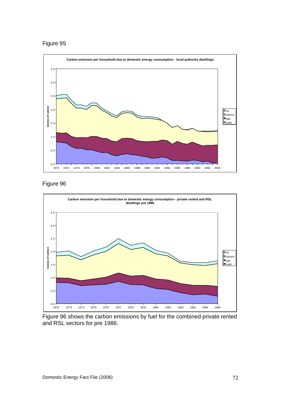



Figure 96 shows the carbon emissions by fuel for the combined private rented and RSL sectors for pre 1986.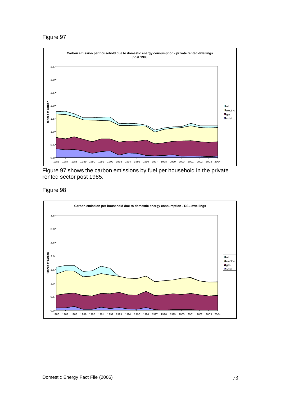## Figure 97



Figure 97 shows the carbon emissions by fuel per household in the private rented sector post 1985.

Figure 98

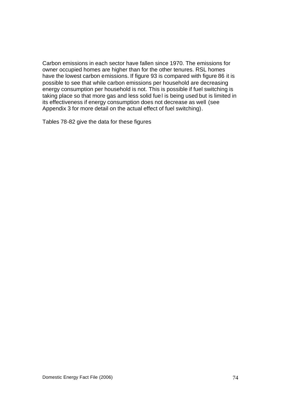Carbon emissions in each sector have fallen since 1970. The emissions for owner occupied homes are higher than for the other tenures. RSL homes have the lowest carbon emissions. If figure 93 is compared with figure 86 it is possible to see that while carbon emissions per household are decreasing energy consumption per household is not. This is possible if fuel switching is taking place so that more gas and less solid fuel is being used but is limited in its effectiveness if energy consumption does not decrease as well (see Appendix 3 for more detail on the actual effect of fuel switching).

Tables 78-82 give the data for these figures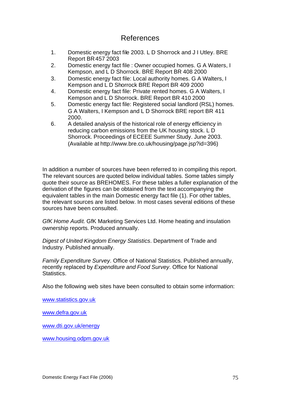## References

- 1. Domestic energy fact file 2003. L D Shorrock and J I Utley. BRE Report BR457 2003
- 2. Domestic energy fact file : Owner occupied homes. G A Waters, I Kempson, and L D Shorrock. BRE Report BR 408 2000
- 3. Domestic energy fact file: Local authority homes. G A Walters, I Kempson and L D Shorrock BRE Report BR 409 2000
- 4. Domestic energy fact file: Private rented homes. G A Walters, I Kempson and L D Shorrock. BRE Report BR 410 2000
- 5. Domestic energy fact file: Registered social landlord (RSL) homes. G A Walters, I Kempson and L D Shorrock BRE report BR 411 2000.
- 6. A detailed analysis of the historical role of energy efficiency in reducing carbon emissions from the UK housing stock. L D Shorrock. Proceedings of ECEEE Summer Study. June 2003. (Available at http://www.bre.co.uk/housing/page.jsp?id=396)

In addition a number of sources have been referred to in compiling this report. The relevant sources are quoted below individual tables. Some tables simply quote their source as BREHOMES. For these tables a fuller explanation of the derivation of the figures can be obtained from the text accompanying the equivalent tables in the main Domestic energy fact file (1). For other tables, the relevant sources are listed below. In most cases several editions of these sources have been consulted.

*GfK Home Audit*. GfK Marketing Services Ltd. Home heating and insulation ownership reports. Produced annually.

*Digest of United Kingdom Energy Statistics*. Department of Trade and Industry. Published annually.

*Family Expenditure Survey*. Office of National Statistics. Published annually, recently replaced by *Expenditure and Food Survey*. Office for National Statistics.

Also the following web sites have been consulted to obtain some information:

www.statistics.gov.uk

www.defra.gov.uk

www.dti.gov.uk/energy

www.housing.odpm.gov.uk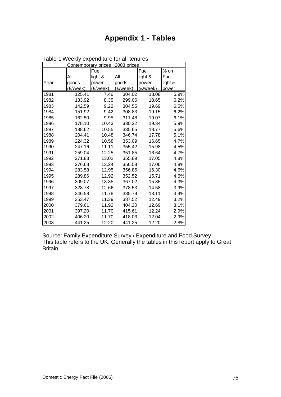# **Appendix 1 - Tables**

|      | <b>Contemporary prices</b> |                    | 2003 prices |          |         |
|------|----------------------------|--------------------|-------------|----------|---------|
|      |                            | Fuel               |             | Fuel     | $%$ on  |
|      | All                        | light &            | All         | light &  | Fuel    |
| Year | goods                      | power              | goods       | power    | light & |
|      | (£/week)                   | $(E/ \text{week})$ | (£/week)    | (£/week) | power   |
| 1981 | 125.41                     | 7.46               | 304.02      | 18.08    | 5.9%    |
| 1982 | 133.92                     | 8.35               | 299.06      | 18.65    | 6.2%    |
| 1983 | 142.59                     | 9.22               | 304.55      | 19.69    | 6.5%    |
| 1984 | 151.92                     | 9.42               | 308.83      | 19.15    | 6.2%    |
| 1985 | 162.50                     | 9.95               | 311.48      | 19.07    | 6.1%    |
| 1986 | 178.10                     | 10.43              | 330.22      | 19.34    | 5.9%    |
| 1987 | 188.62                     | 10.55              | 335.65      | 18.77    | 5.6%    |
| 1988 | 204.41                     | 10.48              | 346.74      | 17.78    | 5.1%    |
| 1989 | 224.32                     | 10.58              | 353.09      | 16.65    | 4.7%    |
| 1990 | 247.16                     | 11.11              | 355.42      | 15.98    | 4.5%    |
| 1991 | 259.04                     | 12.25              | 351.85      | 16.64    | 4.7%    |
| 1992 | 271.83                     | 13.02              | 355.89      | 17.05    | 4.8%    |
| 1993 | 276.68                     | 13.24              | 356.58      | 17.06    | 4.8%    |
| 1994 | 283.58                     | 12.95              | 356.85      | 16.30    | 4.6%    |
| 1995 | 289.86                     | 12.92              | 352.52      | 15.71    | 4.5%    |
| 1996 | 309.07                     | 13.35              | 367.02      | 15.85    | 4.3%    |
| 1997 | 328.78                     | 12.66              | 378.53      | 14.58    | 3.9%    |
| 1998 | 346.58                     | 11.78              | 385.79      | 13.11    | 3.4%    |
| 1999 | 353.47                     | 11.39              | 387.52      | 12.49    | 3.2%    |
| 2000 | 379.61                     | 11.92              | 404.20      | 12.69    | 3.1%    |
| 2001 | 397.20                     | 11.70              | 415.61      | 12.24    | 2.9%    |
| 2002 | 406.20                     | 11.70              | 418.03      | 12.04    | 2.9%    |
| 2003 | 441.25                     | 12.20              | 441.25      | 12.20    | 2.8%    |

Table 1 Weekly expenditure for all tenures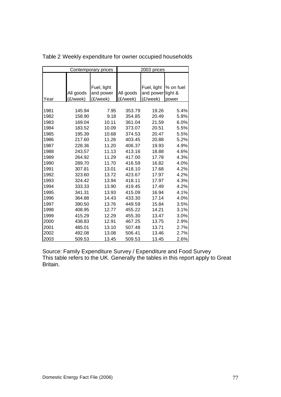|      |           | Contemporary prices | 2003 prices |             |           |  |
|------|-----------|---------------------|-------------|-------------|-----------|--|
|      |           |                     |             |             |           |  |
|      |           | Fuel, light         |             | Fuel, light | % on fuel |  |
|      | All goods | and power           | All goods   | and power   | light &   |  |
| Year | (£/week)  | (£/week)            | (£/week)    | (£/week)    | power     |  |
|      |           |                     |             |             |           |  |
| 1981 | 145.94    | 7.95                | 353.79      | 19.26       | 5.4%      |  |
| 1982 | 158.90    | 9.18                | 354.85      | 20.49       | 5.8%      |  |
| 1983 | 169.04    | 10.11               | 361.04      | 21.59       | 6.0%      |  |
| 1984 | 183.52    | 10.09               | 373.07      | 20.51       | 5.5%      |  |
| 1985 | 195.39    | 10.68               | 374.53      | 20.47       | 5.5%      |  |
| 1986 | 217.60    | 11.26               | 403.45      | 20.88       | 5.2%      |  |
| 1987 | 228.36    | 11.20               | 406.37      | 19.93       | 4.9%      |  |
| 1988 | 243.57    | 11.13               | 413.16      | 18.88       | 4.6%      |  |
| 1989 | 264.92    | 11.29               | 417.00      | 17.78       | 4.3%      |  |
| 1990 | 289.70    | 11.70               | 416.59      | 16.82       | 4.0%      |  |
| 1991 | 307.81    | 13.01               | 418.10      | 17.68       | 4.2%      |  |
| 1992 | 323.60    | 13.72               | 423.67      | 17.97       | 4.2%      |  |
| 1993 | 324.42    | 13.94               | 418.11      | 17.97       | 4.3%      |  |
| 1994 | 333.33    | 13.90               | 419.45      | 17.49       | 4.2%      |  |
| 1995 | 341.31    | 13.93               | 415.09      | 16.94       | 4.1%      |  |
| 1996 | 364.88    | 14.43               | 433.30      | 17.14       | 4.0%      |  |
| 1997 | 390.50    | 13.76               | 449.59      | 15.84       | 3.5%      |  |
| 1998 | 408.95    | 12.77               | 455.22      | 14.21       | 3.1%      |  |
| 1999 | 415.29    | 12.29               | 455.30      | 13.47       | 3.0%      |  |
| 2000 | 438.83    | 12.91               | 467.25      | 13.75       | 2.9%      |  |
| 2001 | 485.01    | 13.10               | 507.48      | 13.71       | 2.7%      |  |
| 2002 | 492.08    | 13.08               | 506.41      | 13.46       | 2.7%      |  |
| 2003 | 509.53    | 13.45               | 509.53      | 13.45       | 2.6%      |  |

Table 2 Weekly expenditure for owner occupied households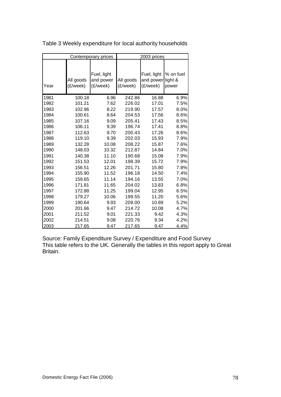|      |           | Contemporary prices      | 2003 prices |                          |                      |  |
|------|-----------|--------------------------|-------------|--------------------------|----------------------|--|
|      | All goods | Fuel, light<br>and power | All goods   | Fuel, light<br>and power | % on fuel<br>light & |  |
| Year | (£/week)  | (£/week)                 | (£/week)    | (£/week)                 | power                |  |
| 1981 | 100.18    | 6.96                     | 242.86      | 16.88                    | 6.9%                 |  |
| 1982 | 101.21    | 7.62                     | 226.02      | 17.01                    | 7.5%                 |  |
| 1983 | 102.96    | 8.22                     | 219.90      | 17.57                    | 8.0%                 |  |
| 1984 | 100.61    | 8.64                     | 204.53      | 17.56                    | 8.6%                 |  |
| 1985 | 107.16    | 9.09                     | 205.41      | 17.43                    | 8.5%                 |  |
| 1986 | 106.11    | 9.39                     | 196.74      | 17.41                    | 8.8%                 |  |
| 1987 | 112.63    | 9.70                     | 200.43      | 17.26                    | 8.6%                 |  |
| 1988 | 119.10    | 9.39                     | 202.03      | 15.93                    | 7.9%                 |  |
| 1989 | 132.28    | 10.08                    | 208.22      | 15.87                    | 7.6%                 |  |
| 1990 | 148.03    | 10.32                    | 212.87      | 14.84                    | 7.0%                 |  |
| 1991 | 140.38    | 11.10                    | 190.68      | 15.08                    | 7.9%                 |  |
| 1992 | 151.53    | 12.01                    | 198.39      | 15.72                    | 7.9%                 |  |
| 1993 | 156.51    | 12.26                    | 201.71      | 15.80                    | 7.8%                 |  |
| 1994 | 155.90    | 11.52                    | 196.18      | 14.50                    | 7.4%                 |  |
| 1995 | 159.65    | 11.14                    | 194.16      | 13.55                    | 7.0%                 |  |
| 1996 | 171.81    | 11.65                    | 204.02      | 13.83                    | 6.8%                 |  |
| 1997 | 172.88    | 11.25                    | 199.04      | 12.95                    | 6.5%                 |  |
| 1998 | 179.27    | 10.06                    | 199.55      | 11.20                    | 5.6%                 |  |
| 1999 | 190.64    | 9.93                     | 209.00      | 10.89                    | 5.2%                 |  |
| 2000 | 201.66    | 9.47                     | 214.72      | 10.08                    | 4.7%                 |  |
| 2001 | 211.52    | 9.01                     | 221.33      | 9.42                     | 4.3%                 |  |
| 2002 | 214.51    | 9.08                     | 220.76      | 9.34                     | 4.2%                 |  |
| 2003 | 217.65    | 9.47                     | 217.65      | 9.47                     | 4.4%                 |  |

Table 3 Weekly expenditure for local authority households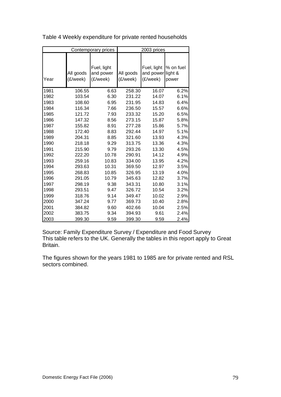| Contemporary prices |                       |                                      | 2003 prices           |                                      |                               |  |
|---------------------|-----------------------|--------------------------------------|-----------------------|--------------------------------------|-------------------------------|--|
| Year                | All goods<br>(£/week) | Fuel, light<br>and power<br>(£/week) | All goods<br>(£/week) | Fuel, light<br>and power<br>(£/week) | % on fuel<br>light &<br>power |  |
| 1981                | 106.55                | 6.63                                 | 258.30                | 16.07                                | 6.2%                          |  |
| 1982                | 103.54                | 6.30                                 | 231.22                | 14.07                                | 6.1%                          |  |
| 1983                | 108.60                | 6.95                                 | 231.95                | 14.83                                | 6.4%                          |  |
| 1984                | 116.34                | 7.66                                 | 236.50                | 15.57                                | 6.6%                          |  |
| 1985                | 121.72                | 7.93                                 | 233.32                | 15.20                                | 6.5%                          |  |
| 1986                | 147.32                | 8.56                                 | 273.15                | 15.87                                | 5.8%                          |  |
| 1987                | 155.82                | 8.91                                 | 277.28                | 15.86                                | 5.7%                          |  |
| 1988                | 172.40                | 8.83                                 | 292.44                | 14.97                                | 5.1%                          |  |
| 1989                | 204.31                | 8.85                                 | 321.60                | 13.93                                | 4.3%                          |  |
| 1990                | 218.18                | 9.29                                 | 313.75                | 13.36                                | 4.3%                          |  |
| 1991                | 215.90                | 9.79                                 | 293.26                | 13.30                                | 4.5%                          |  |
| 1992                | 222.20                | 10.78                                | 290.91                | 14.12                                | 4.9%                          |  |
| 1993                | 259.16                | 10.83                                | 334.00                | 13.95                                | 4.2%                          |  |
| 1994                | 293.63                | 10.31                                | 369.50                | 12.97                                | 3.5%                          |  |
| 1995                | 268.83                | 10.85                                | 326.95                | 13.19                                | 4.0%                          |  |
| 1996                | 291.05                | 10.79                                | 345.63                | 12.82                                | 3.7%                          |  |
| 1997                | 298.19                | 9.38                                 | 343.31                | 10.80                                | 3.1%                          |  |
| 1998                | 293.51                | 9.47                                 | 326.72                | 10.54                                | 3.2%                          |  |
| 1999                | 318.76                | 9.14                                 | 349.47                | 10.02                                | 2.9%                          |  |
| 2000                | 347.24                | 9.77                                 | 369.73                | 10.40                                | 2.8%                          |  |
| 2001                | 384.82                | 9.60                                 | 402.66                | 10.04                                | 2.5%                          |  |
| 2002                | 383.75                | 9.34                                 | 394.93                | 9.61                                 | 2.4%                          |  |
| 2003                | 399.30                | 9.59                                 | 399.30                | 9.59                                 | 2.4%                          |  |

Table 4 Weekly expenditure for private rented households

Source: Family Expenditure Survey / Expenditure and Food Survey This table refers to the UK. Generally the tables in this report apply to Great Britain.

The figures shown for the years 1981 to 1985 are for private rented and RSL sectors combined.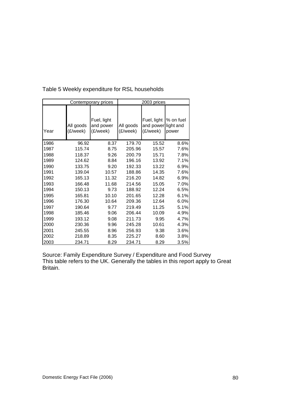| Contemporary prices |                       |                                      | 2003 prices           |                                                |                    |  |
|---------------------|-----------------------|--------------------------------------|-----------------------|------------------------------------------------|--------------------|--|
| Year                | All goods<br>(£/week) | Fuel, light<br>and power<br>(£/week) | All goods<br>(£/week) | Fuel, light<br>and power light and<br>(£/week) | % on fuel<br>power |  |
| 1986                | 96.92                 | 8.37                                 | 179.70                | 15.52                                          | 8.6%               |  |
| 1987                | 115.74                | 8.75                                 | 205.96                | 15.57                                          | 7.6%               |  |
| 1988                | 118.37                | 9.26                                 | 200.79                | 15.71                                          | 7.8%               |  |
| 1989                | 124.62                | 8.84                                 | 196.16                | 13.92                                          | 7.1%               |  |
| 1990                | 133.75                | 9.20                                 | 192.33                | 13.22                                          | 6.9%               |  |
| 1991                | 139.04                | 10.57                                | 188.86                | 14.35                                          | 7.6%               |  |
| 1992                | 165.13                | 11.32                                | 216.20                | 14.82                                          | 6.9%               |  |
| 1993                | 166.48                | 11.68                                | 214.56                | 15.05                                          | 7.0%               |  |
| 1994                | 150.13                | 9.73                                 | 188.92                | 12.24                                          | 6.5%               |  |
| 1995                | 165.81                | 10.10                                | 201.65                | 12.28                                          | 6.1%               |  |
| 1996                | 176.30                | 10.64                                | 209.36                | 12.64                                          | 6.0%               |  |
| 1997                | 190.64                | 9.77                                 | 219.49                | 11.25                                          | 5.1%               |  |
| 1998                | 185.46                | 9.06                                 | 206.44                | 10.09                                          | 4.9%               |  |
| 1999                | 193.12                | 9.08                                 | 211.73                | 9.95                                           | 4.7%               |  |
| 2000                | 230.36                | 9.96                                 | 245.28                | 10.61                                          | 4.3%               |  |
| 2001                | 245.55                | 8.96                                 | 256.93                | 9.38                                           | 3.6%               |  |
| 2002                | 218.89                | 8.35                                 | 225.27                | 8.60                                           | 3.8%               |  |
| 2003                | 234.71                | 8.29                                 | 234.71                | 8.29                                           | 3.5%               |  |

Table 5 Weekly expenditure for RSL households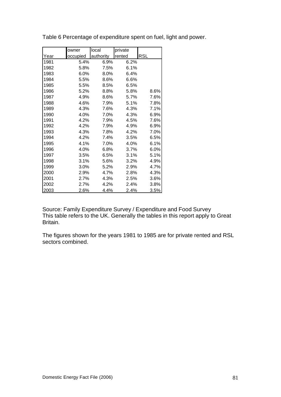|      | owner    | local     | private |            |
|------|----------|-----------|---------|------------|
| Year | occupied | authority | rented  | <b>RSL</b> |
| 1981 | 5.4%     | 6.9%      | 6.2%    |            |
| 1982 | 5.8%     | 7.5%      | 6.1%    |            |
| 1983 | 6.0%     | 8.0%      | 6.4%    |            |
| 1984 | 5.5%     | 8.6%      | 6.6%    |            |
| 1985 | 5.5%     | 8.5%      | 6.5%    |            |
| 1986 | 5.2%     | 8.8%      | 5.8%    | 8.6%       |
| 1987 | 4.9%     | 8.6%      | 5.7%    | 7.6%       |
| 1988 | 4.6%     | 7.9%      | 5.1%    | 7.8%       |
| 1989 | 4.3%     | 7.6%      | 4.3%    | 7.1%       |
| 1990 | 4.0%     | 7.0%      | 4.3%    | 6.9%       |
| 1991 | 4.2%     | 7.9%      | 4.5%    | 7.6%       |
| 1992 | 4.2%     | 7.9%      | 4.9%    | 6.9%       |
| 1993 | 4.3%     | 7.8%      | 4.2%    | 7.0%       |
| 1994 | 4.2%     | 7.4%      | 3.5%    | 6.5%       |
| 1995 | 4.1%     | 7.0%      | 4.0%    | 6.1%       |
| 1996 | 4.0%     | 6.8%      | 3.7%    | 6.0%       |
| 1997 | 3.5%     | 6.5%      | 3.1%    | 5.1%       |
| 1998 | 3.1%     | 5.6%      | 3.2%    | 4.9%       |
| 1999 | 3.0%     | 5.2%      | 2.9%    | 4.7%       |
| 2000 | 2.9%     | 4.7%      | 2.8%    | 4.3%       |
| 2001 | 2.7%     | 4.3%      | 2.5%    | 3.6%       |
| 2002 | 2.7%     | 4.2%      | 2.4%    | 3.8%       |
| 2003 | 2.6%     | 4.4%      | 2.4%    | 3.5%       |

Table 6 Percentage of expenditure spent on fuel, light and power.

Source: Family Expenditure Survey / Expenditure and Food Survey This table refers to the UK. Generally the tables in this report apply to Great Britain.

The figures shown for the years 1981 to 1985 are for private rented and RSL sectors combined.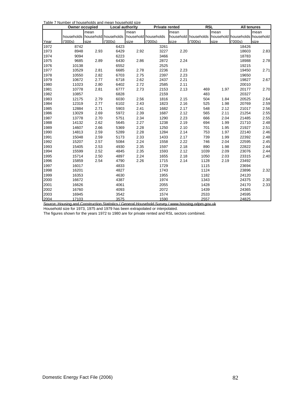|      | <b>Owner occupied</b> |      | Table T Hamber of HouseHolds and Hicari HouseHold Size<br>Local authority |      | <b>Private rented</b> |               | <b>RSL</b>                                          |      | <b>All tenures</b> |               |
|------|-----------------------|------|---------------------------------------------------------------------------|------|-----------------------|---------------|-----------------------------------------------------|------|--------------------|---------------|
|      |                       | mean |                                                                           | mean |                       | <b>I</b> mean |                                                     | mean |                    | <b>I</b> mean |
|      |                       |      | households household households                                           |      | household households  |               | household households household households household |      |                    |               |
| Year | (1000s)               | size | (000s)                                                                    | size | (000s)                | size          | (000s)                                              | size | (000s)             | size          |
| 1972 | 8742                  |      | 6423                                                                      |      | 3261                  |               |                                                     |      | 18426              |               |
| 1973 | 8948                  | 2.93 | 6429                                                                      | 2.92 | 3227                  | 2.20          |                                                     |      | 18603              | 2.83          |
| 1974 | 9094                  |      | 6223                                                                      |      | 3466                  |               |                                                     |      | 18783              |               |
| 1975 | 9685                  | 2.89 | 6430                                                                      | 2.86 | 2872                  | 2.24          |                                                     |      | 18988              | 2.78          |
| 1976 | 10138                 |      | 6552                                                                      |      | 2525                  |               |                                                     |      | 19215              |               |
| 1977 | 10529                 | 2.81 | 6685                                                                      | 2.78 | 2236                  | 2.23          |                                                     |      | 19450              | 2.71          |
| 1978 | 10550                 | 2.82 | 6703                                                                      | 2.75 | 2397                  | 2.23          |                                                     |      | 19650              |               |
| 1979 | 10672                 | 2.77 | 6718                                                                      | 2.62 | 2437                  | 2.21          |                                                     |      | 19827              | 2.67          |
| 1980 | 11023                 | 2.80 | 6402                                                                      | 2.72 | 2585                  | 2.11          |                                                     |      | 20010              |               |
| 1981 | 10778                 | 2.81 | 6777                                                                      | 2.73 | 2153                  | 2.13          | 469                                                 | 1.97 | 20177              | 2.70          |
| 1982 | 10857                 |      | 6828                                                                      |      | 2159                  |               | 483                                                 |      | 20327              |               |
| 1983 | 12175                 | 2.79 | 6030                                                                      | 2.56 | 1816                  | 2.15          | 504                                                 | 1.84 | 20525              | 2.64          |
| 1984 | 12319                 | 2.77 | 6102                                                                      | 2.43 | 1823                  | 2.16          | 525                                                 | 1.98 | 20769              | 2.59          |
| 1985 | 12884                 | 2.71 | 5903                                                                      | 2.41 | 1682                  | 2.17          | 548                                                 | 2.12 | 21017              | 2.56          |
| 1986 | 13029                 | 2.69 | 5972                                                                      | 2.39 | 1687                  | 2.12          | 565                                                 | 2.11 | 21254              | 2.55          |
| 1987 | 13778                 | 2.70 | 5751                                                                      | 2.34 | 1290                  | 2.23          | 666                                                 | 2.04 | 21485              | 2.55          |
| 1988 | 14132                 | 2.62 | 5645                                                                      | 2.27 | 1238                  | 2.19          | 694                                                 | 1.99 | 21710              | 2.48          |
| 1989 | 14607                 | 2.66 | 5369                                                                      | 2.28 | 1250                  | 2.10          | 701                                                 | 1.95 | 21927              | 2.51          |
| 1990 | 14813                 | 2.59 | 5289                                                                      | 2.28 | 1284                  | 2.14          | 753                                                 | 1.97 | 22140              | 2.46          |
| 1991 | 15048                 | 2.59 | 5173                                                                      | 2.33 | 1433                  | 2.17          | 739                                                 | 1.99 | 22392              | 2.48          |
| 1992 | 15207                 | 2.57 | 5084                                                                      | 2.24 | 1558                  | 2.22          | 746                                                 | 2.04 | 22595              | 2.45          |
| 1993 | 15405                 | 2.53 | 4930                                                                      | 2.35 | 1597                  | 2.18          | 890                                                 | 1.98 | 22822              | 2.44          |
| 1994 | 15599                 | 2.52 | 4845                                                                      | 2.35 | 1593                  | 2.12          | 1039                                                | 2.09 | 23076              | 2.44          |
| 1995 | 15714                 | 2.50 | 4897                                                                      | 2.24 | 1655                  | 2.18          | 1050                                                | 2.03 | 23315              | 2.40          |
| 1996 | 15859                 | 2.54 | 4790                                                                      | 2.26 | 1715                  | 2.14          | 1128                                                | 2.19 | 23492              |               |
| 1997 | 16017                 |      | 4833                                                                      |      | 1729                  |               | 1115                                                |      | 23694              |               |
| 1998 | 16201                 |      | 4827                                                                      |      | 1743                  |               | 1124                                                |      | 23896              | 2.32          |
| 1999 | 16353                 |      | 4630                                                                      |      | 1955                  |               | 1182                                                |      | 24120              |               |
| 2000 | 16672                 |      | 4387                                                                      |      | 1974                  |               | 1343                                                |      | 24375              | 2.30          |
| 2001 | 16626                 |      | 4061                                                                      |      | 2055                  |               | 1428                                                |      | 24170              | 2.33          |
| 2002 | 16760                 |      | 4093                                                                      |      | 2072                  |               | 1439                                                |      | 24365              |               |
| 2003 | 16945                 |      | 3542                                                                      |      | 1574                  |               | 2533                                                |      | 24595              |               |
| 2004 | 17103                 |      | 3575                                                                      |      | 1590                  |               | 2557                                                |      | 24825              |               |

Source: Housing and Construction Statistics / General Household Survey / www.housing.odpm.gov.uk

Household size for 1973, 1975 and 1979 has been extrapolated or interpolated.

The figures shown for the years 1972 to 1980 are for private rented and RSL sectors combined.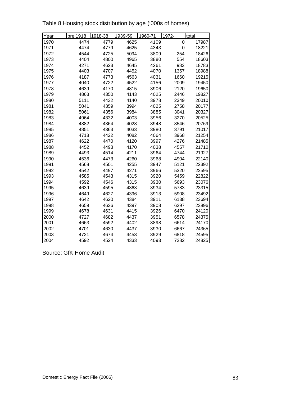| Year | pre 1918 | 1918-38 | 1939-59 | 1960-71 | 1972- | total |
|------|----------|---------|---------|---------|-------|-------|
| 1970 | 4474     | 4779    | 4625    | 4109    | 0     | 17987 |
| 1971 | 4474     | 4779    | 4625    | 4343    | 0     | 18221 |
| 1972 | 4544     | 4725    | 5094    | 3809    | 254   | 18426 |
| 1973 | 4404     | 4800    | 4965    | 3880    | 554   | 18603 |
| 1974 | 4271     | 4623    | 4645    | 4261    | 983   | 18783 |
| 1975 | 4403     | 4707    | 4452    | 4070    | 1357  | 18988 |
| 1976 | 4187     | 4773    | 4563    | 4031    | 1660  | 19215 |
| 1977 | 4040     | 4722    | 4522    | 4156    | 2009  | 19450 |
| 1978 | 4639     | 4170    | 4815    | 3906    | 2120  | 19650 |
| 1979 | 4863     | 4350    | 4143    | 4025    | 2446  | 19827 |
| 1980 | 5111     | 4432    | 4140    | 3978    | 2349  | 20010 |
| 1981 | 5041     | 4359    | 3994    | 4025    | 2758  | 20177 |
| 1982 | 5061     | 4356    | 3984    | 3885    | 3041  | 20327 |
| 1983 | 4964     | 4332    | 4003    | 3956    | 3270  | 20525 |
| 1984 | 4882     | 4364    | 4028    | 3948    | 3546  | 20769 |
| 1985 | 4851     | 4363    | 4033    | 3980    | 3791  | 21017 |
| 1986 | 4718     | 4422    | 4082    | 4064    | 3968  | 21254 |
| 1987 | 4622     | 4470    | 4120    | 3997    | 4276  | 21485 |
| 1988 | 4452     | 4493    | 4170    | 4038    | 4557  | 21710 |
| 1989 | 4493     | 4514    | 4211    | 3964    | 4744  | 21927 |
| 1990 | 4536     | 4473    | 4260    | 3968    | 4904  | 22140 |
| 1991 | 4568     | 4501    | 4255    | 3947    | 5121  | 22392 |
| 1992 | 4542     | 4497    | 4271    | 3966    | 5320  | 22595 |
| 1993 | 4585     | 4543    | 4315    | 3920    | 5459  | 22822 |
| 1994 | 4592     | 4546    | 4315    | 3930    | 5693  | 23076 |
| 1995 | 4639     | 4595    | 4363    | 3934    | 5783  | 23315 |
| 1996 | 4649     | 4627    | 4396    | 3913    | 5908  | 23492 |
| 1997 | 4642     | 4620    | 4384    | 3911    | 6138  | 23694 |
| 1998 | 4659     | 4636    | 4397    | 3908    | 6297  | 23896 |
| 1999 | 4678     | 4631    | 4415    | 3926    | 6470  | 24120 |
| 2000 | 4727     | 4682    | 4437    | 3951    | 6578  | 24375 |
| 2001 | 4663     | 4592    | 4402    | 3898    | 6614  | 24170 |
| 2002 | 4701     | 4630    | 4437    | 3930    | 6667  | 24365 |
| 2003 | 4721     | 4674    | 4453    | 3929    | 6818  | 24595 |
| 2004 | 4592     | 4524    | 4333    | 4093    | 7282  | 24825 |

Table 8 Housing stock distribution by age ('000s of homes)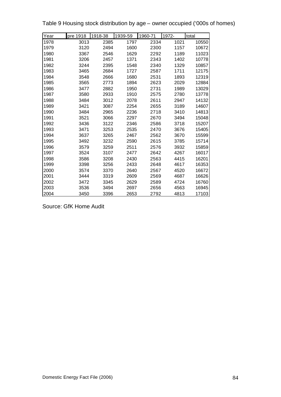Table 9 Housing stock distribution by age – owner occupied ('000s of homes)

| Year | pre 1918 | 1918-38 | 1939-59 | 1960-71 | 1972- | total |
|------|----------|---------|---------|---------|-------|-------|
| 1978 | 3013     | 2385    | 1797    | 2334    | 1021  | 10550 |
| 1979 | 3120     | 2494    | 1600    | 2300    | 1157  | 10672 |
| 1980 | 3367     | 2546    | 1629    | 2292    | 1189  | 11023 |
| 1981 | 3206     | 2457    | 1371    | 2343    | 1402  | 10778 |
| 1982 | 3244     | 2395    | 1548    | 2340    | 1329  | 10857 |
| 1983 | 3465     | 2684    | 1727    | 2587    | 1711  | 12175 |
| 1984 | 3548     | 2666    | 1680    | 2531    | 1893  | 12319 |
| 1985 | 3565     | 2773    | 1894    | 2623    | 2029  | 12884 |
| 1986 | 3477     | 2882    | 1950    | 2731    | 1989  | 13029 |
| 1987 | 3580     | 2933    | 1910    | 2575    | 2780  | 13778 |
| 1988 | 3484     | 3012    | 2078    | 2611    | 2947  | 14132 |
| 1989 | 3421     | 3087    | 2254    | 2655    | 3189  | 14607 |
| 1990 | 3484     | 2965    | 2236    | 2718    | 3410  | 14813 |
| 1991 | 3521     | 3066    | 2297    | 2670    | 3494  | 15048 |
| 1992 | 3436     | 3122    | 2346    | 2586    | 3718  | 15207 |
| 1993 | 3471     | 3253    | 2535    | 2470    | 3676  | 15405 |
| 1994 | 3637     | 3265    | 2467    | 2562    | 3670  | 15599 |
| 1995 | 3492     | 3232    | 2590    | 2615    | 3785  | 15714 |
| 1996 | 3579     | 3259    | 2511    | 2576    | 3932  | 15859 |
| 1997 | 3524     | 3107    | 2477    | 2642    | 4267  | 16017 |
| 1998 | 3586     | 3208    | 2430    | 2563    | 4415  | 16201 |
| 1999 | 3398     | 3256    | 2433    | 2648    | 4617  | 16353 |
| 2000 | 3574     | 3370    | 2640    | 2567    | 4520  | 16672 |
| 2001 | 3444     | 3319    | 2609    | 2569    | 4687  | 16626 |
| 2002 | 3472     | 3345    | 2629    | 2589    | 4724  | 16760 |
| 2003 | 3536     | 3494    | 2697    | 2656    | 4563  | 16945 |
| 2004 | 3450     | 3396    | 2653    | 2792    | 4813  | 17103 |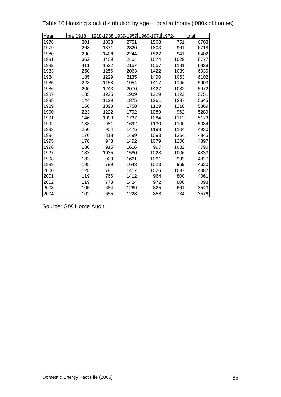| Year | pre 1918 |      |      | 1918-1938 1939-1959 1960-1971 1972- |      | total |
|------|----------|------|------|-------------------------------------|------|-------|
| 1978 | 301      | 1333 | 2751 | 1568                                | 751  | 6703  |
| 1979 | 263      | 1371 | 2320 | 1803                                | 961  | 6718  |
| 1980 | 290      | 1406 | 2244 | 1522                                | 941  | 6402  |
| 1981 | 362      | 1409 | 2404 | 1574                                | 1029 | 6777  |
| 1982 | 411      | 1522 | 2157 | 1557                                | 1181 | 6828  |
| 1983 | 250      | 1256 | 2063 | 1422                                | 1039 | 6030  |
| 1984 | 185      | 1229 | 2135 | 1490                                | 1063 | 6102  |
| 1985 | 228      | 1158 | 1954 | 1417                                | 1146 | 5903  |
| 1986 | 200      | 1243 | 2070 | 1427                                | 1032 | 5972  |
| 1987 | 185      | 1225 | 1989 | 1229                                | 1122 | 5751  |
| 1988 | 144      | 1129 | 1875 | 1261                                | 1237 | 5645  |
| 1989 | 166      | 1098 | 1758 | 1129                                | 1218 | 5369  |
| 1990 | 223      | 1222 | 1792 | 1089                                | 962  | 5289  |
| 1991 | 146      | 1093 | 1737 | 1084                                | 1112 | 5173  |
| 1992 | 183      | 981  | 1692 | 1130                                | 1100 | 5084  |
| 1993 | 250      | 904  | 1475 | 1198                                | 1104 | 4930  |
| 1994 | 170      | 818  | 1499 | 1093                                | 1264 | 4845  |
| 1995 | 178      | 948  | 1492 | 1079                                | 1200 | 4897  |
| 1996 | 180      | 915  | 1616 | 997                                 | 1082 | 4790  |
| 1997 | 183      | 1035 | 1580 | 1028                                | 1006 | 4833  |
| 1998 | 183      | 929  | 1661 | 1061                                | 993  | 4827  |
| 1999 | 195      | 799  | 1643 | 1023                                | 969  | 4630  |
| 2000 | 125      | 781  | 1417 | 1026                                | 1037 | 4387  |
| 2001 | 119      | 766  | 1412 | 964                                 | 800  | 4061  |
| 2002 | 119      | 773  | 1424 | 972                                 | 806  | 4093  |
| 2003 | 105      | 684  | 1269 | 825                                 | 661  | 3543  |
| 2004 | 102      | 655  | 1228 | 858                                 | 734  | 3576  |

Table 10 Housing stock distribution by age – local authority ('000s of homes)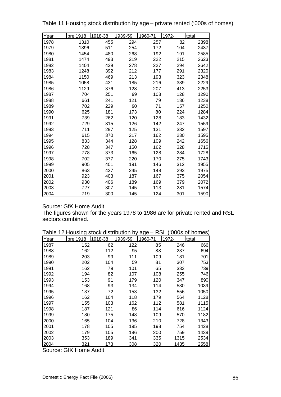| Year | pre 1918 | 1918-38 | 1939-59 | 1960-71 | 1972- | total |
|------|----------|---------|---------|---------|-------|-------|
| 1978 | 1310     | 455     | 294     | 257     | 82    | 2398  |
| 1979 | 1396     | 511     | 254     | 172     | 104   | 2437  |
| 1980 | 1454     | 480     | 268     | 192     | 191   | 2585  |
| 1981 | 1474     | 493     | 219     | 222     | 215   | 2623  |
| 1982 | 1404     | 439     | 278     | 227     | 294   | 2642  |
| 1983 | 1248     | 392     | 212     | 177     | 291   | 2320  |
| 1984 | 1150     | 469     | 213     | 193     | 323   | 2348  |
| 1985 | 1058     | 431     | 185     | 216     | 339   | 2229  |
| 1986 | 1129     | 376     | 128     | 207     | 413   | 2253  |
| 1987 | 704      | 251     | 99      | 108     | 128   | 1290  |
| 1988 | 661      | 241     | 121     | 79      | 136   | 1238  |
| 1989 | 702      | 229     | 90      | 71      | 157   | 1250  |
| 1990 | 625      | 181     | 173     | 80      | 224   | 1284  |
| 1991 | 739      | 262     | 120     | 128     | 183   | 1432  |
| 1992 | 729      | 315     | 126     | 142     | 247   | 1559  |
| 1993 | 711      | 297     | 125     | 131     | 332   | 1597  |
| 1994 | 615      | 370     | 217     | 162     | 230   | 1595  |
| 1995 | 833      | 344     | 128     | 109     | 242   | 1656  |
| 1996 | 728      | 347     | 150     | 162     | 328   | 1715  |
| 1997 | 778      | 373     | 165     | 128     | 284   | 1728  |
| 1998 | 702      | 377     | 220     | 170     | 275   | 1743  |
| 1999 | 905      | 401     | 191     | 146     | 312   | 1955  |
| 2000 | 863      | 427     | 245     | 148     | 293   | 1975  |
| 2001 | 923      | 403     | 187     | 167     | 375   | 2054  |
| 2002 | 930      | 406     | 189     | 169     | 379   | 2072  |
| 2003 | 727      | 307     | 145     | 113     | 281   | 1574  |
| 2004 | 719      | 300     | 145     | 124     | 301   | 1590  |

Table 11 Housing stock distribution by age – private rented ('000s of homes)

The figures shown for the years 1978 to 1986 are for private rented and RSL sectors combined.

| i abie | <b>IZ HOUSING SLOCK GISHIDULION DY AGE-</b> |         |         | ∟ס⊼     |       | <b>UUUS UI HUIHES</b> |
|--------|---------------------------------------------|---------|---------|---------|-------|-----------------------|
| Year   | pre 1918                                    | 1918-38 | 1939-59 | 1960-71 | 1972- | total                 |
| 1987   | 152                                         | 62      | 122     | 85      | 246   | 666                   |
| 1988   | 162                                         | 112     | 95      | 88      | 237   | 694                   |
| 1989   | 203                                         | 99      | 111     | 109     | 181   | 701                   |
| 1990   | 202                                         | 104     | 59      | 81      | 307   | 753                   |
| 1991   | 162                                         | 79      | 101     | 65      | 333   | 739                   |
| 1992   | 194                                         | 82      | 107     | 108     | 255   | 746                   |
| 1993   | 153                                         | 91      | 179     | 120     | 347   | 890                   |
| 1994   | 168                                         | 93      | 134     | 114     | 530   | 1039                  |
| 1995   | 137                                         | 72      | 153     | 132     | 556   | 1050                  |
| 1996   | 162                                         | 104     | 118     | 179     | 564   | 1128                  |
| 1997   | 155                                         | 103     | 162     | 112     | 581   | 1115                  |
| 1998   | 187                                         | 121     | 86      | 114     | 616   | 1124                  |
| 1999   | 180                                         | 175     | 148     | 109     | 570   | 1182                  |
| 2000   | 165                                         | 104     | 136     | 210     | 728   | 1343                  |
| 2001   | 178                                         | 105     | 195     | 198     | 754   | 1428                  |
| 2002   | 179                                         | 105     | 196     | 200     | 759   | 1439                  |
| 2003   | 353                                         | 189     | 341     | 335     | 1315  | 2534                  |
| 2004   | 321                                         | 173     | 308     | 320     | 1435  | 2558                  |

Table 12 Housing stock distribution by age – RSL ('000s of homes)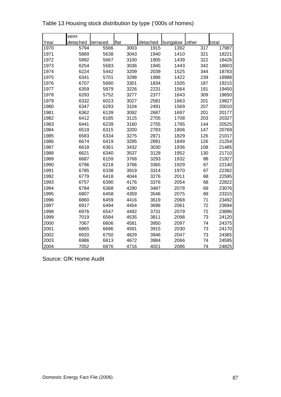|      | semi     |          |      |          |          |       |       |
|------|----------|----------|------|----------|----------|-------|-------|
| Year | detached | terraced | flat | detached | bungalow | other | total |
| 1970 | 5794     | 5566     | 3003 | 1915     | 1392     | 317   | 17987 |
| 1971 | 5869     | 5638     | 3043 | 1940     | 1410     | 321   | 18221 |
| 1972 | 5992     | 5667     | 3100 | 1905     | 1439     | 322   | 18426 |
| 1973 | 6254     | 5583     | 3036 | 1945     | 1443     | 342   | 18603 |
| 1974 | 6224     | 5442     | 3209 | 2039     | 1525     | 344   | 18783 |
| 1975 | 6341     | 5701     | 3298 | 1986     | 1422     | 239   | 18988 |
| 1976 | 6707     | 5680     | 3301 | 1834     | 1505     | 187   | 19215 |
| 1977 | 6359     | 5879     | 3226 | 2231     | 1564     | 191   | 19450 |
| 1978 | 6293     | 5752     | 3277 | 2377     | 1643     | 309   | 19650 |
| 1979 | 6332     | 6023     | 3027 | 2581     | 1663     | 201   | 19827 |
| 1980 | 6347     | 6293     | 3104 | 2491     | 1569     | 207   | 20010 |
| 1981 | 6362     | 6139     | 3092 | 2687     | 1697     | 201   | 20177 |
| 1982 | 6412     | 6185     | 3115 | 2705     | 1708     | 203   | 20327 |
| 1983 | 6441     | 6239     | 3160 | 2755     | 1785     | 144   | 20525 |
| 1984 | 6519     | 6315     | 3200 | 2783     | 1806     | 147   | 20769 |
| 1985 | 6583     | 6334     | 3275 | 2871     | 1829     | 126   | 21017 |
| 1986 | 6674     | 6419     | 3295 | 2891     | 1849     | 126   | 21254 |
| 1987 | 6618     | 6361     | 3432 | 3030     | 1936     | 108   | 21485 |
| 1988 | 6621     | 6340     | 3537 | 3128     | 1952     | 130   | 21710 |
| 1989 | 6687     | 6159     | 3768 | 3293     | 1932     | 88    | 21927 |
| 1990 | 6796     | 6218     | 3766 | 3365     | 1929     | 67    | 22140 |
| 1991 | 6785     | 6338     | 3919 | 3314     | 1970     | 67    | 22392 |
| 1992 | 6779     | 6418     | 4044 | 3276     | 2011     | 68    | 22595 |
| 1993 | 6757     | 6390     | 4176 | 3376     | 2054     | 68    | 22822 |
| 1994 | 6784     | 6368     | 4290 | 3487     | 2078     | 69    | 23076 |
| 1995 | 6807     | 6458     | 4359 | 3546     | 2075     | 69    | 23315 |
| 1996 | 6860     | 6459     | 4416 | 3619     | 2068     | 71    | 23492 |
| 1997 | 6917     | 6494     | 4454 | 3696     | 2061     | 72    | 23694 |
| 1998 | 6976     | 6547     | 4492 | 3731     | 2079     | 72    | 23896 |
| 1999 | 7019     | 6584     | 4535 | 3811     | 2098     | 73    | 24120 |
| 2000 | 7067     | 6606     | 4581 | 3950     | 2097     | 74    | 24375 |
| 2001 | 6865     | 6696     | 4591 | 3915     | 2030     | 73    | 24170 |
| 2002 | 6920     | 6750     | 4629 | 3946     | 2047     | 73    | 24365 |
| 2003 | 6986     | 6813     | 4672 | 3984     | 2066     | 74    | 24595 |
| 2004 | 7052     | 6876     | 4716 | 4021     | 2086     | 74    | 24825 |

Table 13 Housing stock distribution by type ('000s of homes)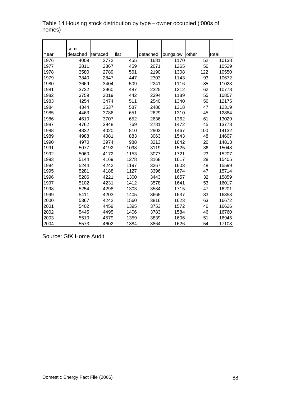|              | semi             |                  |             |                  |                  |             |                |
|--------------|------------------|------------------|-------------|------------------|------------------|-------------|----------------|
| Year<br>1976 | detached<br>4009 | terraced<br>2772 | flat<br>455 | detached<br>1681 | bungalow<br>1170 | other<br>52 | total<br>10138 |
| 1977         | 3811             | 2867             | 459         | 2071             | 1265             | 56          | 10529          |
| 1978         | 3580             | 2789             | 561         | 2190             | 1308             | 122         | 10550          |
| 1979         | 3840             | 2847             | 447         | 2303             | 1143             | 93          | 10672          |
| 1980         | 3669             | 3404             | 509         | 2241             | 1116             | 85          | 11023          |
| 1981         | 3732             | 2960             | 487         | 2325             | 1212             | 62          | 10778          |
| 1982         | 3759             | 3019             | 442         | 2394             | 1189             | 55          | 10857          |
| 1983         | 4254             | 3474             | 511         | 2540             | 1340             | 56          | 12175          |
| 1984         | 4344             | 3537             | 587         | 2486             | 1318             | 47          | 12319          |
| 1985         | 4463             | 3786             | 651         | 2629             | 1310             | 45          | 12884          |
| 1986         | 4610             | 3707             | 652         | 2636             | 1362             | 61          | 13029          |
| 1987         | 4762             | 3948             | 769         | 2781             | 1472             | 45          | 13778          |
| 1988         | 4832             | 4020             | 810         | 2903             | 1467             | 100         | 14132          |
| 1989         | 4988             | 4081             | 883         | 3063             | 1543             | 48          | 14607          |
| 1990         | 4970             | 3974             | 988         | 3213             | 1642             | 26          | 14813          |
| 1991         | 5077             | 4192             | 1098        | 3119             | 1525             | 36          | 15048          |
| 1992         | 5060             | 4172             | 1153        | 3077             | 1721             | 23          | 15207          |
| 1993         | 5144             | 4169             | 1278        | 3168             | 1617             | 28          | 15405          |
| 1994         | 5244             | 4242             | 1197        | 3267             | 1603             | 48          | 15599          |
| 1995         | 5281             | 4188             | 1127        | 3396             | 1674             | 47          | 15714          |
| 1996         | 5206             | 4221             | 1300        | 3443             | 1657             | 32          | 15859          |
| 1997         | 5102             | 4231             | 1412        | 3578             | 1641             | 53          | 16017          |
| 1998         | 5254             | 4298             | 1303        | 3584             | 1715             | 47          | 16201          |
| 1999         | 5411             | 4203             | 1405        | 3665             | 1637             | 33          | 16353          |
| 2000         | 5367             | 4242             | 1560        | 3816             | 1623             | 63          | 16672          |
| 2001         | 5402             | 4459             | 1395        | 3753             | 1572             | 46          | 16626          |
| 2002         | 5445             | 4495             | 1406        | 3783             | 1584             | 46          | 16760          |
| 2003         | 5510             | 4579             | 1359        | 3839             | 1606             | 51          | 16945          |
| 2004         | 5573             | 4602             | 1384        | 3864             | 1626             | 54          | 17103          |

#### Table 14 Housing stock distribution by type – owner occupied ('000s of homes)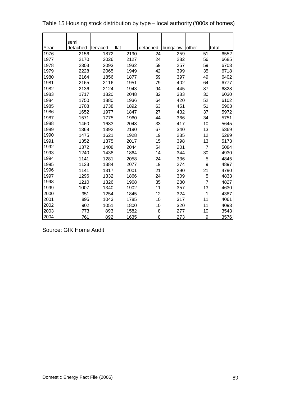|      | semi     |          |      |          |          |                |       |
|------|----------|----------|------|----------|----------|----------------|-------|
| Year | detached | terraced | flat | detached | bungalow | other          | total |
| 1976 | 2156     | 1872     | 2190 | 24       | 259      | 51             | 6552  |
| 1977 | 2170     | 2026     | 2127 | 24       | 282      | 56             | 6685  |
| 1978 | 2303     | 2093     | 1932 | 59       | 257      | 59             | 6703  |
| 1979 | 2228     | 2065     | 1949 | 42       | 399      | 35             | 6718  |
| 1980 | 2164     | 1856     | 1877 | 59       | 397      | 49             | 6402  |
| 1981 | 2165     | 2116     | 1951 | 79       | 402      | 64             | 6777  |
| 1982 | 2136     | 2124     | 1943 | 94       | 445      | 87             | 6828  |
| 1983 | 1717     | 1820     | 2048 | 32       | 383      | 30             | 6030  |
| 1984 | 1750     | 1880     | 1936 | 64       | 420      | 52             | 6102  |
| 1985 | 1708     | 1738     | 1892 | 63       | 451      | 51             | 5903  |
| 1986 | 1652     | 1977     | 1847 | 27       | 432      | 37             | 5972  |
| 1987 | 1571     | 1775     | 1960 | 44       | 366      | 34             | 5751  |
| 1988 | 1460     | 1683     | 2043 | 33       | 417      | 10             | 5645  |
| 1989 | 1369     | 1392     | 2190 | 67       | 340      | 13             | 5369  |
| 1990 | 1475     | 1621     | 1928 | 19       | 235      | 12             | 5289  |
| 1991 | 1352     | 1375     | 2017 | 15       | 398      | 13             | 5173  |
| 1992 | 1372     | 1408     | 2044 | 54       | 201      | $\overline{7}$ | 5084  |
| 1993 | 1240     | 1438     | 1864 | 14       | 344      | 30             | 4930  |
| 1994 | 1141     | 1281     | 2058 | 24       | 336      | 5              | 4845  |
| 1995 | 1133     | 1384     | 2077 | 19       | 274      | 9              | 4897  |
| 1996 | 1141     | 1317     | 2001 | 21       | 290      | 21             | 4790  |
| 1997 | 1296     | 1332     | 1866 | 24       | 309      | 5              | 4833  |
| 1998 | 1210     | 1326     | 1968 | 35       | 280      | $\overline{7}$ | 4827  |
| 1999 | 1007     | 1340     | 1902 | 11       | 357      | 13             | 4630  |
| 2000 | 951      | 1254     | 1845 | 12       | 324      | 1              | 4387  |
| 2001 | 895      | 1043     | 1785 | 10       | 317      | 11             | 4061  |
| 2002 | 902      | 1051     | 1800 | 10       | 320      | 11             | 4093  |
| 2003 | 773      | 893      | 1582 | 8        | 277      | 10             | 3543  |
| 2004 | 761      | 892      | 1635 | 8        | 273      | 9              | 3576  |

Table 15 Housing stock distribution by type – local authority ('000s of homes)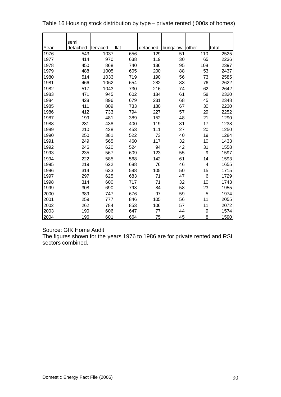|      | semi     |          |      |          |          |       |       |
|------|----------|----------|------|----------|----------|-------|-------|
| Year | detached | terraced | flat | detached | bungalow | other | total |
| 1976 | 543      | 1037     | 656  | 129      | 51       | 110   | 2525  |
| 1977 | 414      | 970      | 638  | 119      | 30       | 65    | 2236  |
| 1978 | 450      | 868      | 740  | 136      | 95       | 108   | 2397  |
| 1979 | 488      | 1005     | 605  | 200      | 88       | 53    | 2437  |
| 1980 | 514      | 1033     | 719  | 190      | 56       | 73    | 2585  |
| 1981 | 466      | 1062     | 654  | 282      | 83       | 76    | 2622  |
| 1982 | 517      | 1043     | 730  | 216      | 74       | 62    | 2642  |
| 1983 | 471      | 945      | 602  | 184      | 61       | 58    | 2320  |
| 1984 | 428      | 896      | 679  | 231      | 68       | 45    | 2348  |
| 1985 | 411      | 809      | 733  | 180      | 67       | 30    | 2230  |
| 1986 | 412      | 733      | 794  | 227      | 57       | 29    | 2252  |
| 1987 | 199      | 481      | 389  | 152      | 48       | 21    | 1290  |
| 1988 | 231      | 438      | 400  | 119      | 31       | 17    | 1238  |
| 1989 | 210      | 428      | 453  | 111      | 27       | 20    | 1250  |
| 1990 | 250      | 381      | 522  | 73       | 40       | 19    | 1284  |
| 1991 | 249      | 565      | 460  | 117      | 32       | 10    | 1433  |
| 1992 | 246      | 620      | 524  | 94       | 42       | 31    | 1558  |
| 1993 | 235      | 567      | 609  | 123      | 55       | 9     | 1597  |
| 1994 | 222      | 585      | 568  | 142      | 61       | 14    | 1593  |
| 1995 | 219      | 622      | 688  | 76       | 46       | 4     | 1655  |
| 1996 | 314      | 633      | 598  | 105      | 50       | 15    | 1715  |
| 1997 | 297      | 625      | 683  | 71       | 47       | 6     | 1729  |
| 1998 | 314      | 600      | 717  | 71       | 32       | 10    | 1743  |
| 1999 | 308      | 690      | 793  | 84       | 58       | 23    | 1955  |
| 2000 | 389      | 747      | 676  | 97       | 59       | 5     | 1974  |
| 2001 | 259      | 777      | 846  | 105      | 56       | 11    | 2055  |
| 2002 | 262      | 784      | 853  | 106      | 57       | 11    | 2072  |
| 2003 | 190      | 606      | 647  | 77       | 44       | 9     | 1574  |
| 2004 | 196      | 601      | 664  | 75       | 45       | 8     | 1590  |

| Table 16 Housing stock distribution by type – private rented ('000s of homes) |  |  |
|-------------------------------------------------------------------------------|--|--|
|-------------------------------------------------------------------------------|--|--|

The figures shown for the years 1976 to 1986 are for private rented and RSL sectors combined.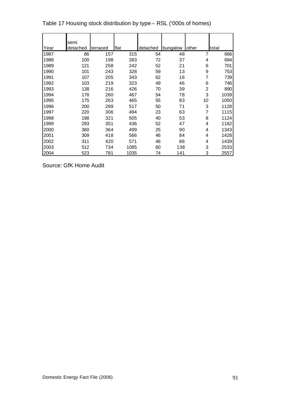| Year | semi<br>detached | terraced | flat | detached | bungalow | <b>lother</b>  | total |
|------|------------------|----------|------|----------|----------|----------------|-------|
| 1987 | 86               | 157      | 315  | 54       | 48       | 7              | 666   |
| 1988 | 100              | 198      | 283  | 72       | 37       | 4              | 694   |
| 1989 | 121              | 258      | 242  | 52       | 21       | 6              | 701   |
| 1990 | 101              | 243      | 328  | 59       | 13       | 9              | 753   |
| 1991 | 107              | 205      | 343  | 62       | 16       | 7              | 739   |
| 1992 | 103              | 219      | 323  | 49       | 46       | 6              | 746   |
| 1993 | 138              | 216      | 426  | 70       | 39       | $\overline{2}$ | 890   |
| 1994 | 178              | 260      | 467  | 54       | 78       | 3              | 1039  |
| 1995 | 175              | 263      | 465  | 55       | 83       | 10             | 1050  |
| 1996 | 200              | 289      | 517  | 50       | 71       | 3              | 1128  |
| 1997 | 220              | 306      | 494  | 23       | 63       | 7              | 1115  |
| 1998 | 198              | 321      | 505  | 40       | 53       | 8              | 1124  |
| 1999 | 293              | 351      | 436  | 52       | 47       | 4              | 1182  |
| 2000 | 360              | 364      | 499  | 25       | 90       | 4              | 1343  |
| 2001 | 309              | 418      | 566  | 46       | 84       | 4              | 1428  |
| 2002 | 311              | 420      | 571  | 46       | 86       | 4              | 1439  |
| 2003 | 512              | 734      | 1085 | 60       | 138      | 3              | 2533  |
| 2004 | 523              | 781      | 1035 | 74       | 141      | 3              | 2557  |

Table 17 Housing stock distribution by type – RSL ('000s of homes)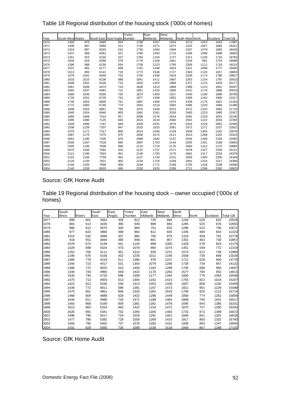Table 18 Regional distribution of the housing stock ('000s of homes)

|      |                  |      |      |                               | Yorks/ | East     | West     |                  |      |          |                 |
|------|------------------|------|------|-------------------------------|--------|----------|----------|------------------|------|----------|-----------------|
| Year | South West Wales |      |      | South East East Anglia Humber |        | Midlands | Midlands | North West North |      | Scotland | <b>Total GB</b> |
| 1970 | 1390             | 876  | 5889 | 504                           | 1708   | 1057     | 1654     | 2213             | 1053 | 1643     | 17987           |
| 1971 | 1408             | 887  | 5966 | 511                           | 1730   | 1071     | 1675     | 2242             | 1067 | 1665     | 18221           |
| 1972 | 1424             | 897  | 6033 | 516                           | 1750   | 1083     | 1694     | 2267             | 1079 | 1683     | 18426           |
| 1973 | 1437             | 906  | 6091 | 521                           | 1766   | 1093     | 1710     | 2289             | 1089 | 1699     | 18603           |
| 1974 | 1451             | 915  | 6150 | 527                           | 1784   | 1104     | 1727     | 2311             | 1100 | 1716     | 18783           |
| 1975 | 1540             | 918  | 6286 | 576                           | 1776   | 1168     | 1661     | 2318             | 991  | 1753     | 18988           |
| 1976 | 1396             | 988  | 6230 | 634                           | 1758   | 1223     | 1795     | 2359             | 1112 | 1719     | 19215           |
| 1977 | 1537             | 962  | 6177 | 648                           | 1761   | 1348     | 1824     | 2321             | 1096 | 1777     | 19450           |
| 1978 | 1513             | 993  | 6141 | 716                           | 1773   | 1546     | 1727     | 2303             | 1120 | 1817     | 19650           |
| 1979 | 1679             | 1041 | 6040 | 753                           | 1750   | 1346     | 1919     | 2339             | 1174 | 1786     | 19827           |
| 1980 | 1633             | 1010 | 6236 | 688                           | 1841   | 1411     | 1887     | 2353             | 1154 | 1797     | 20010           |
| 1981 | 1648             | 1001 | 6426 | 710                           | 1816   | 1403     | 1869     | 2371             | 1115 | 1818     | 20177           |
| 1982 | 1661             | 1008 | 6474 | 716                           | 1828   | 1414     | 1884     | 2389             | 1123 | 1831     | 20327           |
| 1983 | 1660             | 1037 | 6481 | 712                           | 1851   | 1433     | 1895     | 2412             | 1176 | 1868     | 20525           |
| 1984 | 1680             | 1049 | 6559 | 720                           | 1873   | 1450     | 1917     | 2440             | 1190 | 1890     | 20769           |
| 1985 | 1726             | 1051 | 6729 | 742                           | 1877   | 1469     | 1952     | 2409             | 1162 | 1900     | 21017           |
| 1986 | 1746             | 1063 | 6805 | 751                           | 1897   | 1486     | 1974     | 2436             | 1175 | 1921     | 21254           |
| 1987 | 1772             | 1083 | 6740 | 774                           | 1942   | 1519     | 1992     | 2496             | 1220 | 1946     | 21485           |
| 1988 | 1808             | 1053 | 6867 | 793                           | 1975   | 1546     | 2013     | 2472             | 1220 | 1963     | 21710           |
| 1989 | 1845             | 1054 | 6940 | 805                           | 1991   | 1561     | 2030     | 2483             | 1223 | 1995     | 21927           |
| 1990 | 1880             | 1069 | 7014 | 817                           | 2006   | 1576     | 2044     | 2491             | 1229 | 2015     | 22140           |
| 1991 | 1905             | 1080 | 7125 | 840                           | 2015   | 1610     | 2060     | 2501             | 1222 | 2033     | 22392           |
| 1992 | 1928             | 1089 | 7197 | 849                           | 2020   | 1631     | 2076     | 2524             | 1229 | 2052     | 22595           |
| 1993 | 1938             | 1159 | 7207 | 847                           | 2015   | 1625     | 2081     | 2572             | 1271 | 2107     | 22822           |
| 1994 | 1975             | 1171 | 7317 | 869                           | 2014   | 1646     | 2109     | 2509             | 1304 | 2162     | 23076           |
| 1995 | 1987             | 1175 | 7375 | 875                           | 2056   | 1672     | 2121     | 2613             | 1289 | 2152     | 23315           |
| 1996 | 2001             | 1180 | 7435 | 876                           | 2089   | 1682     | 2137     | 2634             | 1299 | 2159     | 23492           |
| 1997 | 2035             | 1187 | 7528 | 895                           | 2097   | 1703     | 2144     | 2635             | 1301 | 2168     | 23693           |
| 1998 | 2045             | 1195 | 7608 | 896                           | 2115   | 1716     | 2170     | 2664             | 1312 | 2175     | 23895           |
| 1999 | 2075             | 1206 | 7694 | 916                           | 2122   | 1737     | 2171     | 2678             | 1327 | 2195     | 24121           |
| 2000 | 2121             | 1195 | 7824 | 951                           | 2145   | 1755     | 2170     | 2681             | 1317 | 2218     | 24376           |
| 2001 | 2103             | 1184 | 7759 | 942                           | 2127   | 1740     | 2151     | 2659             | 1305 | 2200     | 24169           |
| 2002 | 2120             | 1194 | 7821 | 950                           | 2144   | 1754     | 2169     | 2681             | 1316 | 2217     | 24366           |
| 2003 | 2140             | 1205 | 7896 | 959                           | 2164   | 1771     | 2189     | 2705             | 1328 | 2238     | 24596           |
| 2004 | 2140             | 1259 | 8033 | 945                           | 2150   | 1820     | 2289     | 2711             | 1296 | 2182     | 24825           |

Table 19 Regional distribution of the housing stock – owner occupied ('000s of homes)

|      | South |       | South | East   | Yorks/ | East     | West     | North |       |          |                 |
|------|-------|-------|-------|--------|--------|----------|----------|-------|-------|----------|-----------------|
| Year | West  | Wales | East  | Anglia | Humber | Midlands | Midlands | West  | North | Scotland | <b>Total GB</b> |
| 1977 | 999   | 601   | 3564  | 439    | 812    | 735      | 994      | 1240  | 526   | 620      | 10529           |
| 1978 | 883   | 613   | 3435  | 395    | 949    | 898      | 893      | 1285  | 525   | 676      | 10550           |
| 1979 | 986   | 612   | 3575  | 430    | 960    | 751      | 833      | 1296  | 523   | 706      | 10672           |
| 1980 | 977   | 622   | 3866  | 398    | 964    | 812      | 926      | 1335  | 480   | 643      | 11023           |
| 1981 | 1014  | 542   | 3688  | 437    | 984    | 760      | 876      | 1318  | 458   | 702      | 10778           |
| 1982 | 918   | 551   | 3844  | 395    | 946    | 801      | 857      | 1352  | 463   | 730      | 10857           |
| 1983 | 1078  | 673   | 4149  | 441    | 1104   | 899      | 1005     | 1428  | 578   | 823      | 12175           |
| 1984 | 1029  | 699   | 4324  | 475    | 1079   | 866      | 1074     | 1451  | 549   | 772      | 12319           |
| 1985 | 1202  | 706   | 4111  | 451    | 1310   | 936      | 1231     | 1574  | 612   | 749      | 12884           |
| 1986 | 1190  | 676   | 4156  | 432    | 1235   | 1012     | 1190     | 1558  | 735   | 846      | 13029           |
| 1987 | 1386  | 778   | 4219  | 511    | 1390   | 978      | 1237     | 1712  | 628   | 940      | 13778           |
| 1988 | 1344  | 723   | 4417  | 531    | 1354   | 1079     | 1266     | 1728  | 734   | 957      | 14132           |
| 1989 | 1386  | 772   | 4625  | 610    | 1400   | 1163     | 1299     | 1706  | 688   | 956      | 14607           |
| 1990 | 1346  | 743   | 4965  | 559    | 1432   | 1170     | 1282     | 1577  | 785   | 952      | 14813           |
| 1991 | 1530  | 730   | 4725  | 596    | 1309   | 1177     | 1344     | 1800  | 776   | 1063     | 15048           |
| 1992 | 1475  | 713   | 4920  | 613    | 1304   | 1162     | 1423     | 1755  | 822   | 1018     | 15207           |
| 1993 | 1422  | 913   | 5030  | 536    | 1413   | 1053     | 1339     | 1697  | 808   | 1192     | 15405           |
| 1994 | 1439  | 772   | 4811  | 596    | 1391   | 1167     | 1473     | 1821  | 901   | 1229     | 15599           |
| 1995 | 1475  | 851   | 4861  | 606    | 1320   | 1262     | 1633     | 1768  | 825   | 1112     | 15714           |
| 1996 | 1468  | 804   | 4888  | 628    | 1432   | 1298     | 1449     | 1858  | 774   | 1261     | 15859           |
| 1997 | 1544  | 811   | 4890  | 734    | 1471   | 1189     | 1464     | 1668  | 794   | 1451     | 16017           |
| 1998 | 1455  | 869   | 5169  | 659    | 1391   | 1262     | 1478     | 1695  | 840   | 1385     | 16201           |
| 1999 | 1613  | 863   | 5254  | 663    | 1422   | 1154     | 1472     | 1875  | 757   | 1280     | 16353           |
| 2000 | 1626  | 891   | 5341  | 732    | 1394   | 1200     | 1483     | 1733  | 872   | 1399     | 16672           |
| 2001 | 1496  | 790   | 5417  | 718    | 1526   | 1291     | 1401     | 1846  | 841   | 1301     | 16626           |
| 2002 | 1477  | 786   | 5392  | 729    | 1559   | 1269     | 1415     | 1917  | 883   | 1332     | 16760           |
| 2003 | 1493  | 795   | 5452  | 737    | 1576   | 1283     | 1431     | 1938  | 893   | 1347     | 16945           |
| 2004 | 1431  | 829   | 5560  | 726    | 1589   | 1338     | 1518     | 1948  | 867   | 1298     | 17103           |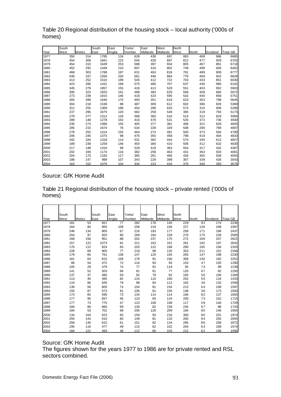|      | South |       | South | East   | Yorks/ | East     | West            | North |       |          |                 |
|------|-------|-------|-------|--------|--------|----------|-----------------|-------|-------|----------|-----------------|
| Year | West  | Wales | East  | Anglia | Humber | Midlands | <b>Midlands</b> | West  | North | Scotland | <b>Total GB</b> |
| 1977 | 350   | 314   | 1785  | 134    | 628    | 438      | 697             | 883   | 468   | 986      | 6685            |
| 1978 | 454   | 306   | 1841  | 215    | 545    | 428      | 697             | 812   | 477   | 929      | 6703            |
| 1979 | 454   | 310   | 1649  | 253    | 588    | 397      | 934             | 805   | 467   | 861      | 6718            |
| 1980 | 452   | 292   | 1449  | 210    | 607    | 416      | 802             | 749   | 499   | 926      | 6402            |
| 1981 | 468   | 303   | 1788  | 187    | 631    | 404      | 818             | 781   | 489   | 909      | 6777            |
| 1982 | 546   | 337   | 1556  | 230    | 661    | 448      | 864             | 776   | 469   | 942      | 6828            |
| 1983 | 413   | 252   | 1510  | 189    | 545    | 412      | 722             | 703   | 433   | 851      | 6030            |
| 1984 | 423   | 280   | 1431  | 168    | 575    | 486      | 707             | 637   | 430   | 966      | 6102            |
| 1985 | 345   | 279   | 1857  | 155    | 418    | 413      | 529             | 551   | 403   | 952      | 5903            |
| 1986 | 395   | 323   | 1833  | 161    | 488    | 383      | 629             | 569   | 309   | 884      | 5972            |
| 1987 | 273   | 239   | 1815  | 146    | 418    | 424      | 595             | 542   | 440   | 858      | 5751            |
| 1988 | 305   | 288   | 1640  | 175    | 493    | 351      | 619             | 623   | 353   | 798      | 5645            |
| 1989 | 304   | 218   | 1538  | 88     | 487    | 309      | 612             | 602   | 386   | 826      | 5369            |
| 1990 | 312   | 255   | 1369  | 186    | 454    | 286      | 633             | 574   | 315   | 906      | 5289            |
| 1991 | 237   | 295   | 1675  | 120    | 562    | 259      | 549             | 365   | 319   | 793      | 5173            |
| 1992 | 278   | 277   | 1312  | 128    | 568    | 360      | 516             | 514   | 312   | 819      | 5084            |
| 1993 | 289   | 148   | 1278  | 163    | 410    | 478      | 531             | 525   | 372   | 736      | 4930            |
| 1994 | 330   | 273   | 1566  | 155    | 405    | 377      | 381             | 406   | 321   | 629      | 4845            |
| 1995 | 285   | 215   | 1674  | 76     | 534    | 228      | 329             | 508   | 280   | 769      | 4897            |
| 1996 | 278   | 255   | 1414  | 155    | 464    | 274      | 481             | 500   | 373   | 594      | 4790            |
| 1997 | 206   | 245   | 1375  | 98     | 476    | 355      | 458             | 798   | 419   | 404      | 4833            |
| 1998 | 342   | 184   | 1318  | 114    | 531    | 362      | 444             | 574   | 345   | 613      | 4827            |
| 1999 | 189   | 239   | 1259  | 146    | 454    | 384      | 410             | 506   | 412   | 632      | 4630            |
| 2000 | 217   | 148   | 1310  | 99     | 529    | 418      | 363             | 554   | 317   | 432      | 4387            |
| 2001 | 202   | 169   | 1174  | 116    | 382    | 258      | 463             | 431   | 363   | 503      | 4061            |
| 2002 | 204   | 170   | 1183  | 117    | 385    | 261      | 466             | 434   | 365   | 508      | 4093            |
| 2003 | 188   | 147   | 999   | 107    | 343    | 229      | 399             | 367   | 339   | 426      | 3543            |
| 2004 | 163   | 152   | 1076  | 104    | 334    | 223      | 416             | 376   | 340   | 393      | 3576            |

Table 20 Regional distribution of the housing stock – local authority ('000s of homes)

#### Source: GfK Home Audit

Table 21 Regional distribution of the housing stock – private rented ('000s of homes)

|      | South |       | South | East   | Yorks/ | East     | West     | North |       |          |                 |
|------|-------|-------|-------|--------|--------|----------|----------|-------|-------|----------|-----------------|
| Year | West  | Wales | East  | Anglia | Humber | Midlands | Midlands | West  | North | Scotland | <b>Total GB</b> |
| 1977 | 181   | 53    | 821   | 77     | 282    | 178      | 145      | 229   | 92    | 174      | 2236            |
| 1978 | 164   | 80    | 850   | 108    | 258    | 219      | 156      | 227   | 128   | 208      | 2397            |
| 1979 | 248   | 134   | 805   | 67     | 216    | 193      | 177      | 258   | 171   | 168      | 2437            |
| 1980 | 204   | 97    | 920   | 80     | 269    | 184      | 159      | 270   | 175   | 228      | 2585            |
| 1981 | 168   | 156   | 951   | 88     | 202    | 237      | 175      | 272   | 169   | 207      | 2622            |
| 1982 | 157   | 122   | 1073  | 91     | 221    | 163      | 161      | 261   | 192   | 197      | 2642            |
| 1983 | 170   | 112   | 824   | 83     | 203    | 122      | 168      | 280   | 165   | 194      | 2320            |
| 1984 | 228   | 69    | 805   | 77     | 218    | 98       | 135      | 353   | 211   | 152      | 2348            |
| 1985 | 179   | 65    | 761   | 136    | 147    | 120      | 193      | 283   | 147   | 198      | 2230            |
| 1986 | 161   | 64    | 815   | 158    | 178    | 91       | 156      | 308   | 130   | 192      | 2252            |
| 1987 | 86    | 54    | 472   | 72     | 116    | 93       | 93       | 153   | 47    | 105      | 1290            |
| 1988 | 105   | 29    | 479   | 74     | 77     | 91       | 119      | 92    | 74    | 99       | 1238            |
| 1989 | 141   | 52    | 503   | 66     | 81     | 61       | 77       | 120   | 67    | 82       | 1250            |
| 1990 | 137   | 37    | 480   | 50     | 92     | 79       | 82       | 165   | 56    | 106      | 1284            |
| 1991 | 113   | 45    | 485   | 82     | 124    | 110      | 100      | 202   | 55    | 116      | 1433            |
| 1992 | 110   | 80    | 635   | 79     | 98     | 94       | 112      | 182   | 36    | 132      | 1558            |
| 1993 | 139   | 56    | 605   | 74     | 104    | 81       | 154      | 213   | 64    | 108      | 1597            |
| 1994 | 155   | 87    | 573   | 91     | 106    | 81       | 155      | 138   | 36    | 173      | 1593            |
| 1995 | 173   | 65    | 595   | 73     | 134    | 114      | 114      | 166   | 82    | 137      | 1655            |
| 1996 | 177   | 95    | 657   | 46     | 110    | 83       | 124      | 200   | 73    | 152      | 1715            |
| 1997 | 177   | 73    | 775   | 47     | 123    | 108      | 108      | 117   | 59    | 140      | 1729            |
| 1998 | 166   | 86    | 660   | 69     | 130    | 82       | 159      | 235   | 67    | 88       | 1743            |
| 1999 | 184   | 53    | 701   | 68     | 206    | 126      | 209      | 184   | 80    | 146      | 1955            |
| 2000 | 134   | 104   | 623   | 65     | 159    | 93       | 216      | 300   | 80    | 201      | 1974            |
| 2001 | 255   | 143   | 610   | 60     | 149    | 81       | 133      | 283   | 84    | 255      | 2055            |
| 2002 | 258   | 145   | 615   | 61     | 151    | 82       | 134      | 285   | 86    | 258      | 2072            |
| 2003 | 195   | 116   | 477   | 49     | 115    | 62       | 102      | 204   | 63    | 189      | 1574            |
| 2004 | 184   | 121   | 493   | 48     | 112    | 66       | 103      | 212   | 62    | 189      | 1590            |

#### Source: GfK Home Audit

The figures shown for the years 1977 to 1986 are for private rented and RSL sectors combined.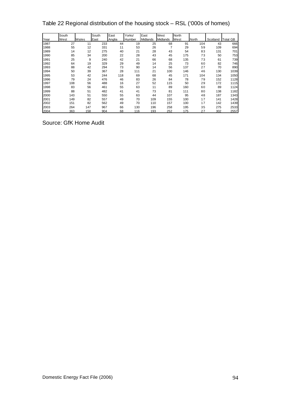Table 22 Regional distribution of the housing stock – RSL ('000s of homes)

|      | South |       | South | East   | Yorks/ | East     | West     | North |       |          |             |
|------|-------|-------|-------|--------|--------|----------|----------|-------|-------|----------|-------------|
| Year | West  | Wales | East  | Anglia | Humber | Midlands | Midlands | West  | North | Scotland | GB<br>Total |
| 1987 | 27    | 11    | 233   | 44     | 19     | 25       | 68       | 91    | 104   | 43       | 666         |
| 1988 | 55    | 12    | 331   | 11     | 53     | 26       | 7        | 29    | 59    | 109      | 694         |
| 1989 | 14    | 12    | 275   | 40     | 21     | 28       | 43       | 54    | 83    | 131      | 701         |
| 1990 | 85    | 34    | 200   | 22     | 28     | 43       | 45       | 175   | 73    | 50       | 753         |
| 1991 | 25    | 9     | 240   | 42     | 21     | 66       | 68       | 135   | 73    | 61       | 739         |
| 1992 | 64    | 19    | 329   | 29     | 49     | 14       | 25       | 73    | 60    | 82       | 746         |
| 1993 | 88    | 42    | 294   | 73     | 90     | 14       | 56       | 137   | 27    | 70       | 890         |
| 1994 | 50    | 39    | 367   | 28     | 111    | 21       | 100      | 146   | 46    | 130      | 1039        |
| 1995 | 53    | 42    | 244   | 118    | 69     | 68       | 45       | 171   | 104   | 134      | 1050        |
| 1996 | 79    | 24    | 476   | 46     | 83     | 26       | 84       | 78    | 79    | 152      | 1128        |
| 1997 | 108   | 56    | 488   | 16     | 27     | 52       | 115      | 50    | 29    | 172      | 1115        |
| 1998 | 83    | 56    | 461   | 55     | 63     | 11       | 89       | 160   | 60    | 89       | 1124        |
| 1999 | 88    | 51    | 482   | 41     | 41     | 73       | 81       | 111   | 80    | 138      | 1182        |
| 2000 | 143   | 51    | 550   | 55     | 63     | 44       | 107      | 95    | 48    | 187      | 1343        |
| 2001 | 149   | 82    | 557   | 49     | 70     | 109      | 155      | 100   | 17    | 141      | 1428        |
| 2002 | 151   | 82    | 562   | 49     | 70     | 110      | 157      | 100   | 17    | 142      | 1439        |
| 2003 | 264   | 147   | 967   | 66     | 130    | 196      | 258      | 195   | 35    | 275      | 2533        |
| 2004 | 363   | 158   | 904   | 68     | 116    | 193      | 252      | 175   | 27    | 302      | 2557        |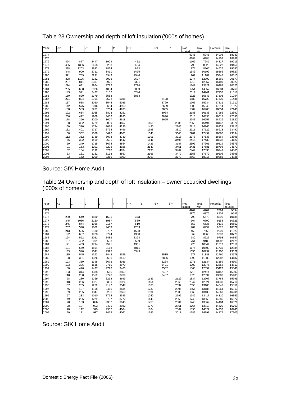| Year | 1"  | 1"   | 2"   | 3"   | 4"   | $4"+$ | 5" | 5"+  |      | $6 +$ | Not    | Total | Potential | Total  |
|------|-----|------|------|------|------|-------|----|------|------|-------|--------|-------|-----------|--------|
|      |     |      |      |      |      |       |    |      |      |       | stated | with  |           | houses |
| 1974 |     |      |      |      |      |       |    |      |      |       | 5945   | 5945  | 14005     | 18783  |
| 1975 |     |      |      |      |      |       |    |      |      |       | 6384   | 6384  | 14158     | 18988  |
| 1976 | 424 | 877  | 2447 | 1909 |      | 422   |    |      |      |       | 1166   | 7246  | 14327     | 19215  |
| 1977 | 495 | 1396 | 2668 | 2253 |      | 624   |    |      |      |       | 790    | 8226  | 14627     | 19450  |
| 1978 | 398 | 1203 | 2682 | 2814 |      | 993   |    |      |      |       | 874    | 8965  | 14626     | 19650  |
| 1979 | 348 | 900  | 2711 | 3411 |      | 1475  |    |      |      |       | 1346   | 10192 | 15265     | 19827  |
| 1980 | 321 | 789  | 3291 | 3943 |      | 1944  |    |      |      |       | 902    | 11189 | 15748     | 20010  |
| 1981 | 308 | 1106 | 3282 | 3996 |      | 2627  |    |      |      |       | 1074   | 12392 | 15860     | 20177  |
| 1982 | 297 | 811  | 3387 | 3921 |      | 3321  |    |      |      |       | 1219   | 12957 | 16189     | 20327  |
| 1983 | 274 | 691  | 2964 | 3772 |      | 4774  |    |      |      |       | 1347   | 13821 | 16469     | 20525  |
| 1984 | 235 | 638  | 2826 | 4034 |      | 5869  |    |      |      |       | 1254   | 14857 | 16884     | 20769  |
| 1985 | 143 | 921  | 2427 | 3187 |      | 6244  |    |      |      |       | 2019   | 14941 | 17133     | 21017  |
| 1986 | 180 | 820  | 2379 | 3588 |      | 6853  |    |      |      |       | 1723   | 15543 | 17503     | 21254  |
| 1987 | 271 | 824  | 2101 | 3502 | 5035 |       |    |      | 2408 |       | 1588   | 15728 | 17530     | 21485  |
| 1988 | 137 | 588  | 2050 | 3544 | 5085 |       |    |      | 2769 |       | 1762   | 15934 | 17821     | 21710  |
| 1989 | 142 | 575  | 2016 | 3684 | 4960 |       |    |      | 2659 |       | 1908   | 15943 | 17614     | 21927  |
| 1990 | 168 | 583  | 2281 | 3764 | 4935 |       |    |      | 2865 |       | 1807   | 16403 | 18054     | 22140  |
| 1991 | 122 | 634  | 2055 | 3823 | 4251 |       |    |      | 3064 |       | 2183   | 16133 | 17986     | 22392  |
| 1992 | 256 | 422  | 1908 | 3456 | 4890 |       |    |      | 2890 |       | 2515   | 16335 | 18018     | 22595  |
| 1993 | 178 | 356  | 2200 | 3607 | 4618 |       |    |      | 2955 |       | 2742   | 16657 | 18426     | 22822  |
| 1994 | 98  | 382  | 1729 | 3039 | 4657 |       |    | 1455 |      | 2585  | 2550   | 16494 | 18147     | 23076  |
| 1995 | 150 | 330  | 1724 | 3078 | 4235 |       |    | 1490 |      | 2945  | 2814   | 16765 | 18334     | 23315  |
| 1996 | 132 | 401  | 1717 | 2794 | 4466 |       |    | 1398 |      | 3310  | 2911   | 17129 | 18613     | 23492  |
| 1997 | 50  | 302  | 1588 | 3426 | 4661 |       |    | 1548 |      | 3643  | 2281   | 17497 | 18866     | 23694  |
| 1998 | 112 | 352  | 1759 | 3078 | 4739 |       |    | 1901 |      | 3318  | 2378   | 17638 | 18864     | 23896  |
| 1999 | 66  | 332  | 1409 | 3631 | 4442 |       |    | 1641 |      | 3495  | 2415   | 17430 | 18832     | 24120  |
| 2000 | 59  | 249  | 1715 | 3674 | 4854 |       |    | 1426 |      | 3187  | 2396   | 17561 | 19229     | 24375  |
| 2001 | 31  | 153  | 1201 | 3236 | 4928 |       |    | 2149 |      | 3451  | 2431   | 17581 | 18798     | 24170  |
| 2002 | 32  | 154  | 1192 | 3210 | 4894 |       |    | 2135 |      | 3467  | 2447   | 17530 | 18949     | 24365  |
| 2003 | 33  | 161  | 1181 | 3138 | 4867 |       |    | 2166 |      | 3470  | 2558   | 17572 | 19206     | 24595  |
| 2004 | 33  | 162  | 1209 | 3319 | 5050 |       |    | 2209 |      | 3770  | 2563   | 18315 | 19383     | 24825  |

Table 23 Ownership and depth of loft insulation ('000s of homes)

Table 24 Ownership and depth of loft insulation – owner occupied dwellings ('000s of homes)

| Year | 1"  |      | 2"   | 3"   |      | $4"+$ | 5"   | 5"+  | 6"+  | Not<br>stated | Total<br>with | Potential | Total<br>houses |
|------|-----|------|------|------|------|-------|------|------|------|---------------|---------------|-----------|-----------------|
| 1974 |     |      |      |      |      |       |      |      |      | 4207          | 4207          | 7894      | 9094            |
| 1975 |     |      |      |      |      |       |      |      |      | 4876          | 4876          | 8407      | 9685            |
| 1976 | 280 | 649  | 1880 | 1595 |      | 373   |      |      |      | 793           | 5570          | 8800      | 10138           |
| 1977 | 345 | 1086 | 2220 | 1987 |      | 589   |      |      |      | 564           | 6790          | 9158      | 10529           |
| 1978 | 245 | 844  | 1926 | 2157 |      | 810   |      |      |      | 553           | 6535          | 9119      | 10550           |
| 1979 | 237 | 590  | 1802 | 2459 |      | 1203  |      |      |      | 707           | 6999          | 9375      | 10672           |
| 1980 | 213 | 505  | 2130 | 2737 |      | 1508  |      |      |      | 458           | 7550          | 9909      | 11023           |
| 1981 | 192 | 667  | 1928 | 2744 |      | 1968  |      |      |      | 562           | 8060          | 9707      | 10778           |
| 1982 | 194 | 552  | 2021 | 2486 |      | 2394  |      |      |      | 580           | 8227          | 9793      | 10857           |
| 1983 | 197 | 432  | 2001 | 2533 |      | 3559  |      |      |      | 761           | 9483          | 10982     | 12175           |
| 1984 | 171 | 463  | 1794 | 2591 |      | 4301  |      |      |      | 725           | 10044         | 11217     | 12319           |
| 1985 | 101 | 659  | 1594 | 2168 |      | 4811  |      |      |      | 1176          | 10509         | 11735     | 12884           |
| 1986 | 133 | 540  | 1541 | 2325 |      | 5343  |      |      |      | 1050          | 10932         | 11900     | 13029           |
| 1987 | 185 | 545  | 1363 | 2443 | 3359 |       |      | 2515 |      | 977           | 11388         | 12460     | 13778           |
| 1988 | 98  | 381  | 1376 | 2636 | 3419 |       |      | 2886 |      | 1090          | 11888         | 12987     | 14132           |
| 1989 | 103 | 389  | 1395 | 2676 | 4036 |       |      | 2264 |      | 1271          | 12134         | 13159     | 14607           |
| 1990 | 133 | 396  | 1535 | 2710 | 3979 |       |      | 2421 |      | 1200          | 12375         | 13354     | 14813           |
| 1991 | 80  | 426  | 1477 | 2798 | 3463 |       |      | 2552 |      | 1563          | 12359         | 13427     | 15048           |
| 1992 | 193 | 314  | 1338 | 2565 | 3859 |       |      | 2427 |      | 1718          | 12414         | 13457     | 15207           |
| 1993 | 118 | 288  | 1559 | 2728 | 3739 |       |      | 2437 |      | 1825          | 12694         | 13700     | 15405           |
| 1994 | 68  | 280  | 1269 | 2298 | 3693 |       | 1136 |      | 2129 | 1834          | 12707         | 13788     | 15599           |
| 1995 | 118 | 256  | 1327 | 2330 | 3324 |       | 1154 |      | 2365 | 2047          | 12921         | 13930     | 15714           |
| 1996 | 107 | 285  | 1262 | 2147 | 3547 |       | 1065 |      | 2637 | 2056          | 13106         | 14043     | 15859           |
| 1997 | 46  | 197  | 1158 | 2465 | 3634 |       | 1232 |      | 2896 | 1557          | 13186         | 14064     | 16017           |
| 1998 | 69  | 255  | 1347 | 2296 | 3669 |       | 1534 |      | 2600 | 1669          | 13439         | 14260     | 16201           |
| 1999 | 57  | 233  | 1010 | 2754 | 3585 |       | 1240 |      | 2792 | 1746          | 13417         | 14310     | 16353           |
| 2000 | 49  | 205  | 1279 | 2797 | 3772 |       | 1143 |      | 2559 | 1749          | 13553         | 14585     | 16672           |
| 2001 | 28  | 103  | 896  | 2382 | 3945 |       | 1755 |      | 2804 | 1748          | 13662         | 14404     | 16626           |
| 2002 | 28  | 107  | 903  | 2400 | 3982 |       | 1772 |      | 2861 | 1764          | 13818         | 14520     | 16760           |
| 2003 | 28  | 112  | 929  | 2387 | 4004 |       | 1804 |      | 2862 | 1896          | 14022         | 14733     | 16945           |
| 2004 | 29  | 111  | 937  | 2459 | 4061 |       | 1796 |      | 3017 | 1789          | 14197         | 14874     | 17103           |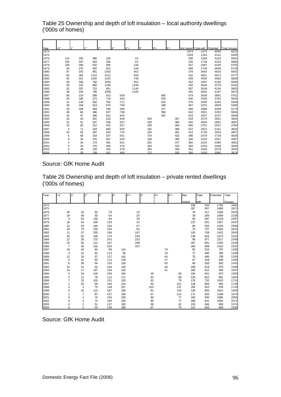Table 25 Ownership and depth of loft insulation – local authority dwellings ('000s of homes)

| Year<br>1974 | <1" | 1"  | l2"  | 3"   | 4"  | $4"+$ | 5"  | $5+$ | l6"+ |     | Not stated Total with |      | Potential | <b>Total houses</b> |
|--------------|-----|-----|------|------|-----|-------|-----|------|------|-----|-----------------------|------|-----------|---------------------|
|              |     |     |      |      |     |       |     |      |      |     | 1074                  | 1074 | 4008      | 6223                |
| 1975         |     |     |      |      |     |       |     |      |      |     | 1263                  | 1263 | 4141      | 6430                |
| 1976         | 114 | 195 | 485  | 235  |     | 34    |     |      |      |     | 295                   | 1359 | 4220      | 6552                |
| 1977         | 155 | 347 | 553  | 384  |     | 65    |     |      |      |     | 235                   | 1739 | 4319      | 6685                |
| 1978         | 149 | 299 | 632  | 585  |     | 146   |     |      |      |     | 257                   | 2067 | 4430      | 6703                |
| 1979         | 95  | 270 | 832  | 815  |     | 249   |     |      |      |     | 489                   | 2749 | 4649      | 6718                |
| 1980         | 87  | 242 | 961  | 1032 |     | 362   |     |      |      |     | 379                   | 3063 | 4626      | 6402                |
| 1981         | 92  | 365 | 1133 | 1012 |     | 558   |     |      |      |     | 442                   | 3601 | 4872      | 6777                |
| 1982         | 91  | 221 | 1160 | 1242 |     | 746   |     |      |      |     | 539                   | 4000 | 4966      | 6828                |
| 1983         | 56  | 209 | 762  | 1056 |     | 952   |     |      |      |     | 452                   | 3487 | 4106      | 6030                |
| 1984         | 50  | 142 | 850  | 1185 |     | 1186  |     |      |      |     | 432                   | 3846 | 4278      | 6102                |
| 1985         | 32  | 207 | 721  | 851  |     | 1140  |     |      |      |     | 587                   | 3538 | 4104      | 5903                |
| 1986         | 39  | 233 | 705  | 1058 |     | 1165  |     |      |      |     | 491                   | 3691 | 4187      | 5972                |
| 1987         | 68  | 219 | 589  | 913  | 639 |       |     |      | 605  |     | 474                   | 3508 | 3891      | 5751                |
| 1988         | 34  | 160 | 573  | 716  | 633 |       |     |      | 678  |     | 536                   | 3330 | 3784      | 5645                |
| 1989         | 21  | 149 | 502  | 782  | 711 |       |     |      | 310  |     | 475                   | 2950 | 3294      | 5369                |
| 1990         | 29  | 158 | 613  | 870  | 768 |       |     |      | 348  |     | 467                   | 3254 | 3609      | 5289                |
| 1991         | 33  | 169 | 464  | 780  | 599 |       |     |      | 377  |     | 466                   | 2888 | 3338      | 5173                |
| 1992         | 48  | 84  | 485  | 637  | 798 |       |     |      | 356  |     | 542                   | 2951 | 3293      | 5084                |
| 1993         | 42  | 47  | 486  | 641  | 645 |       |     |      | 352  |     | 623                   | 2837 | 3237      | 4930                |
| 1994         | 24  | 53  | 301  | 523  | 648 |       | 204 |      |      | 307 | 518                   | 2579 | 2861      | 4845                |
| 1995         | 31  | 51  | 267  | 536  | 637 |       | 226 |      |      | 366 | 492                   | 2606 | 2891      | 4897                |
| 1996         | 15  | 82  | 312  | 422  | 627 |       | 229 |      |      | 463 | 550                   | 2701 | 2937      | 4790                |
| 1997         | 3   | 71  | 319  | 665  | 655 |       | 191 |      |      | 486 | 522                   | 2912 | 3161      | 4833                |
| 1998         | 32  | 82  | 287  | 540  | 710 |       | 224 |      |      | 462 | 412                   | 2749 | 2933      | 4827                |
| 1999         | 5   | 68  | 234  | 537  | 541 |       | 274 |      |      | 432 | 386                   | 2478 | 2728      | 4630                |
| 2000         | 9   | 34  | 275  | 507  | 565 |       | 159 |      |      | 366 | 336                   | 2253 | 2567      | 4387                |
| 2001         | 3   | 34  | 174  | 491  | 561 |       | 201 |      |      | 377 | 382                   | 2225 | 2389      | 4061                |
| 2002         | 3   | 34  | 175  | 494  | 476 |       | 254 |      |      | 424 | 394                   | 2254 | 2408      | 4093                |
| 2003         | 3   | 29  | 139  | 425  | 378 |       | 263 |      |      | 346 | 361                   | 1945 | 2078      | 3543                |
| 2004         | d.  | 28  | 138  | 431  | 485 |       | 172 |      |      | 333 | 340                   | 1930 | 2060      | 3576                |

## Source: GfK Home Audit

Table 26 Ownership and depth of loft insulation – private rented dwellings ('000s of homes)

| Year | <1"                     | 1"             | 2"  | 3"  | 4"  | $4"+$ | 5"  | l5"+ | $6 +$ |     | Not    | Total | Potential | Total  |
|------|-------------------------|----------------|-----|-----|-----|-------|-----|------|-------|-----|--------|-------|-----------|--------|
|      |                         |                |     |     |     |       |     |      |       |     | stated | with  |           | houses |
| 1974 |                         |                |     |     |     |       |     |      |       |     | 439    | 439   | 1795      | 3466   |
| 1975 |                         |                |     |     |     |       |     |      |       |     | 357    | 357   | 1488      | 2872   |
| 1976 | 30                      | 33             | 82  | 79  |     | 15    |     |      |       |     | 78     | 317   | 1308      | 2525   |
| 1977 | 24                      | 49             | 93  | 64  |     | 20    |     |      |       |     | 39     | 289   | 1099      | 2236   |
| 1978 | 9                       | 52             | 130 | 96  |     | 36    |     |      |       |     | 65     | 387   | 1129      | 2397   |
| 1979 | 16                      | 54             | 100 | 163 |     | 31    |     |      |       |     | 137    | 501   | 1307      | 2437   |
| 1980 | 22                      | 43             | 194 | 164 |     | 67    |     |      |       |     | 66     | 555   | 1429      | 2585   |
| 1981 | 24                      | 73             | 219 | 230 |     | 92    |     |      |       |     | 70     | 707   | 1569      | 2622   |
| 1982 | 11                      | 37             | 203 | 186 |     | 167   |     |      |       |     | 103    | 708   | 1422      | 2642   |
| 1983 | 20                      | 50             | 196 | 175 |     | 246   |     |      |       |     | 138    | 825   | 1373      | 2320   |
| 1984 | 12                      | 28             | 173 | 242 |     | 323   |     |      |       |     | 99     | 877   | 1317      | 2348   |
| 1985 | 10                      | 56             | 112 | 167 |     | 289   |     |      |       |     | 267    | 891   | 1295      | 2230   |
| 1986 | $\overline{7}$          | 45             | 132 | 203 |     | 337   |     |      |       |     | 184    | 908   | 1410      | 2252   |
| 1987 | 19                      | 40             | 83  | 99  | 114 |       |     |      | 79    |     | 82     | 515   | 797       | 1290   |
| 1988 | 3                       | 42             | 81  | 113 | 95  |       |     |      | 78    |     | 77     | 490   | 780       | 1238   |
| 1989 | 12                      | 18             | 57  | 137 | 141 |       |     |      | 46    |     | 75     | 486   | 739       | 1250   |
| 1990 | 5                       | 16             | 63  | 112 | 118 |       |     |      | 47    |     | 57     | 418   | 648       | 1284   |
| 1991 | 6                       | 38             | 94  | 153 | 126 |       |     |      | 50    |     | 96     | 563   | 833       | 1433   |
| 1992 | 10                      | 15             | 52  | 164 | 140 |       |     |      | 49    |     | 189    | 619   | 870       | 1558   |
| 1993 | 14                      | 17             | 107 | 136 | 132 |       |     |      | 41    |     | 166    | 612   | 933       | 1597   |
| 1994 | 5                       | 19             | 118 | 100 | 194 |       |     | 35   |       | 65  | 104    | 641   | 872       | 1593   |
| 1995 | $\overline{\mathbf{c}}$ | 11             | 78  | 112 | 171 |       |     | 53   |       | 89  | 135    | 652   | 861       | 1655   |
| 1996 | $\overline{7}$          | 23             | 103 | 151 | 133 |       |     | 62   |       | 75  | 178    | 732   | 1010      | 1715   |
| 1997 | 1                       | 25             | 66  | 186 | 214 |       |     | 64   |       | 121 | 128    | 804   | 994       | 1729   |
| 1998 | 3                       | 3              | 75  | 148 | 157 |       | 103 |      |       | 137 | 182    | 810   | 978       | 1743   |
| 1999 | 0                       | 18             | 113 | 187 | 185 |       | 81  |      |       | 135 | 136    | 855   | 1043      | 1955   |
| 2000 | 1                       | $\overline{7}$ | 87  | 237 | 240 |       | 67  |      |       | 115 | 171    | 925   | 1188      | 1974   |
| 2001 | 0                       | $\overline{2}$ | 70  | 184 | 225 |       |     | 90   |       | 77  | 182    | 830   | 1085      | 2055   |
| 2002 | 0                       | $\overline{2}$ | 73  | 185 | 226 |       |     | 90   |       | 77  | 188    | 841   | 1094      | 2072   |
| 2003 | 0                       | $\overline{2}$ | 51  | 137 | 182 |       |     | 58   |       | 62  | 153    | 646   | 828       | 1574   |
| 2004 | $\Omega$                | $\overline{2}$ | 53  | 136 | 180 |       |     | 67   |       | 75  | 141    | 655   | 829       | 1590   |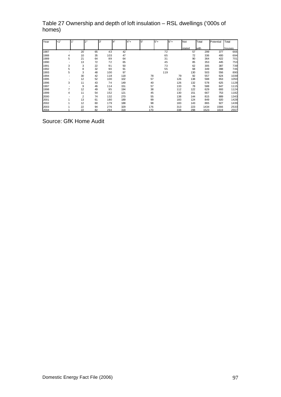| Year | <1" |                          | 1" | 2" | 3"  | 4"  | $4"+$<br>:5" |     | l5"+ | $6 +$ | Not    | Total | Potential | Total  |
|------|-----|--------------------------|----|----|-----|-----|--------------|-----|------|-------|--------|-------|-----------|--------|
|      |     |                          |    |    |     |     |              |     |      |       | stated | with  |           | houses |
| 1987 |     |                          | 20 | 65 | 43  | 42  |              |     | 72   |       | 57     | 299   | 377       | 666    |
| 1988 |     | 4                        | 10 | 35 | 103 | 47  |              |     | 65   |       | 72     | 336   | 400       | 694    |
| 1989 |     | 5                        | 21 | 64 | 89  | 64  |              |     | 31   |       | 90     | 364   | 422       | 701    |
| 1990 |     |                          | 13 | 72 | 72  | 65  |              |     | 45   |       | 85     | 353   | 445       | 753    |
| 1991 |     | 3                        | 3  | 22 | 91  | 50  |              |     | 73   |       | 62     | 305   | 387       | 739    |
| 1992 |     | 5                        | 8  | 32 | 90  | 91  |              |     | 55   |       | 68     | 349   | 398       | 746    |
| 1993 |     | 5                        | 3  | 48 | 100 | 97  |              |     | 119  |       | 130    | 503   | 556       | 890    |
| 1994 |     | $\overline{\phantom{0}}$ | 30 | 42 | 118 | 118 |              | 78  |      | 79    | 92     | 557   | 624       | 1039   |
| 1995 |     | $\overline{\phantom{0}}$ | 12 | 52 | 100 | 102 |              | 57  |      | 126   | 138    | 588   | 653       | 1050   |
| 1996 |     | 3                        | 11 | 43 | 74  | 149 |              | 40  |      | 126   | 132    | 578   | 625       | 1128   |
| 1997 |     |                          | 9  | 46 | 114 | 151 |              | 57  |      | 133   | 78     | 588   | 647       | 1115   |
| 1998 |     |                          | 12 | 49 | 95  | 194 |              | 38  |      | 112   | 122    | 629   | 693       | 1124   |
| 1999 |     | 4                        | 11 | 54 | 152 | 121 |              | 45  |      | 130   | 151    | 667   | 753       | 1182   |
| 2000 |     |                          | 2  | 74 | 132 | 270 |              | 55  |      | 138   | 144    | 815   | 889       | 1343   |
| 2001 |     |                          | 13 | 61 | 180 | 189 |              | 99  |      | 183   | 124    | 849   | 920       | 1428   |
| 2002 |     |                          | 12 | 60 | 179 | 188 |              | 98  |      | 183   | 143    | 865   | 927       | 1439   |
| 2003 |     |                          | 22 | 94 | 276 | 329 |              | 176 |      | 313   | 223    | 1434  | 1566      | 2533   |
| 2004 |     |                          | 22 | 82 | 294 | 318 |              | 170 |      | 338   | 298    | 1523  | 1619      | 2557   |

## Table 27 Ownership and depth of loft insulation – RSL dwellings ('000s of homes)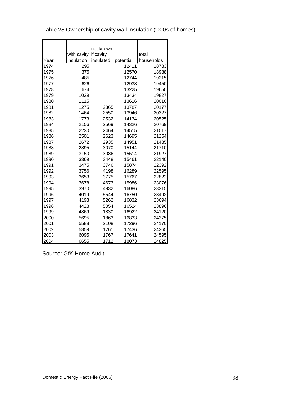|      |             | not known |           |            |
|------|-------------|-----------|-----------|------------|
|      | with cavity | if cavity |           | total      |
| Year | insulation  | insulated | potential | households |
| 1974 | 295         |           | 12411     | 18783      |
| 1975 | 375         |           | 12570     | 18988      |
| 1976 | 485         |           | 12744     | 19215      |
| 1977 | 626         |           | 12938     | 19450      |
| 1978 | 674         |           | 13225     | 19650      |
| 1979 | 1029        |           | 13434     | 19827      |
| 1980 | 1115        |           | 13616     | 20010      |
| 1981 | 1275        | 2365      | 13787     | 20177      |
| 1982 | 1464        | 2550      | 13946     | 20327      |
| 1983 | 1773        | 2532      | 14134     | 20525      |
| 1984 | 2156        | 2569      | 14326     | 20769      |
| 1985 | 2230        | 2464      | 14515     | 21017      |
| 1986 | 2501        | 2623      | 14695     | 21254      |
| 1987 | 2672        | 2935      | 14951     | 21485      |
| 1988 | 2895        | 3070      | 15144     | 21710      |
| 1989 | 3150        | 3086      | 15514     | 21927      |
| 1990 | 3369        | 3448      | 15461     | 22140      |
| 1991 | 3475        | 3746      | 15874     | 22392      |
| 1992 | 3756        | 4198      | 16289     | 22595      |
| 1993 | 3653        | 3775      | 15767     | 22822      |
| 1994 | 3678        | 4673      | 15986     | 23076      |
| 1995 | 3970        | 4932      | 16086     | 23315      |
| 1996 | 4019        | 5544      | 16750     | 23492      |
| 1997 | 4193        | 5262      | 16832     | 23694      |
| 1998 | 4428        | 5054      | 16524     | 23896      |
| 1999 | 4869        | 1830      | 16922     | 24120      |
| 2000 | 5695        | 1863      | 16833     | 24375      |
| 2001 | 5588        | 2108      | 17296     | 24170      |
| 2002 | 5859        | 1761      | 17436     | 24365      |
| 2003 | 6095        | 1767      | 17641     | 24595      |
| 2004 | 6655        | 1712      | 18073     | 24825      |

Table 28 Ownership of cavity wall insulation ('000s of homes)

 $\overline{\phantom{a}}$ 

 $\blacksquare$ 

 $\overline{\phantom{a}}$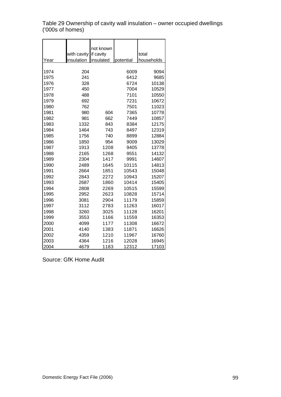Table 29 Ownership of cavity wall insulation – owner occupied dwellings ('000s of homes)

|      |                       | not known |           |            |
|------|-----------------------|-----------|-----------|------------|
|      | with cavity if cavity |           |           | total      |
| Year | insulation            | insulated | potential | households |
|      |                       |           |           |            |
| 1974 | 204                   |           | 6009      | 9094       |
| 1975 | 241                   |           | 6412      | 9685       |
| 1976 | 328                   |           | 6724      | 10138      |
| 1977 | 450                   |           | 7004      | 10529      |
| 1978 | 488                   |           | 7101      | 10550      |
| 1979 | 692                   |           | 7231      | 10672      |
| 1980 | 762                   |           | 7501      | 11023      |
| 1981 | 980                   | 604       | 7365      | 10778      |
| 1982 | 981                   | 662       | 7449      | 10857      |
| 1983 | 1332                  | 843       | 8384      | 12175      |
| 1984 | 1464                  | 743       | 8497      | 12319      |
| 1985 | 1756                  | 740       | 8899      | 12884      |
| 1986 | 1850                  | 954       | 9009      | 13029      |
| 1987 | 1913                  | 1208      | 9405      | 13778      |
| 1988 | 2165                  | 1268      | 9551      | 14132      |
| 1989 | 2304                  | 1417      | 9991      | 14607      |
| 1990 | 2489                  | 1645      | 10115     | 14813      |
| 1991 | 2664                  | 1851      | 10543     | 15048      |
| 1992 | 2843                  | 2272      | 10943     | 15207      |
| 1993 | 2687                  | 1860      | 10414     | 15405      |
| 1994 | 2808                  | 2269      | 10515     | 15599      |
| 1995 | 2952                  | 2623      | 10828     | 15714      |
| 1996 | 3081                  | 2904      | 11179     | 15859      |
| 1997 | 3112                  | 2783      | 11263     | 16017      |
| 1998 | 3260                  | 3025      | 11128     | 16201      |
| 1999 | 3553                  | 1166      | 11559     | 16353      |
| 2000 | 4099                  | 1177      | 11308     | 16672      |
| 2001 | 4140                  | 1383      | 11871     | 16626      |
| 2002 | 4359                  | 1210      | 11967     | 16760      |
| 2003 | 4364                  | 1216      | 12028     | 16945      |
| 2004 | 4679                  | 1183      | 12312     | 17103      |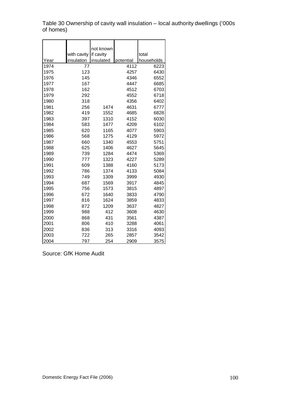Table 30 Ownership of cavity wall insulation – local authority dwellings ('000s of homes)

|      |             | not known |           |            |
|------|-------------|-----------|-----------|------------|
|      | with cavity | if cavity |           | total      |
| Year | insulation  | insulated | potential | households |
| 1974 | 77          |           | 4112      | 6223       |
| 1975 | 123         |           | 4257      | 6430       |
| 1976 | 145         |           | 4346      | 6552       |
| 1977 | 167         |           | 4447      | 6685       |
| 1978 | 162         |           | 4512      | 6703       |
| 1979 | 292         |           | 4552      | 6718       |
| 1980 | 318         |           | 4356      | 6402       |
| 1981 | 256         | 1474      | 4631      | 6777       |
| 1982 | 419         | 1552      | 4685      | 6828       |
| 1983 | 397         | 1310      | 4152      | 6030       |
| 1984 | 583         | 1477      | 4209      | 6102       |
| 1985 | 620         | 1165      | 4077      | 5903       |
| 1986 | 568         | 1275      | 4129      | 5972       |
| 1987 | 660         | 1340      | 4553      | 5751       |
| 1988 | 625         | 1406      | 4627      | 5645       |
| 1989 | 739         | 1284      | 4474      | 5369       |
| 1990 | 777         | 1323      | 4227      | 5289       |
| 1991 | 609         | 1388      | 4160      | 5173       |
| 1992 | 786         | 1374      | 4133      | 5084       |
| 1993 | 749         | 1309      | 3999      | 4930       |
| 1994 | 687         | 1569      | 3917      | 4845       |
| 1995 | 756         | 1573      | 3815      | 4897       |
| 1996 | 672         | 1640      | 3833      | 4790       |
| 1997 | 816         | 1624      | 3859      | 4833       |
| 1998 | 872         | 1209      | 3637      | 4827       |
| 1999 | 988         | 412       | 3608      | 4630       |
| 2000 | 868         | 431       | 3561      | 4387       |
| 2001 | 806         | 410       | 3288      | 4061       |
| 2002 | 836         | 313       | 3316      | 4093       |
| 2003 | 722         | 265       | 2857      | 3542       |
| 2004 | 797         | 254       | 2909      | 3575       |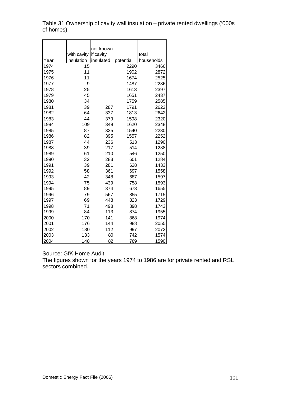Table 31 Ownership of cavity wall insulation – private rented dwellings ('000s of homes)

|      | with cavity | not known<br>if cavity |           | total      |
|------|-------------|------------------------|-----------|------------|
| Year | insulation  | insulated              | potential | households |
| 1974 | 15          |                        | 2290      | 3466       |
| 1975 | 11          |                        | 1902      | 2872       |
| 1976 | 11          |                        | 1674      | 2525       |
| 1977 | 9           |                        | 1487      | 2236       |
| 1978 | 25          |                        | 1613      | 2397       |
| 1979 | 45          |                        | 1651      | 2437       |
| 1980 | 34          |                        | 1759      | 2585       |
| 1981 | 39          | 287                    | 1791      | 2622       |
| 1982 | 64          | 337                    | 1813      | 2642       |
| 1983 | 44          | 379                    | 1598      | 2320       |
| 1984 | 109         | 349                    | 1620      | 2348       |
| 1985 | 87          | 325                    | 1540      | 2230       |
| 1986 | 82          | 395                    | 1557      | 2252       |
| 1987 | 44          | 236                    | 513       | 1290       |
| 1988 | 39          | 217                    | 514       | 1238       |
| 1989 | 61          | 210                    | 546       | 1250       |
| 1990 | 32          | 283                    | 601       | 1284       |
| 1991 | 39          | 281                    | 628       | 1433       |
| 1992 | 58          | 361                    | 697       | 1558       |
| 1993 | 42          | 348                    | 687       | 1597       |
| 1994 | 75          | 439                    | 758       | 1593       |
| 1995 | 89          | 374                    | 673       | 1655       |
| 1996 | 79          | 567                    | 855       | 1715       |
| 1997 | 69          | 448                    | 823       | 1729       |
| 1998 | 71          | 498                    | 898       | 1743       |
| 1999 | 84          | 113                    | 874       | 1955       |
| 2000 | 170         | 141                    | 868       | 1974       |
| 2001 | 176         | 144                    | 988       | 2055       |
| 2002 | 180         | 112                    | 997       | 2072       |
| 2003 | 133         | 80                     | 742       | 1574       |
| 2004 | 148         | 82                     | 769       | 1590       |

#### Source: GfK Home Audit

The figures shown for the years 1974 to 1986 are for private rented and RSL sectors combined.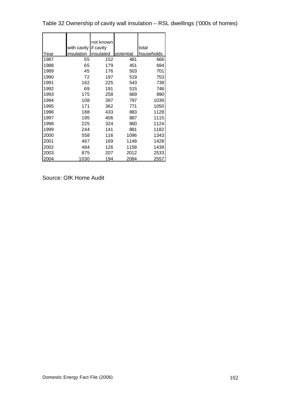Table 32 Ownership of cavity wall insulation – RSL dwellings ('000s of homes)

|      |                       | not known |           |            |
|------|-----------------------|-----------|-----------|------------|
|      | with cavity if cavity |           |           | total      |
| Year | insulation            | insulated | potential | households |
| 1987 | 55                    | 152       | 481       | 666        |
| 1988 | 65                    | 179       | 451       | 694        |
| 1989 | 45                    | 176       | 503       | 701        |
| 1990 | 72                    | 197       | 519       | 753        |
| 1991 | 162                   | 225       | 543       | 739        |
| 1992 | 69                    | 191       | 515       | 746        |
| 1993 | 175                   | 258       | 669       | 890        |
| 1994 | 108                   | 397       | 797       | 1039       |
| 1995 | 171                   | 362       | 771       | 1050       |
| 1996 | 188                   | 433       | 883       | 1128       |
| 1997 | 195                   | 406       | 887       | 1115       |
| 1998 | 225                   | 324       | 860       | 1124       |
| 1999 | 244                   | 141       | 881       | 1182       |
| 2000 | 558                   | 116       | 1096      | 1343       |
| 2001 | 467                   | 169       | 1148      | 1428       |
| 2002 | 484                   | 126       | 1158      | 1439       |
| 2003 | 875                   | 207       | 2012      | 2533       |
| 2004 | 1030                  | 194       | 2084      | 2557       |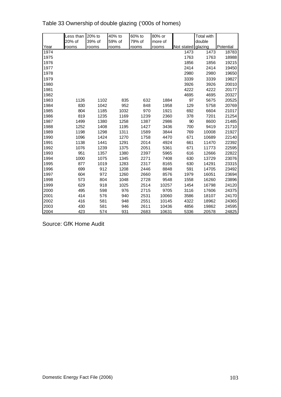|      | Less than | 20% to | 40% to | 60% to | 80% or  |                    | Total with |           |
|------|-----------|--------|--------|--------|---------|--------------------|------------|-----------|
|      | 20% of    | 39% of | 59% of | 79% of | more of |                    | double     |           |
| Year | rooms     | rooms  | rooms  | rooms  | rooms   | Not stated glazing |            | Potential |
| 1974 |           |        |        |        |         | 1473               | 1473       | 18783     |
| 1975 |           |        |        |        |         | 1763               | 1763       | 18988     |
| 1976 |           |        |        |        |         | 1856               | 1856       | 19215     |
| 1977 |           |        |        |        |         | 2414               | 2414       | 19450     |
| 1978 |           |        |        |        |         | 2980               | 2980       | 19650     |
| 1979 |           |        |        |        |         | 3339               | 3339       | 19827     |
| 1980 |           |        |        |        |         | 3926               | 3926       | 20010     |
| 1981 |           |        |        |        |         | 4222               | 4222       | 20177     |
| 1982 |           |        |        |        |         | 4695               | 4695       | 20327     |
| 1983 | 1126      | 1102   | 835    | 632    | 1884    | 97                 | 5675       | 20525     |
| 1984 | 830       | 1042   | 952    | 848    | 1958    | 129                | 5758       | 20769     |
| 1985 | 804       | 1185   | 1032   | 970    | 1921    | 692                | 6604       | 21017     |
| 1986 | 819       | 1235   | 1169   | 1239   | 2360    | 378                | 7201       | 21254     |
| 1987 | 1499      | 1380   | 1258   | 1387   | 2986    | 90                 | 8600       | 21485     |
| 1988 | 1252      | 1408   | 1195   | 1427   | 3436    | 700                | 9419       | 21710     |
| 1989 | 1198      | 1298   | 1311   | 1589   | 3844    | 769                | 10008      | 21927     |
| 1990 | 1096      | 1424   | 1270   | 1758   | 4470    | 671                | 10689      | 22140     |
| 1991 | 1138      | 1441   | 1291   | 2014   | 4924    | 661                | 11470      | 22392     |
| 1992 | 1076      | 1239   | 1375   | 2051   | 5361    | 671                | 11773      | 22595     |
| 1993 | 951       | 1357   | 1380   | 2397   | 5965    | 616                | 12666      | 22822     |
| 1994 | 1000      | 1075   | 1345   | 2271   | 7408    | 630                | 13729      | 23076     |
| 1995 | 877       | 1019   | 1283   | 2317   | 8165    | 630                | 14291      | 23315     |
| 1996 | 699       | 912    | 1208   | 2446   | 8848    | 591                | 14705      | 23492     |
| 1997 | 604       | 972    | 1260   | 2660   | 8576    | 1979               | 16051      | 23694     |
| 1998 | 573       | 804    | 1048   | 2728   | 9548    | 1558               | 16260      | 23896     |
| 1999 | 629       | 918    | 1025   | 2514   | 10257   | 1454               | 16798      | 24120     |
| 2000 | 495       | 598    | 976    | 2715   | 9705    | 3116               | 17606      | 24375     |
| 2001 | 414       | 576    | 940    | 2531   | 10060   | 3586               | 18107      | 24170     |
| 2002 | 416       | 581    | 948    | 2551   | 10145   | 4322               | 18962      | 24365     |
| 2003 | 430       | 581    | 946    | 2611   | 10436   | 4856               | 19862      | 24595     |
| 2004 | 423       | 574    | 931    | 2683   | 10631   | 5336               | 20578      | 24825     |

Table 33 Ownership of double glazing ('000s of homes)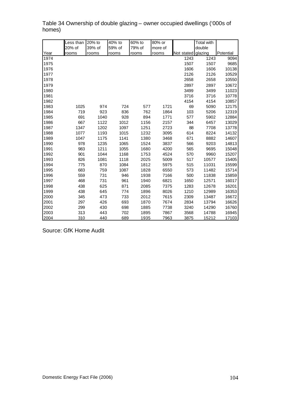|      | Less than | 20% to | 40% to | 60% to | 80% or  |                    | Total with |           |
|------|-----------|--------|--------|--------|---------|--------------------|------------|-----------|
|      | 20% of    | 39% of | 59% of | 79% of | more of |                    | double     |           |
| Year | rooms     | rooms  | rooms  | rooms  | rooms   | Not stated glazing |            | Potential |
| 1974 |           |        |        |        |         | 1243               | 1243       | 9094      |
| 1975 |           |        |        |        |         | 1507               | 1507       | 9685      |
| 1976 |           |        |        |        |         | 1606               | 1606       | 10138     |
| 1977 |           |        |        |        |         | 2126               | 2126       | 10529     |
| 1978 |           |        |        |        |         | 2658               | 2658       | 10550     |
| 1979 |           |        |        |        |         | 2897               | 2897       | 10672     |
| 1980 |           |        |        |        |         | 3499               | 3499       | 11023     |
| 1981 |           |        |        |        |         | 3716               | 3716       | 10778     |
| 1982 |           |        |        |        |         | 4154               | 4154       | 10857     |
| 1983 | 1025      | 974    | 724    | 577    | 1721    | 69                 | 5090       | 12175     |
| 1984 | 719       | 923    | 836    | 762    | 1864    | 103                | 5206       | 12319     |
| 1985 | 691       | 1040   | 928    | 894    | 1771    | 577                | 5902       | 12884     |
| 1986 | 667       | 1122   | 1012   | 1156   | 2157    | 344                | 6457       | 13029     |
| 1987 | 1347      | 1202   | 1097   | 1251   | 2723    | 88                 | 7708       | 13778     |
| 1988 | 1077      | 1193   | 1015   | 1232   | 3095    | 614                | 8224       | 14132     |
| 1989 | 1047      | 1175   | 1141   | 1380   | 3468    | 671                | 8882       | 14607     |
| 1990 | 978       | 1235   | 1065   | 1524   | 3837    | 566                | 9203       | 14813     |
| 1991 | 983       | 1211   | 1055   | 1680   | 4200    | 565                | 9695       | 15048     |
| 1992 | 901       | 1044   | 1168   | 1753   | 4524    | 570                | 9960       | 15207     |
| 1993 | 826       | 1081   | 1118   | 2025   | 5009    | 517                | 10577      | 15405     |
| 1994 | 775       | 870    | 1084   | 1812   | 5975    | 515                | 11031      | 15599     |
| 1995 | 683       | 759    | 1087   | 1828   | 6550    | 573                | 11482      | 15714     |
| 1996 | 559       | 731    | 946    | 1938   | 7166    | 500                | 11838      | 15859     |
| 1997 | 468       | 731    | 961    | 1940   | 6821    | 1650               | 12571      | 16017     |
| 1998 | 438       | 625    | 871    | 2085   | 7375    | 1283               | 12678      | 16201     |
| 1999 | 438       | 645    | 774    | 1896   | 8026    | 1210               | 12989      | 16353     |
| 2000 | 345       | 473    | 733    | 2012   | 7615    | 2309               | 13487      | 16672     |
| 2001 | 297       | 426    | 693    | 1870   | 7674    | 2834               | 13794      | 16626     |
| 2002 | 299       | 430    | 698    | 1885   | 7738    | 3240               | 14290      | 16760     |
| 2003 | 313       | 443    | 702    | 1895   | 7867    | 3568               | 14788      | 16945     |
| 2004 | 310       | 440    | 689    | 1935   | 7963    | 3875               | 15212      | 17103     |

Table 34 Ownership of double glazing – owner occupied dwellings ('000s of homes)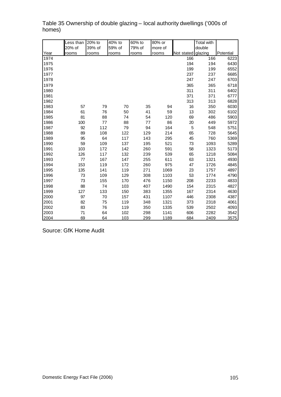|      | Less than | 20% to | 40% to | 60% to | 80% or  |                    | <b>Total with</b> |           |
|------|-----------|--------|--------|--------|---------|--------------------|-------------------|-----------|
|      | 20% of    | 39% of | 59% of | 79% of | more of |                    | double            |           |
| Year | rooms     | rooms  | rooms  | rooms  | rooms   | Not stated glazing |                   | Potential |
| 1974 |           |        |        |        |         | 166                | 166               | 6223      |
| 1975 |           |        |        |        |         | 194                | 194               | 6430      |
| 1976 |           |        |        |        |         | 199                | 199               | 6552      |
| 1977 |           |        |        |        |         | 237                | 237               | 6685      |
| 1978 |           |        |        |        |         | 247                | 247               | 6703      |
| 1979 |           |        |        |        |         | 365                | 365               | 6718      |
| 1980 |           |        |        |        |         | 311                | 311               | 6402      |
| 1981 |           |        |        |        |         | 371                | 371               | 6777      |
| 1982 |           |        |        |        |         | 313                | 313               | 6828      |
| 1983 | 57        | 79     | 70     | 35     | 94      | 16                 | 350               | 6030      |
| 1984 | 61        | 76     | 50     | 41     | 59      | 13                 | 302               | 6102      |
| 1985 | 81        | 88     | 74     | 54     | 120     | 69                 | 486               | 5903      |
| 1986 | 100       | 77     | 88     | 77     | 86      | 20                 | 449               | 5972      |
| 1987 | 92        | 112    | 79     | 94     | 164     | 5                  | 548               | 5751      |
| 1988 | 89        | 108    | 122    | 129    | 214     | 65                 | 728               | 5645      |
| 1989 | 95        | 64     | 117    | 143    | 295     | 45                 | 760               | 5369      |
| 1990 | 59        | 109    | 137    | 195    | 521     | 73                 | 1093              | 5289      |
| 1991 | 103       | 172    | 142    | 260    | 591     | 58                 | 1323              | 5173      |
| 1992 | 126       | 117    | 132    | 239    | 539     | 65                 | 1218              | 5084      |
| 1993 | 77        | 167    | 147    | 255    | 611     | 63                 | 1321              | 4930      |
| 1994 | 153       | 119    | 172    | 260    | 975     | 47                 | 1726              | 4845      |
| 1995 | 135       | 141    | 119    | 271    | 1069    | 23                 | 1757              | 4897      |
| 1996 | 73        | 109    | 129    | 308    | 1103    | 53                 | 1774              | 4790      |
| 1997 | 73        | 155    | 170    | 476    | 1150    | 208                | 2233              | 4833      |
| 1998 | 88        | 74     | 103    | 407    | 1490    | 154                | 2315              | 4827      |
| 1999 | 127       | 133    | 150    | 383    | 1355    | 167                | 2314              | 4630      |
| 2000 | 97        | 70     | 157    | 431    | 1107    | 446                | 2308              | 4387      |
| 2001 | 82        | 75     | 119    | 348    | 1321    | 373                | 2318              | 4061      |
| 2002 | 83        | 76     | 119    | 350    | 1335    | 539                | 2502              | 4093      |
| 2003 | 71        | 64     | 102    | 298    | 1141    | 606                | 2282              | 3542      |
| 2004 | 69        | 64     | 103    | 299    | 1189    | 684                | 2409              | 3575      |

Table 35 Ownership of double glazing – local authority dwellings ('000s of homes)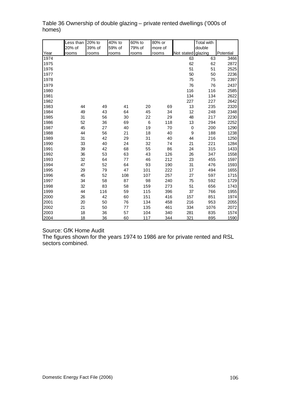|      | Less than | 20% to | 40% to | 60% to | 80% or  |                  | <b>Total with</b> |           |
|------|-----------|--------|--------|--------|---------|------------------|-------------------|-----------|
|      | 20% of    | 39% of | 59% of | 79% of | more of |                  | double            |           |
| Year | rooms     | rooms  | rooms  | rooms  | rooms   | Not stated       | glazing           | Potential |
| 1974 |           |        |        |        |         | 63               | 63                | 3466      |
| 1975 |           |        |        |        |         | 62               | 62                | 2872      |
| 1976 |           |        |        |        |         | 51               | 51                | 2525      |
| 1977 |           |        |        |        |         | 50               | 50                | 2236      |
| 1978 |           |        |        |        |         | 75               | 75                | 2397      |
| 1979 |           |        |        |        |         | 76               | 76                | 2437      |
| 1980 |           |        |        |        |         | 116              | 116               | 2585      |
| 1981 |           |        |        |        |         | 134              | 134               | 2622      |
| 1982 |           |        |        |        |         | 227              | 227               | 2642      |
| 1983 | 44        | 49     | 41     | 20     | 69      | 13               | 235               | 2320      |
| 1984 | 49        | 43     | 64     | 45     | 34      | 12               | 248               | 2348      |
| 1985 | 31        | 56     | 30     | 22     | 29      | 48               | 217               | 2230      |
| 1986 | 52        | 36     | 69     | 6      | 118     | 13               | 294               | 2252      |
| 1987 | 45        | 27     | 40     | 19     | 70      | 0                | 200               | 1290      |
| 1988 | 44        | 56     | 21     | 18     | 40      | $\boldsymbol{9}$ | 188               | 1238      |
| 1989 | 31        | 42     | 29     | 31     | 40      | 44               | 216               | 1250      |
| 1990 | 33        | 40     | 24     | 32     | 74      | 21               | 221               | 1284      |
| 1991 | 39        | 42     | 68     | 55     | 86      | 24               | 315               | 1433      |
| 1992 | 36        | 53     | 63     | 43     | 126     | 26               | 347               | 1558      |
| 1993 | 32        | 64     | 77     | 46     | 212     | 23               | 455               | 1597      |
| 1994 | 47        | 52     | 64     | 93     | 190     | 31               | 476               | 1593      |
| 1995 | 29        | 79     | 47     | 101    | 222     | 17               | 494               | 1655      |
| 1996 | 45        | 52     | 108    | 107    | 257     | 27               | 597               | 1715      |
| 1997 | 34        | 58     | 87     | 98     | 240     | 75               | 592               | 1729      |
| 1998 | 32        | 83     | 58     | 159    | 273     | 51               | 656               | 1743      |
| 1999 | 44        | 116    | 59     | 115    | 396     | 37               | 766               | 1955      |
| 2000 | 26        | 42     | 60     | 151    | 416     | 157              | 851               | 1974      |
| 2001 | 20        | 50     | 76     | 134    | 458     | 216              | 953               | 2055      |
| 2002 | 21        | 50     | 77     | 135    | 461     | 334              | 1076              | 2072      |
| 2003 | 18        | 36     | 57     | 104    | 340     | 281              | 835               | 1574      |
| 2004 | 18        | 36     | 60     | 117    | 344     | 321              | 895               | 1590      |

Table 36 Ownership of double glazing – private rented dwellings ('000s of homes)

Source: GfK Home Audit

The figures shown for the years 1974 to 1986 are for private rented and RSL sectors combined.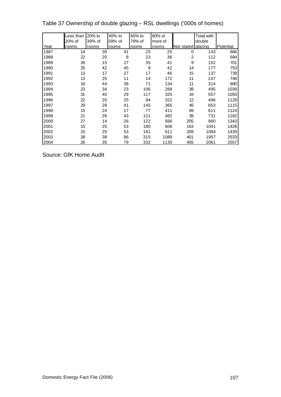|      | ess than. | 20% to | 40% to | 60% to | 80% or  |                | <b>Total with</b> |           |
|------|-----------|--------|--------|--------|---------|----------------|-------------------|-----------|
|      | 20% of    | 39% of | 59% of | 79% of | more of |                | double            |           |
| Year | rooms     | rooms  | rooms  | rooms  | rooms   | Not stated     | glazing           | Potential |
| 1987 | 14        | 39     | 41     | 25     | 25      | 0              | 143               | 666       |
| 1988 | 22        | 20     | 8      | 23     | 36      | $\overline{2}$ | 112               | 694       |
| 1989 | 26        | 15     | 27     | 35     | 41      | 9              | 152               | 701       |
| 1990 | 25        | 42     | 45     | 9      | 42      | 14             | 177               | 753       |
| 1991 | 13        | 17     | 27     | 17     | 46      | 15             | 137               | 739       |
| 1992 | 13        | 25     | 11     | 14     | 172     | 11             | 247               | 746       |
| 1993 | 16        | 44     | 38     | 71     | 134     | 11             | 314               | 890       |
| 1994 | 23        | 34     | 23     | 106    | 268     | 39             | 495               | 1039      |
| 1995 | 31        | 40     | 29     | 117    | 325     | 16             | 557               | 1050      |
| 1996 | 22        | 20     | 25     | 94     | 322     | 12             | 496               | 1128      |
| 1997 | 29        | 28     | 41     | 145    | 365     | 45             | 653               | 1115      |
| 1998 | 15        | 24     | 17     | 77     | 411     | 69             | 611               | 1124      |
| 1999 | 21        | 26     | 43     | 121    | 482     | 39             | 731               | 1182      |
| 2000 | 27        | 14     | 26     | 122    | 566     | 205            | 960               | 1343      |
| 2001 | 15        | 25     | 53     | 180    | 606     | 163            | 1041              | 1428      |
| 2002 | 15        | 25     | 53     | 181    | 611     | 209            | 1094              | 1439      |
| 2003 | 28        | 38     | 86     | 315    | 1089    | 401            | 1957              | 2533      |
| 2004 | 26        | 35     | 79     | 332    | 1135    | 455            | 2061              | 2557      |

Table 37 Ownership of double glazing – RSL dwellings ('000s of homes)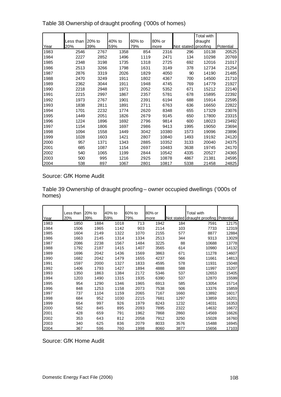|      |           |          |        |        |        |               | <b>Total with</b> |           |
|------|-----------|----------|--------|--------|--------|---------------|-------------------|-----------|
|      | Less than | $20%$ to | 40% to | 60% to | 80% or |               | draught           |           |
| Year | 20%       | 39%      | 59%    | 79%    | more   | lNot stated l | proofing          | Potential |
| 1983 | 2546      | 2767     | 1358   | 854    | 2316   | 296           | 10138             | 20525     |
| 1984 | 2227      | 2852     | 1496   | 1119   | 2471   | 134           | 10298             | 20769     |
| 1985 | 2348      | 3198     | 1735   | 1318   | 2725   | 692           | 12016             | 21017     |
| 1986 | 2513      | 3266     | 1798   | 1631   | 3149   | 378           | 12734             | 21254     |
| 1987 | 2876      | 3319     | 2026   | 1829   | 4050   | 90            | 14190             | 21485     |
| 1988 | 2470      | 3249     | 1911   | 1802   | 4367   | 700           | 14500             | 21710     |
| 1989 | 2362      | 3044     | 1911   | 1948   | 4745   | 769           | 14779             | 21927     |
| 1990 | 2218      | 2948     | 1971   | 2052   | 5352   | 671           | 15212             | 22140     |
| 1991 | 2215      | 2997     | 1867   | 2357   | 5781   | 678           | 15895             | 22392     |
| 1992 | 1973      | 2767     | 1901   | 2391   | 6194   | 688           | 15914             | 22595     |
| 1993 | 1838      | 2811     | 1891   | 2711   | 6763   | 636           | 16650             | 22822     |
| 1994 | 1701      | 2232     | 1774   | 2620   | 8348   | 655           | 17329             | 23076     |
| 1995 | 1449      | 2051     | 1826   | 2679   | 9145   | 650           | 17800             | 23315     |
| 1996 | 1224      | 1896     | 1692   | 2796   | 9814   | 600           | 18023             | 23492     |
| 1997 | 1154      | 1806     | 1697   | 2986   | 9413   | 1995          | 19050             | 23694     |
| 1998 | 1094      | 1558     | 1449   | 3042   | 10380  | 1573          | 19096             | 23896     |
| 1999 | 1028      | 1603     | 1421   | 2807   | 10840  | 1493          | 19192             | 24120     |
| 2000 | 957       | 1371     | 1343   | 2885   | 10352  | 3133          | 20040             | 24375     |
| 2001 | 685       | 1087     | 1154   | 2697   | 10483  | 3638          | 19745             | 24170     |
| 2002 | 540       | 1065     | 1199   | 2844   | 10542  | 4335          | 20527             | 24365     |
| 2003 | 500       | 995      | 1216   | 2925   | 10878  | 4867          | 21381             | 24595     |
| 2004 | 538       | 897      | 1067   | 2801   | 10817  | 5338          | 21458             | 24825     |

Table 38 Ownership of draught proofing ('000s of homes)

Table 39 Ownership of draught proofing – owner occupied dwellings ('000s of homes)

|      | Less than | 20% to | 40% to | 60% to | 80% or |            | Total with                 |       |
|------|-----------|--------|--------|--------|--------|------------|----------------------------|-------|
| Year | 20%       | 39%    | 59%    | 79%    | more   | Not stated | draught proofing Potential |       |
| 1983 | 1850      | 1884   | 1018   | 713    | 1942   | 184        | 7591                       | 12175 |
| 1984 | 1506      | 1965   | 1142   | 903    | 2114   | 103        | 7733                       | 12319 |
| 1985 | 1604      | 2149   | 1322   | 1070   | 2155   | 577        | 8877                       | 12884 |
| 1986 | 1663      | 2145   | 1314   | 1334   | 2513   | 344        | 9313                       | 13029 |
| 1987 | 2086      | 2238   | 1567   | 1484   | 3225   | 88         | 10688                      | 13778 |
| 1988 | 1792      | 2187   | 1415   | 1407   | 3565   | 614        | 10980                      | 14132 |
| 1989 | 1696      | 2042   | 1436   | 1569   | 3863   | 671        | 11278                      | 14607 |
| 1990 | 1682      | 2042   | 1479   | 1655   | 4237   | 566        | 11661                      | 14813 |
| 1991 | 1597      | 2000   | 1327   | 1833   | 4595   | 578        | 11931                      | 15048 |
| 1992 | 1406      | 1793   | 1427   | 1894   | 4888   | 588        | 11997                      | 15207 |
| 1993 | 1350      | 1863   | 1384   | 2172   | 5346   | 537        | 12653                      | 15405 |
| 1994 | 1203      | 1490   | 1315   | 1935   | 6390   | 537        | 12870                      | 15599 |
| 1995 | 954       | 1290   | 1346   | 1965   | 6913   | 585        | 13054                      | 15714 |
| 1996 | 848       | 1253   | 1158   | 2073   | 7538   | 506        | 13376                      | 15859 |
| 1997 | 737       | 1104   | 1159   | 2065   | 7167   | 1660       | 13892                      | 16017 |
| 1998 | 684       | 952    | 1030   | 2215   | 7681   | 1297       | 13859                      | 16201 |
| 1999 | 654       | 997    | 926    | 1979   | 8243   | 1232       | 14031                      | 16353 |
| 2000 | 582       | 845    | 895    | 2093   | 7895   | 2322       | 14632                      | 16672 |
| 2001 | 428       | 659    | 791    | 1962   | 7868   | 2860       | 14569                      | 16626 |
| 2002 | 353       | 643    | 812    | 2058   | 7912   | 3250       | 15028                      | 16760 |
| 2003 | 340       | 625    | 836    | 2079   | 8033   | 3576       | 15488                      | 16945 |
| 2004 | 367       | 596    | 760    | 1998   | 8060   | 3877       | 15656                      | 17103 |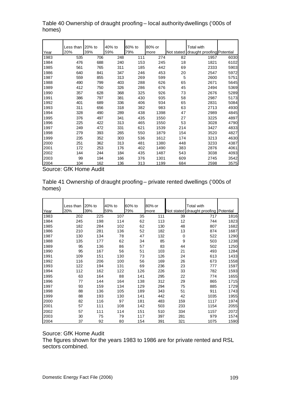|      | Less than | 20% to | 40% to | 60% to | 80% or |            | Total with                 |      |
|------|-----------|--------|--------|--------|--------|------------|----------------------------|------|
| Year | 20%       | 39%    | 59%    | 79%    | more   | Not stated | draught proofing Potential |      |
| 1983 | 535       | 706    | 248    | 111    | 274    | 82         | 1957                       | 6030 |
| 1984 | 476       | 688    | 240    | 153    | 245    | 18         | 1821                       | 6102 |
| 1985 | 561       | 765    | 311    | 185    | 442    | 69         | 2333                       | 5903 |
| 1986 | 640       | 841    | 347    | 246    | 453    | 20         | 2547                       | 5972 |
| 1987 | 559       | 855    | 313    | 269    | 599    | 5          | 2600                       | 5751 |
| 1988 | 490       | 799    | 403    | 288    | 626    | 65         | 2671                       | 5645 |
| 1989 | 412       | 750    | 326    | 286    | 676    | 45         | 2494                       | 5369 |
| 1990 | 357       | 628    | 368    | 325    | 926    | 73         | 2676                       | 5289 |
| 1991 | 386       | 797    | 381    | 430    | 935    | 58         | 2987                       | 5173 |
| 1992 | 401       | 689    | 336    | 406    | 934    | 65         | 2831                       | 5084 |
| 1993 | 311       | 656    | 318    | 382    | 983    | 63         | 2713                       | 4930 |
| 1994 | 328       | 490    | 289    | 438    | 1398   | 47         | 2989                       | 4845 |
| 1995 | 376       | 497    | 341    | 435    | 1550   | 27         | 3225                       | 4897 |
| 1996 | 225       | 422    | 313    | 465    | 1550   | 53         | 3028                       | 4790 |
| 1997 | 249       | 472    | 331    | 621    | 1539   | 214        | 3427                       | 4833 |
| 1998 | 279       | 393    | 265    | 550    | 1879   | 154        | 3520                       | 4827 |
| 1999 | 235       | 352    | 303    | 536    | 1612   | 174        | 3213                       | 4630 |
| 2000 | 251       | 362    | 313    | 481    | 1380   | 448        | 3233                       | 4387 |
| 2001 | 172       | 253    | 176    | 402    | 1490   | 383        | 2876                       | 4061 |
| 2002 | 144       | 244    | 184    | 435    | 1487   | 543        | 3038                       | 4093 |
| 2003 | 99        | 194    | 166    | 376    | 1301   | 609        | 2745                       | 3542 |
| 2004 | 104       | 162    | 136    | 313    | 1199   | 684        | 2598                       | 3575 |
|      |           |        |        |        |        |            |                            |      |

Table 40 Ownership of draught proofing – local authority dwellings ('000s of homes)

Table 41 Ownership of draught proofing – private rented dwellings ('000s of homes)

|      | Less than | 20% to | 40% to | 60% to | 80% or |           | Total with                            |      |
|------|-----------|--------|--------|--------|--------|-----------|---------------------------------------|------|
| Year | 20%       | 39%    | 59%    | 79%    | more   |           | Not stated draught proofing Potential |      |
| 1983 | 202       | 225    | 107    | 35     | 111    | 39        | 717                                   | 1816 |
| 1984 | 245       | 198    | 114    | 62     | 113    | 12        | 744                                   | 1823 |
| 1985 | 182       | 284    | 102    | 62     | 130    | 48        | 807                                   | 1682 |
| 1986 | 210       | 281    | 136    | 52     | 182    | 13        | 874                                   | 1687 |
| 1987 | 130       | 134    | 78     | 47     | 132    | $\pmb{0}$ | 522                                   | 1290 |
| 1988 | 135       | 177    | 62     | 34     | 85     | 9         | 503                                   | 1238 |
| 1989 | 95        | 136    | 86     | 57     | 83     | 44        | 502                                   | 1250 |
| 1990 | 95        | 167    | 56     | 51     | 103    | 21        | 493                                   | 1284 |
| 1991 | 109       | 151    | 130    | 73     | 126    | 24        | 613                                   | 1433 |
| 1992 | 116       | 206    | 100    | 56     | 169    | 26        | 673                                   | 1558 |
| 1993 | 122       | 194    | 131    | 69     | 236    | 23        | 777                                   | 1597 |
| 1994 | 112       | 162    | 122    | 126    | 226    | 33        | 782                                   | 1593 |
| 1995 | 63        | 164    | 88     | 141    | 295    | 22        | 774                                   | 1655 |
| 1996 | 77        | 144    | 164    | 138    | 312    | 29        | 865                                   | 1715 |
| 1997 | 93        | 159    | 134    | 129    | 294    | 75        | 885                                   | 1729 |
| 1998 | 88        | 136    | 105    | 189    | 343    | 51        | 911                                   | 1743 |
| 1999 | 88        | 193    | 130    | 141    | 442    | 42        | 1035                                  | 1955 |
| 2000 | 82        | 116    | 97     | 181    | 483    | 159       | 1117                                  | 1974 |
| 2001 | 57        | 111    | 108    | 142    | 503    | 233       | 1154                                  | 2055 |
| 2002 | 57        | 111    | 114    | 151    | 510    | 334       | 1157                                  | 2072 |
| 2003 | 30        | 75     | 79     | 117    | 397    | 281       | 979                                   | 1574 |
| 2004 | 37        | 92     | 80     | 154    | 391    | 321       | 1075                                  | 1590 |

Source: GfK Home Audit

The figures shown for the years 1983 to 1986 are for private rented and RSL sectors combined.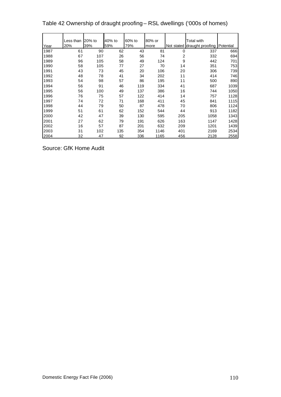Table 42 Ownership of draught proofing – RSL dwellings ('000s of homes)

|      | Less than | 20% to | 40% to | 60% to | 80% or |     | Total with                  |           |
|------|-----------|--------|--------|--------|--------|-----|-----------------------------|-----------|
| Year | 20%       | 39%    | 59%    | 79%    | more   |     | Not stated draught proofing | Potential |
| 1987 | 61        | 90     | 62     | 43     | 81     | 0   | 337                         | 666       |
| 1988 | 67        | 107    | 26     | 56     | 74     | 2   | 332                         | 694       |
| 1989 | 96        | 105    | 58     | 49     | 124    | 9   | 442                         | 701       |
| 1990 | 58        | 105    | 77     | 27     | 70     | 14  | 351                         | 753       |
| 1991 | 43        | 73     | 45     | 20     | 106    | 20  | 306                         | 739       |
| 1992 | 48        | 78     | 41     | 34     | 202    | 11  | 414                         | 746       |
| 1993 | 54        | 98     | 57     | 86     | 195    | 11  | 500                         | 890       |
| 1994 | 56        | 91     | 46     | 119    | 334    | 41  | 687                         | 1039      |
| 1995 | 56        | 100    | 49     | 137    | 386    | 16  | 744                         | 1050      |
| 1996 | 76        | 75     | 57     | 122    | 414    | 14  | 757                         | 1128      |
| 1997 | 74        | 72     | 71     | 168    | 411    | 45  | 841                         | 1115      |
| 1998 | 44        | 79     | 50     | 87     | 478    | 70  | 806                         | 1124      |
| 1999 | 51        | 61     | 62     | 152    | 544    | 44  | 913                         | 1182      |
| 2000 | 42        | 47     | 39     | 130    | 595    | 205 | 1058                        | 1343      |
| 2001 | 27        | 62     | 79     | 191    | 626    | 163 | 1147                        | 1428      |
| 2002 | 16        | 57     | 87     | 201    | 632    | 209 | 1201                        | 1439      |
| 2003 | 31        | 102    | 135    | 354    | 1146   | 401 | 2169                        | 2534      |
| 2004 | 32        | 47     | 92     | 336    | 1165   | 456 | 2128                        | 2558      |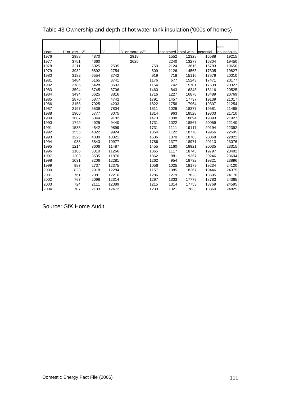|      |            |      |       |                    |      |            |            |           | total      |
|------|------------|------|-------|--------------------|------|------------|------------|-----------|------------|
| Year | 1" or less | 2"   | 3"    | $3"$ or more $>3"$ |      | not stated | total with | potential | households |
| 1976 | 2988       | 4870 |       | 2918               |      | 1552       | 12328      | 16588     | 19215      |
| 1977 | 3751       | 4660 |       | 2625               |      | 2240       | 13277      | 16804     | 19450      |
| 1978 | 3211       | 5025 | 2505  |                    | 750  | 2124       | 13615      | 16783     | 19650      |
| 1979 | 3982       | 5892 | 2754  |                    | 809  | 1126       | 14563      | 17305     | 19827      |
| 1980 | 3182       | 6554 | 3742  |                    | 919  | 718        | 15116      | 17579     | 20010      |
| 1981 | 3484       | 6165 | 3741  |                    | 1176 | 677        | 15243      | 17471     | 20177      |
| 1982 | 3785       | 6428 | 3593  |                    | 1154 | 742        | 15701      | 17639     | 20327      |
| 1983 | 3594       | 6745 | 3706  |                    | 1460 | 843        | 16348      | 18116     | 20525      |
| 1984 | 3494       | 6625 | 3816  |                    | 1716 | 1227       | 16878      | 18489     | 20769      |
| 1985 | 2870       | 6877 | 4742  |                    | 1791 | 1457       | 17737      | 19139     | 21017      |
| 1986 | 3158       | 7025 | 4203  |                    | 1822 | 1756       | 17964      | 19307     | 21254      |
| 1987 | 2197       | 5539 | 7804  |                    | 1811 | 1026       | 18377      | 19581     | 21485      |
| 1988 | 1900       | 5777 | 8075  |                    | 1814 | 963        | 18528      | 19803     | 21710      |
| 1989 | 1687       | 5044 | 9182  |                    | 1473 | 1308       | 18694      | 19893     | 21927      |
| 1990 | 1749       | 4925 | 9440  |                    | 1731 | 1022       | 18867      | 20059     | 22140      |
| 1991 | 1535       | 4842 | 9899  |                    | 1731 | 1111       | 19117      | 20194     | 22392      |
| 1992 | 1555       | 4322 | 9924  |                    | 1854 | 1122       | 18778      | 19956     | 22595      |
| 1993 | 1225       | 4330 | 10321 |                    | 1536 | 1370       | 18783      | 20068     | 22822      |
| 1994 | 988        | 3843 | 10977 |                    | 1786 | 1377       | 18971      | 20113     | 23076      |
| 1995 | 1214       | 3606 | 11487 |                    | 1455 | 1160       | 18921      | 20035     | 23315      |
| 1996 | 1186       | 3310 | 11266 |                    | 1865 | 1117       | 18743      | 19797     | 23492      |
| 1997 | 1203       | 3535 | 11876 |                    | 1862 | 881        | 19357      | 20246     | 23694      |
| 1998 | 1031       | 3206 | 12281 |                    | 1262 | 954        | 18732      | 19821     | 23896      |
| 1999 | 987        | 2737 | 12375 |                    | 1056 | 1025       | 18179      | 19234     | 24120      |
| 2000 | 823        | 2918 | 12284 |                    | 1157 | 1085       | 18267      | 19446     | 24375      |
| 2001 | 761        | 2081 | 12216 |                    | 1286 | 1279       | 17623      | 18595     | 24170      |
| 2002 | 767        | 2098 | 12314 |                    | 1297 | 1303       | 17779      | 18783     | 24365      |
| 2003 | 724        | 2111 | 12389 |                    | 1215 | 1314       | 17753      | 18769     | 24595      |
| 2004 | 707        | 2103 | 12472 |                    | 1230 | 1321       | 17833      | 18860     | 24825      |

Table 43 Ownership and depth of hot water tank insulation ('000s of homes)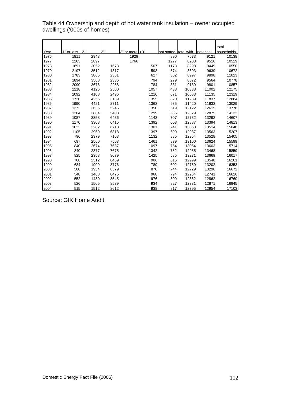|      |            |      |      |            |      |                       |       |           | total      |
|------|------------|------|------|------------|------|-----------------------|-------|-----------|------------|
| Year | 1" or less | つ"   | 3"   | 3" or more | >3"  | not stated total with |       | potential | households |
| 1976 | 1811       | 2943 |      | 1929       |      | 890                   | 7573  | 9121      | 10138      |
| 1977 | 2263       | 2897 |      | 1766       |      | 1277                  | 8203  | 9516      | 10529      |
| 1978 | 1891       | 3052 | 1673 |            | 507  | 1173                  | 8298  | 9449      | 10550      |
| 1979 | 2197       | 3512 | 1817 |            | 593  | 574                   | 8693  | 9639      | 10672      |
| 1980 | 1783       | 3865 | 2361 |            | 627  | 362                   | 8997  | 9898      | 11023      |
| 1981 | 1894       | 3568 | 2336 |            | 794  | 279                   | 8872  | 9564      | 10778      |
| 1982 | 2090       | 3676 | 2258 |            | 784  | 331                   | 9139  | 9801      | 10857      |
| 1983 | 2218       | 4126 | 2500 |            | 1057 | 438                   | 10338 | 11002     | 12175      |
| 1984 | 2092       | 4108 | 2496 |            | 1216 | 671                   | 10583 | 11135     | 12319      |
| 1985 | 1720       | 4255 | 3139 |            | 1355 | 820                   | 11289 | 11837     | 12884      |
| 1986 | 1990       | 4421 | 2711 |            | 1363 | 935                   | 11420 | 11933     | 13029      |
| 1987 | 1372       | 3636 | 5245 |            | 1350 | 519                   | 12122 | 12615     | 13778      |
| 1988 | 1204       | 3884 | 5408 |            | 1299 | 535                   | 12329 | 12875     | 14132      |
| 1989 | 1087       | 3358 | 6436 |            | 1143 | 707                   | 12732 | 13292     | 14607      |
| 1990 | 1170       | 3308 | 6415 |            | 1392 | 603                   | 12887 | 13394     | 14813      |
| 1991 | 1022       | 3282 | 6718 |            | 1301 | 741                   | 13063 | 13514     | 15048      |
| 1992 | 1105       | 2969 | 6818 |            | 1397 | 699                   | 12987 | 13563     | 15207      |
| 1993 | 796        | 2979 | 7163 |            | 1132 | 885                   | 12954 | 13528     | 15405      |
| 1994 | 697        | 2560 | 7503 |            | 1461 | 879                   | 13100 | 13624     | 15599      |
| 1995 | 840        | 2674 | 7687 |            | 1097 | 754                   | 13054 | 13603     | 15714      |
| 1996 | 840        | 2377 | 7675 |            | 1342 | 752                   | 12985 | 13468     | 15859      |
| 1997 | 825        | 2358 | 8079 |            | 1425 | 585                   | 13271 | 13669     | 16017      |
| 1998 | 708        | 2312 | 8459 |            | 906  | 615                   | 12999 | 13548     | 16201      |
| 1999 | 684        | 1909 | 8776 |            | 789  | 602                   | 12759 | 13202     | 16353      |
| 2000 | 580        | 1954 | 8579 |            | 870  | 744                   | 12729 | 13296     | 16672      |
| 2001 | 548        | 1468 | 8476 |            | 968  | 794                   | 12254 | 12741     | 16626      |
| 2002 | 552        | 1480 | 8545 |            | 976  | 809                   | 12362 | 12862     | 16760      |
| 2003 | 526        | 1505 | 8539 |            | 934  | 827                   | 12331 | 12871     | 16945      |
| 2004 | 515        | 1512 | 8612 |            | 938  | 817                   | 12395 | 12954     | 17103      |

Table 44 Ownership and depth of hot water tank insulation – owner occupied dwellings ('000s of homes)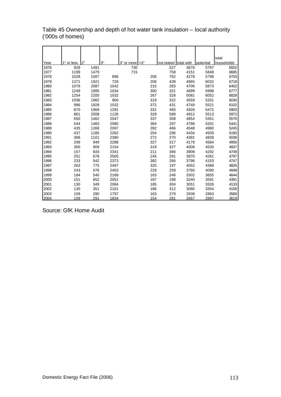|      |            |      |      |            |     |     |            |            |           | total      |
|------|------------|------|------|------------|-----|-----|------------|------------|-----------|------------|
| Year | 1" or less | 2"   | 3"   | 3" or more | >3" |     | not stated | total with | potential | households |
| 1976 | 929        | 1491 |      | 730        |     |     | 527        | 3678       | 5797      | 6552       |
| 1977 | 1199       | 1479 |      | 715        |     |     | 758        | 4151       | 5848      | 6685       |
| 1978 | 1028       | 1587 | 696  |            |     | 206 | 762        | 4278       | 5798      | 6703       |
| 1979 | 1371       | 1921 | 729  |            |     | 206 | 439        | 4665       | 6032      | 6718       |
| 1980 | 1079       | 2087 | 1042 |            |     | 215 | 283        | 4706       | 5873      | 6402       |
| 1981 | 1249       | 1995 | 1034 |            |     | 300 | 321        | 4899       | 5998      | 6777       |
| 1982 | 1254       | 2200 | 1032 |            |     | 267 | 328        | 5081       | 6052      | 6828       |
| 1983 | 1036       | 1982 | 900  |            |     | 319 | 322        | 4559       | 5331      | 6030       |
| 1984 | 986        | 1928 | 1032 |            |     | 372 | 431        | 4749       | 5521      | 6102       |
| 1985 | 870        | 1969 | 1291 |            |     | 331 | 465        | 4926       | 5472      | 5903       |
| 1986 | 861        | 2008 | 1126 |            |     | 329 | 589        | 4912       | 5513      | 5972       |
| 1987 | 650        | 1462 | 2047 |            |     | 337 | 358        | 4854       | 5351      | 5576       |
| 1988 | 544        | 1483 | 2080 |            |     | 384 | 297        | 4788       | 5331      | 5441       |
| 1989 | 435        | 1268 | 2097 |            |     | 282 | 466        | 4548       | 4980      | 5245       |
| 1990 | 437        | 1185 | 2262 |            |     | 254 | 296        | 4434       | 4939      | 5160       |
| 1991 | 368        | 1101 | 2380 |            |     | 272 | 270        | 4391       | 4828      | 5036       |
| 1992 | 299        | 949  | 2288 |            |     | 327 | 317        | 4179       | 4584      | 4956       |
| 1993 | 300        | 909  | 2154 |            |     | 319 | 327        | 4009       | 4530      | 4837       |
| 1994 | 157        | 833  | 2341 |            |     | 211 | 366        | 3908       | 4292      | 4749       |
| 1995 | 251        | 678  | 2505 |            |     | 245 | 291        | 3970       | 4261      | 4797       |
| 1996 | 233        | 542  | 2373 |            |     | 382 | 266        | 3796       | 4153      | 4747       |
| 1997 | 263        | 775  | 2497 |            |     | 320 | 197        | 4052       | 4368      | 4826       |
| 1998 | 243        | 576  | 2453 |            |     | 229 | 259        | 3760       | 4090      | 4848       |
| 1999 | 184        | 540  | 2168 |            |     | 163 | 246        | 3302       | 3655      | 4644       |
| 2000 | 151        | 652  | 2051 |            |     | 187 | 198        | 3240       | 3591      | 4391       |
| 2001 | 130        | 349  | 2084 |            |     | 185 | 304        | 3051       | 3326      | 4133       |
| 2002 | 130        | 351  | 2101 |            |     | 186 | 312        | 3080       | 3354      | 4158       |
| 2003 | 109        | 290  | 1797 |            |     | 163 | 279        | 2638       | 2863      | 3589       |
| 2004 | 109        | 291  | 1834 |            |     | 154 | 281        | 2667       | 2897      | 3619       |

Table 45 Ownership and depth of hot water tank insulation – local authority ('000s of homes)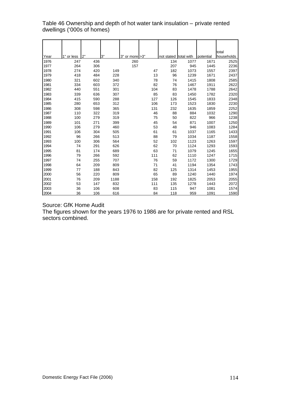Table 46 Ownership and depth of hot water tank insulation – private rented dwellings ('000s of homes)

| Year         | 1" or less | 2"  | 3"   | 3" or more > 3" |     | not stated total with |      | potential | total        |
|--------------|------------|-----|------|-----------------|-----|-----------------------|------|-----------|--------------|
|              | 247        | 436 |      |                 |     | 134                   | 1077 | 1671      | households   |
| 1976<br>1977 | 264        | 306 |      | 260<br>157      |     | 207                   | 945  | 1445      | 2525<br>2236 |
| 1978         | 274        | 420 | 149  |                 | 47  | 182                   | 1073 | 1557      | 2397         |
| 1979         | 418        | 484 | 228  |                 | 13  | 96                    | 1239 | 1671      | 2437         |
| 1980         | 321        | 602 | 340  |                 | 78  | 74                    | 1415 | 1808      | 2585         |
| 1981         | 334        | 603 | 372  |                 | 82  | 76                    | 1467 | 1911      | 2622         |
| 1982         | 440        | 551 | 301  |                 | 104 | 83                    | 1478 | 1788      | 2642         |
| 1983         | 339        | 636 | 307  |                 | 85  | 83                    | 1450 | 1782      | 2320         |
| 1984         | 415        | 590 | 288  |                 | 127 | 126                   | 1545 | 1833      | 2348         |
| 1985         | 280        | 653 | 312  |                 | 106 | 173                   | 1523 | 1830      | 2230         |
| 1986         | 308        | 598 | 365  |                 | 131 | 232                   | 1635 | 1859      | 2252         |
| 1987         | 110        | 322 | 319  |                 | 46  | 88                    | 884  | 1032      | 1290         |
| 1988         | 100        | 279 | 319  |                 | 75  | 50                    | 822  | 966       | 1238         |
| 1989         | 101        | 271 | 399  |                 | 45  | 54                    | 871  | 1007      | 1250         |
| 1990         | 106        | 279 | 460  |                 | 53  | 48                    | 946  | 1083      | 1284         |
| 1991         | 106        | 304 | 505  |                 | 61  | 61                    | 1037 | 1165      | 1433         |
| 1992         | 96         | 266 | 513  |                 | 88  | 79                    | 1034 | 1187      | 1558         |
| 1993         | 100        | 306 | 564  |                 | 52  | 102                   | 1123 | 1263      | 1597         |
| 1994         | 74         | 291 | 626  |                 | 62  | 70                    | 1124 | 1293      | 1593         |
| 1995         | 81         | 174 | 689  |                 | 63  | 71                    | 1079 | 1245      | 1655         |
| 1996         | 79         | 266 | 592  |                 | 111 | 62                    | 1110 | 1247      | 1715         |
| 1997         | 74         | 255 | 707  |                 | 76  | 59                    | 1172 | 1300      | 1729         |
| 1998         | 64         | 209 | 809  |                 | 71  | 41                    | 1194 | 1354      | 1743         |
| 1999         | 77         | 188 | 843  |                 | 82  | 125                   | 1314 | 1453      | 1955         |
| 2000         | 56         | 220 | 809  |                 | 65  | 89                    | 1240 | 1440      | 1974         |
| 2001         | 76         | 209 | 1188 |                 | 158 | 192                   | 1825 | 2053      | 2055         |
| 2002         | 53         | 147 | 832  |                 | 111 | 135                   | 1278 | 1443      | 2072         |
| 2003         | 36         | 106 | 608  |                 | 83  | 115                   | 947  | 1081      | 1574         |
| 2004         | 36         | 106 | 616  |                 | 84  | 118                   | 959  | 1091      | 1590         |

Source: GfK Home Audit

The figures shown for the years 1976 to 1986 are for private rented and RSL sectors combined.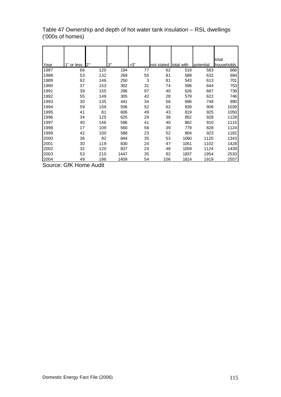|      |            |     |      |     |            |            |           | total      |
|------|------------|-----|------|-----|------------|------------|-----------|------------|
| Year | 1" or less | 2"  | 3"   | >3" | not stated | total with | potential | households |
| 1987 | 66         | 120 | 194  | 77  | 62         | 519        | 583       | 666        |
| 1988 | 53         | 132 | 269  | 55  | 81         | 589        | 632       | 694        |
| 1989 | 62         | 146 | 250  | 3   | 81         | 543        | 613       | 701        |
| 1990 | 37         | 153 | 302  | 31  | 74         | 598        | 644       | 753        |
| 1991 | 39         | 155 | 296  | 97  | 40         | 626        | 687       | 739        |
| 1992 | 55         | 149 | 305  | 42  | 28         | 579        | 622       | 746        |
| 1993 | 30         | 135 | 441  | 34  | 56         | 696        | 749       | 890        |
| 1994 | 59         | 159 | 506  | 52  | 62         | 839        | 906       | 1039       |
| 1995 | 41         | 81  | 606  | 49  | 43         | 819        | 925       | 1050       |
| 1996 | 34         | 125 | 625  | 29  | 38         | 852        | 928       | 1128       |
| 1997 | 40         | 146 | 596  | 41  | 40         | 862        | 910       | 1115       |
| 1998 | 17         | 109 | 560  | 56  | 39         | 779        | 828       | 1124       |
| 1999 | 42         | 100 | 588  | 23  | 52         | 804        | 923       | 1182       |
| 2000 | 36         | 92  | 844  | 35  | 53         | 1060       | 1120      | 1343       |
| 2001 | 30         | 119 | 830  | 24  | 47         | 1051       | 1102      | 1428       |
| 2002 | 32         | 120 | 837  | 24  | 48         | 1059       | 1124      | 1439       |
| 2003 | 53         | 210 | 1447 | 35  | 92         | 1837       | 1954      | 2533       |
| 2004 | 49         | 196 | 1409 | 54  | 106        | 1814       | 1919      | 2557       |

Table 47 Ownership and depth of hot water tank insulation – RSL dwellings ('000s of homes)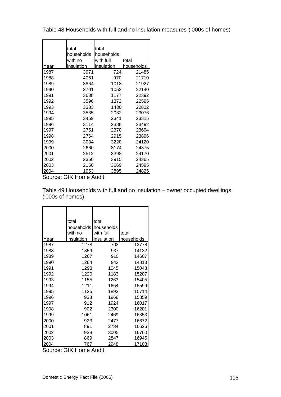Table 48 Households with full and no insulation measures ('000s of homes)

|      | total      | total      |            |
|------|------------|------------|------------|
|      | households | households |            |
|      | with no    | with full  | total      |
| Year | insulation | insulation | households |
| 1987 | 3971       | 724        | 21485      |
| 1988 | 4061       | 970        | 21710      |
| 1989 | 3864       | 1018       | 21927      |
| 1990 | 3701       | 1053       | 22140      |
| 1991 | 3638       | 1177       | 22392      |
| 1992 | 3596       | 1372       | 22595      |
| 1993 | 3383       | 1430       | 22822      |
| 1994 | 3535       | 2032       | 23076      |
| 1995 | 3469       | 2341       | 23315      |
| 1996 | 3114       | 2388       | 23492      |
| 1997 | 2751       | 2370       | 23694      |
| 1998 | 2764       | 2915       | 23896      |
| 1999 | 3034       | 3220       | 24120      |
| 2000 | 2660       | 3174       | 24375      |
| 2001 | 2512       | 3398       | 24170      |
| 2002 | 2360       | 3915       | 24365      |
| 2003 | 2150       | 3669       | 24595      |
| 2004 | 1953       | 3895       | 24825      |

Source: GfK Home Audit

Table 49 Households with full and no insulation – owner occupied dwellings ('000s of homes)

|      | total      | total      |            |
|------|------------|------------|------------|
|      | households | households |            |
|      | with no    | with full  | total      |
| Year | insulation | insulation | households |
| 1987 | 1278       | 703        | 13778      |
| 1988 | 1359       | 937        | 14132      |
| 1989 | 1267       | 910        | 14607      |
| 1990 | 1284       | 942        | 14813      |
| 1991 | 1298       | 1045       | 15048      |
| 1992 | 1220       | 1183       | 15207      |
| 1993 | 1155       | 1263       | 15405      |
| 1994 | 1211       | 1664       | 15599      |
| 1995 | 1125       | 1893       | 15714      |
| 1996 | 938        | 1968       | 15859      |
| 1997 | 912        | 1924       | 16017      |
| 1998 | 902        | 2300       | 16201      |
| 1999 | 1061       | 2469       | 16353      |
| 2000 | 923        | 2477       | 16672      |
| 2001 | 891        | 2734       | 16626      |
| 2002 | 938        | 3005       | 16760      |
| 2003 | 869        | 2847       | 16945      |
| 2004 | 767        | 2948       | 17103      |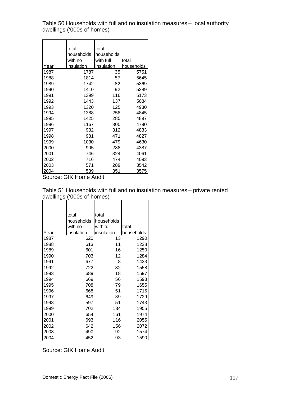Table 50 Households with full and no insulation measures – local authority dwellings ('000s of homes)

|      | total<br>households | total<br>households |            |
|------|---------------------|---------------------|------------|
|      | with no             | with full           | total      |
| Year | insulation          | insulation          | households |
| 1987 | 1787                | 35                  | 5751       |
| 1988 | 1814                | 57                  | 5645       |
| 1989 | 1742                | 82                  | 5369       |
| 1990 | 1410                | 92                  | 5289       |
| 1991 | 1399                | 116                 | 5173       |
| 1992 | 1443                | 137                 | 5084       |
| 1993 | 1320                | 125                 | 4930       |
| 1994 | 1388                | 258                 | 4845       |
| 1995 | 1425                | 285                 | 4897       |
| 1996 | 1167                | 300                 | 4790       |
| 1997 | 932                 | 312                 | 4833       |
| 1998 | 981                 | 471                 | 4827       |
| 1999 | 1030                | 479                 | 4630       |
| 2000 | 905                 | 288                 | 4387       |
| 2001 | 746                 | 324                 | 4061       |
| 2002 | 716                 | 474                 | 4093       |
| 2003 | 571                 | 289                 | 3542       |
| 2004 | 539                 | 351                 | 3575       |

Source: GfK Home Audit

Table 51 Households with full and no insulation measures – private rented dwellings ('000s of homes)

|      | total      | total      |            |
|------|------------|------------|------------|
|      | households | households |            |
|      | with no    | with full  | total      |
| Year | insulation | insulation | households |
| 1987 | 620        | 13         | 1290       |
| 1988 | 613        | 11         | 1238       |
| 1989 | 601        | 16         | 1250       |
| 1990 | 703        | 12         | 1284       |
| 1991 | 677        | 8          | 1433       |
| 1992 | 722        | 32         | 1558       |
| 1993 | 689        | 18         | 1597       |
| 1994 | 669        | 56         | 1593       |
| 1995 | 708        | 79         | 1655       |
| 1996 | 668        | 51         | 1715       |
| 1997 | 649        | 39         | 1729       |
| 1998 | 597        | 51         | 1743       |
| 1999 | 702        | 134        | 1955       |
| 2000 | 654        | 161        | 1974       |
| 2001 | 693        | 116        | 2055       |
| 2002 | 642        | 156        | 2072       |
| 2003 | 490        | 92         | 1574       |
| 2004 | 452        | 93         | 1590       |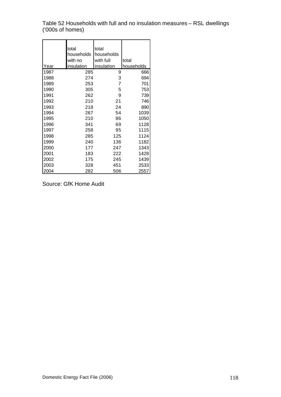Table 52 Households with full and no insulation measures – RSL dwellings ('000s of homes)

|      | total<br>households | total<br>households |            |
|------|---------------------|---------------------|------------|
|      | with no             | with full           | total      |
| Year | insulation          | insulation          | households |
| 1987 | 285                 | 9                   | 666        |
| 1988 | 274                 | 3                   | 694        |
| 1989 | 253                 | $\overline{7}$      | 701        |
| 1990 | 305                 | 5                   | 753        |
| 1991 | 262                 | 9                   | 739        |
| 1992 | 210                 | 21                  | 746        |
| 1993 | 218                 | 24                  | 890        |
| 1994 | 267                 | 54                  | 1039       |
| 1995 | 210                 | 86                  | 1050       |
| 1996 | 341                 | 69                  | 1128       |
| 1997 | 258                 | 95                  | 1115       |
| 1998 | 285                 | 125                 | 1124       |
| 1999 | 240                 | 136                 | 1182       |
| 2000 | 177                 | 247                 | 1343       |
| 2001 | 183                 | 222                 | 1428       |
| 2002 | 175                 | 245                 | 1439       |
| 2003 | 328                 | 451                 | 2533       |
| 2004 | 282                 | 506                 | 2557       |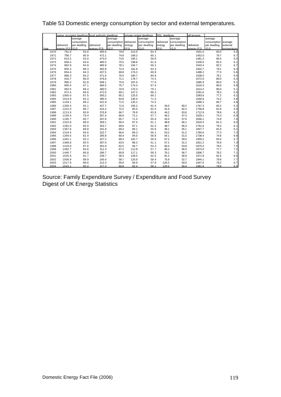## Table 53 Domestic energy consumption by sector and external temperatures.

|      |                  |              | owner occupied dwellings local authority dwellings |                       |        | private rented dwellings | RSL dwellings |              | all tenures |              |             |
|------|------------------|--------------|----------------------------------------------------|-----------------------|--------|--------------------------|---------------|--------------|-------------|--------------|-------------|
|      |                  | average      |                                                    | average               |        | average                  |               | average      |             | average      |             |
|      |                  | consumption  |                                                    | consumption delivered |        | consumption              | delivered     | consumption  |             | consumption  | average     |
|      | delivered        | per dwelling | delivered                                          | per dwelling          | energy | per dwelling             | energy        | per dwelling | delivered   | per dwelling | external    |
| Year | enerav (PJ) (GJ) |              | enerav (PJ)                                        | (GJ)                  | (P, J) | (GJ)                     | (PJ)          | (GJ)         | enerav (PJ) | (GJ)         | temperature |
| 1970 | 791.6            | 93.6         | 495.6                                              | 79.9                  | 214.5  | 64.4                     |               |              | 1501.5      | 83.5         | 5.8         |
| 1971 | 780.7            | 90.9         | 472.1                                              | 74.8                  | 199.2  | 60.1                     |               |              | 1452.0      | 79.7         | 6.7         |
| 1972 | 813.2            | 93.0         | 473.0                                              | 73.6                  | 195.1  | 59.8                     |               |              | 1481.3      | 80.4         | 6.4         |
| 1973 | 846.4            | 94.6         | 485.5                                              | 75.5                  | 198.8  | 61.6                     |               |              | 1530.6      | 82.3         | 6.1         |
| 1974 | 862.9            | 94.9         | 485.9                                              | 78.1                  | 194.7  | 56.2                     |               |              | 1543.4      | 82.2         | 6.7         |
| 1975 | 855.2            | 88.3         | 465.8                                              | 72.4                  | 181.8  | 63.3                     |               |              | 1502.7      | 79.1         | 6.4         |
| 1976 | 854.4            | 84.3         | 457.5                                              | 69.8                  | 176.3  | 69.8                     |               |              | 1488.2      | 77.5         | 5.8         |
| 1977 | 886.3            | 84.2         | 471.6                                              | 70.5                  | 180.7  | 80.8                     |               |              | 1538.5      | 79.1         | 6.6         |
| 1978 | 916.7            | 86.9         | 476.6                                              | 71.1                  | 178.7  | 74.5                     |               |              | 1572.0      | 80.0         | 6.4         |
| 1979 | 990.2            | 92.8         | 508.1                                              | 75.6                  | 187.6  | 77.0                     |               |              | 1685.9      | 85.0         | 5.1         |
| 1980 | 960.4            | 87.1         | 484.5                                              | 75.7                  | 174.3  | 67.4                     |               |              | 1619.3      | 80.9         | 5.8         |
| 1981 | 963.5            | 89.4         | 480.5                                              | 70.9                  | 170.3  | 79.1                     |               |              | 1614.2      | 80.0         | 5.1         |
| 1982 | 972.4            | 89.6         | 472.0                                              | 69.1                  | 147.2  | 68.2                     |               |              | 1591.6      | 78.3         | 5.8         |
| 1983 | 1065.0           | 87.5         | 393.2                                              | 65.2                  | 125.5  | 69.1                     |               |              | 1583.6      | 77.2         | 6.2         |
| 1984 | 1014.9           | 82.4         | 395.4                                              | 64.8                  | 130.4  | 71.5                     |               |              | 1540.6      | 74.2         | 5.8         |
| 1985 | 1149.1           | 89.2         | 421.9                                              | 71.5                  | 125.2  | 74.5                     |               |              | 1696.3      | 80.7         | 4.8         |
| 1986 | 1200.4           | 92.1         | 427.7                                              | 71.6                  | 105.2  | 62.4                     | 34.0          | 60.2         | 1767.3      | 83.2         | 5.2         |
| 1987 | 1222.0           | 88.7         | 415.2                                              | 72.2                  | 80.0   | 62.0                     | 41.6          | 62.4         | 1758.8      | 81.9         | 4.9         |
| 1988 | 1213.0           | 85.8         | 376.8                                              | 66.7                  | 78.9   | 63.8                     | 44.2          | 63.6         | 1712.9      | 78.9         | 6.2         |
| 1989 | 1159.4           | 79.4         | 357.4                                              | 66.6                  | 72.1   | 57.7                     | 40.2          | 57.3         | 1629.1      | 74.3         | 6.9         |
| 1990 | 1195.7           | 80.7         | 347.6                                              | 65.7                  | 71.4   | 55.6                     | 43.4          | 57.6         | 1658.1      | 74.9         | 7.6         |
| 1991 | 1323.9           | 88.0         | 359.1                                              | 69.4                  | 87.5   | 61.1                     | 48.8          | 66.1         | 1819.4      | 81.3         | 6.0         |
| 1992 | 1292.0           | 85.0         | 353.7                                              | 69.6                  | 97.1   | 62.3                     | 48.7          | 65.3         | 1791.6      | 79.3         | 6.1         |
| 1993 | 1367.6           | 88.8         | 341.9                                              | 69.4                  | 89.1   | 55.8                     | 49.1          | 55.1         | 1847.7      | 81.0         | 6.1         |
| 1994 | 1319.4           | 84.6         | 322.7                                              | 66.6                  | 89.3   | 56.1                     | 53.2          | 51.2         | 1784.6      | 77.3         | 7.2         |
| 1995 | 1294.5           | 82.4         | 295.8                                              | 60.4                  | 94.0   | 56.8                     | 54.1          | 51.5         | 1738.4      | 74.6         | 6.9         |
| 1996 | 1462.1           | 92.2         | 327.2                                              | 68.3                  | 102.7  | 59.9                     | 67.2          | 59.5         | 1959.2      | 83.4         | 5.7         |
| 1997 | 1368.8           | 85.5         | 307.0                                              | 63.5                  | 88.3   | 51.1                     | 57.1          | 51.2         | 1821.2      | 76.9         | 7.3         |
| 1998 | 1418.6           | 87.6         | 301.8                                              | 62.5                  | 94.7   | 54.3                     | 60.4          | 53.8         | 1875.5      | 78.5         | 7.5         |
| 1999 | 1382.7           | 84.6         | 311.3                                              | 67.2                  | 112.8  | 57.7                     | 66.3          | 56.0         | 1873.0      | 77.7         | 7.2         |
| 2000 | 1446.7           | 86.8         | 266.7                                              | 60.8                  | 117.1  | 59.3                     | 76.1          | 56.7         | 1906.7      | 78.2         | 7.1         |
| 2001 | 1525.4           | 91.7         | 236.7                                              | 58.3                  | 128.5  | 62.5                     | 81.2          | 56.9         | 1971.8      | 81.6         | 6.6         |
| 2002 | 1506.9           | 89.9         | 240.4                                              | 58.7                  | 120.9  | 58.4                     | 75.9          | 52.7         | 1944.1      | 79.8         | 7.7         |
| 2003 | 1517.9           | 89.6         | 212.3                                              | 59.9                  | 90.9   | 57.8                     | 126.5         | 50.0         | 1947.6      | 79.2         | 6.7         |
| 2004 | 1543.1           | 90.2         | 217.3                                              | 60.8                  | 92.4   | 58.1                     | 129.0         | 50.4         | 1981.8      | 79.8         | 6.9         |

Source: Family Expenditure Survey / Expenditure and Food Survey Digest of UK Energy Statistics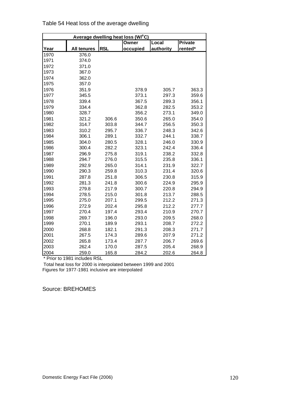|      |                    |            | Average dwelling heat loss (W/°C) |           |                |
|------|--------------------|------------|-----------------------------------|-----------|----------------|
|      |                    |            | Owner                             | Local     | <b>Private</b> |
| Year | <b>All tenures</b> | <b>RSL</b> | occupied                          | authority | rented*        |
| 1970 | 376.0              |            |                                   |           |                |
| 1971 | 374.0              |            |                                   |           |                |
| 1972 | 371.0              |            |                                   |           |                |
| 1973 | 367.0              |            |                                   |           |                |
| 1974 | 362.0              |            |                                   |           |                |
| 1975 | 357.0              |            |                                   |           |                |
| 1976 | 351.9              |            | 378.9                             | 305.7     | 363.3          |
| 1977 | 345.5              |            | 373.1                             | 297.3     | 359.6          |
| 1978 | 339.4              |            | 367.5                             | 289.3     | 356.1          |
| 1979 | 334.4              |            | 362.8                             | 282.5     | 353.2          |
| 1980 | 328.7              |            | 356.2                             | 273.1     | 349.0          |
| 1981 | 321.2              | 306.6      | 350.6                             | 265.0     | 354.0          |
| 1982 | 314.7              | 303.8      | 344.7                             | 256.5     | 350.3          |
| 1983 | 310.2              | 295.7      | 336.7                             | 248.3     | 342.6          |
| 1984 | 306.1              | 289.1      | 332.7                             | 244.1     | 338.7          |
| 1985 | 304.0              | 280.5      | 328.1                             | 246.0     | 330.9          |
| 1986 | 300.4              | 282.2      | 323.1                             | 242.4     | 336.4          |
| 1987 | 296.9              | 275.8      | 319.1                             | 238.2     | 332.8          |
| 1988 | 294.7              | 276.0      | 315.5                             | 235.8     | 336.1          |
| 1989 | 292.9              | 265.0      | 314.1                             | 231.9     | 322.7          |
| 1990 | 290.3              | 259.8      | 310.3                             | 231.4     | 320.6          |
| 1991 | 287.8              | 251.8      | 306.5                             | 230.8     | 315.9          |
| 1992 | 281.3              | 241.8      | 300.6                             | 224.9     | 295.9          |
| 1993 | 279.8              | 217.9      | 300.7                             | 220.8     | 294.9          |
| 1994 | 278.5              | 215.0      | 301.8                             | 213.7     | 288.5          |
| 1995 | 275.0              | 207.1      | 299.5                             | 212.2     | 271.3          |
| 1996 | 272.9              | 202.4      | 295.8                             | 212.2     | 277.7          |
| 1997 | 270.4              | 197.4      | 293.4                             | 210.9     | 270.7          |
| 1998 | 269.7              | 196.0      | 293.0                             | 209.5     | 268.0          |
| 1999 | 270.1              | 189.9      | 293.1                             | 208.7     | 272.2          |
| 2000 | 268.8              | 182.1      | 291.3                             | 208.3     | 271.7          |
| 2001 | 267.5              | 174.3      | 289.6                             | 207.9     | 271.2          |
| 2002 | 265.8              | 173.4      | 287.7                             | 206.7     | 269.6          |
| 2003 | 262.4              | 170.0      | 287.5                             | 205.4     | 268.9          |
| 2004 | 259.0              | 165.8      | 284.2                             | 202.6     | 264.8          |

Table 54 Heat loss of the average dwelling

\* Prior to 1981 includes RSL

Total heat loss for 2000 is interpolated between 1999 and 2001 Figures for 1977-1981 inclusive are interpolated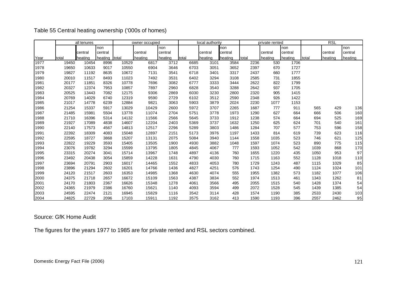| Table 55 Central heating ownership ('000s of homes) |  |
|-----------------------------------------------------|--|
|-----------------------------------------------------|--|

|      |       | all tenures |               |       | owner occupied |         |       | local authority |         |       | private rented |         |       | <b>RSL</b> |         |
|------|-------|-------------|---------------|-------|----------------|---------|-------|-----------------|---------|-------|----------------|---------|-------|------------|---------|
|      |       |             | non           |       |                | Inon    |       |                 | non     |       |                | non     |       |            | non     |
|      |       | central     | central       |       | central        | central |       | central         | central |       | central        | central |       | central    | central |
| Year | total | heating     | heating total |       | heating        | heating | total | heating         | heating | total | heating        | heating | total | heating    | heating |
| 1977 | 19450 | 10454       | 8996          | 10529 | 6817           | 3712    | 6685  | 3101            | 3584    | 2236  | 530            | 1706    |       |            |         |
| 1978 | 19650 | 10633       | 9017          | 10550 | 6904           | 3646    | 6703  | 3051            | 3652    | 2397  | 670            | 1727    |       |            |         |
| 1979 | 19827 | 11192       | 8635          | 10672 | 7131           | 3541    | 6718  | 3401            | 3317    | 2437  | 660            | 1777    |       |            |         |
| 1980 | 20010 | 11517       | 8493          | 11023 | 7492           | 3531    | 6402  | 3294            | 3108    | 2585  | 731            | 1855    |       |            |         |
| 1981 | 20177 | 11851       | 8326          | 10778 | 7696           | 3082    | 6777  | 3333            | 3444    | 2622  | 822            | 1799    |       |            |         |
| 1982 | 20327 | 12374       | 7953          | 10857 | 7897           | 2960    | 6828  | 3540            | 3288    | 2642  | 937            | 1705    |       |            |         |
| 1983 | 20525 | 13443       | 7082          | 12175 | 9306           | 2869    | 6030  | 3230            | 2800    | 2320  | 905            | 1415    |       |            |         |
| 1984 | 20769 | 14029       | 6740          | 12319 | 9590           | 2729    | 6102  | 3512            | 2590    | 2348  | 926            | 1422    |       |            |         |
| 1985 | 21017 | 14778       | 6239          | 12884 | 9821           | 3063    | 5903  | 3879            | 2024    | 2230  | 1077           | 1153    |       |            |         |
| 1986 | 21254 | 15337       | 5917          | 13029 | 10429          | 2600    | 5972  | 3707            | 2265    | 1687  | 777            | 911     | 565   | 429        | 136     |
| 1987 | 21485 | 15981       | 5504          | 13778 | 11074          | 2704    | 5751  | 3778            | 1973    | 1290  | 627            | 664     | 666   | 506        | 160     |
| 1988 | 21710 | 16396       | 5314          | 14132 | 11566          | 2566    | 5645  | 3733            | 1912    | 1238  | 574            | 664     | 694   | 525        | 169     |
| 1989 | 21927 | 17089       | 4838          | 14607 | 12204          | 2403    | 5369  | 3737            | 1632    | 1250  | 625            | 624     | 701   | 540        | 161     |
| 1990 | 22140 | 17573       | 4567          | 14813 | 12517          | 2296    | 5289  | 3803            | 1486    | 1284  | 707            | 577     | 753   | 596        | 158     |
| 1991 | 22392 | 18309       | 4083          | 15048 | 12897          | 2151    | 5173  | 3976            | 1197    | 1433  | 814            | 619     | 739   | 623        | 116     |
| 1992 | 22595 | 18727       | 3868          | 15207 | 13131          | 2075    | 5084  | 3940            | 1144    | 1558  | 1035           | 523     | 746   | 621        | 125     |
| 1993 | 22822 | 19229       | 3593          | 15405 | 13505          | 1900    | 4930  | 3882            | 1048    | 1597  | 1074           | 523     | 890   | 775        | 115     |
| 1994 | 23076 | 19782       | 3294          | 15599 | 13795          | 1805    | 4845  | 4067            | 777     | 1593  | 1052           | 542     | 1039  | 868        | 170     |
| 1995 | 23315 | 20274       | 3041          | 15714 | 13967          | 1748    | 4897  | 4136            | 760     | 1655  | 1220           | 435     | 1050  | 953        | 97      |
| 1996 | 23492 | 20438       | 3054          | 15859 | 14228          | 1631    | 4790  | 4030            | 760     | 1715  | 1163           | 552     | 1128  | 1018       | 110     |
| 1997 | 23694 | 20791       | 2903          | 16017 | 14465          | 1552    | 4833  | 4053            | 780     | 1729  | 1243           | 487     | 1115  | 1029       | 85      |
| 1998 | 23896 | 21294       | 2602          | 16201 | 14766          | 1436    | 4827  | 4251            | 576     | 1743  | 1254           | 490     | 1124  | 1024       | 101     |
| 1999 | 24120 | 21517       | 2603          | 16353 | 14985          | 1368    | 4630  | 4074            | 555     | 1955  | 1382           | 573     | 1182  | 1077       | 106     |
| 2000 | 24375 | 21718       | 2657          | 16672 | 15109          | 1563    | 4387  | 3834            | 552     | 1974  | 1513           | 461     | 1343  | 1262       | 81      |
| 2001 | 24170 | 21803       | 2367          | 16626 | 15348          | 1278    | 4061  | 3566            | 495     | 2055  | 1515           | 540     | 1428  | 1374       | 54      |
| 2002 | 24365 | 21979       | 2386          | 16760 | 15621          | 1140    | 4093  | 3594            | 499     | 2072  | 1528           | 545     | 1439  | 1385       | 54      |
| 2003 | 24595 | 22474       | 2121          | 16945 | 15829          | 1116    | 3542  | 3114            | 428     | 1574  | 1190           | 385     | 2533  | 2430       | 103     |
| 2004 | 24825 | 22729       | 2096          | 17103 | 15911          | 1192    | 3575  | 3162            | 413     | 1590  | 1193           | 396     | 2557  | 2462       | 95      |

The figures for the years 1977 to 1985 are for private rented and RSL sectors combined.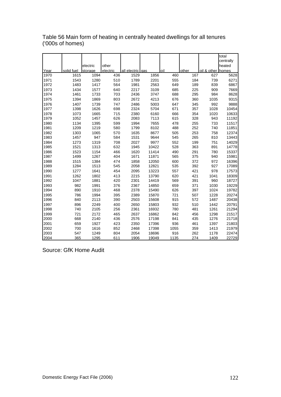|      |            |          |          |                  |       |      |       |                   | total     |
|------|------------|----------|----------|------------------|-------|------|-------|-------------------|-----------|
|      |            |          |          |                  |       |      |       |                   | centrally |
|      |            | electric | other    |                  |       |      |       |                   | heated    |
| Year | solid fuel | storage  | electric | all electric gas |       | oil  | other | oil & other homes |           |
| 1970 | 1615       | 1094     | 436      | 1529             | 1856  | 460  | 167   | 627               | 5628      |
| 1971 | 1543       | 1280     | 510      | 1789             | 2201  | 555  | 184   | 739               | 6271      |
| 1972 | 1483       | 1417     | 564      | 1981             | 2563  | 649  | 189   | 839               | 6867      |
| 1973 | 1434       | 1577     | 640      | 2217             | 3109  | 685  | 225   | 909               | 7669      |
| 1974 | 1461       | 1733     | 703      | 2436             | 3747  | 688  | 295   | 984               | 8628      |
| 1975 | 1394       | 1869     | 803      | 2672             | 4213  | 676  | 360   | 1035              | 9315      |
| 1976 | 1407       | 1739     | 747      | 2486             | 5003  | 647  | 345   | 992               | 9888      |
| 1977 | 1398       | 1626     | 698      | 2324             | 5704  | 671  | 357   | 1028              | 10454     |
| 1978 | 1073       | 1665     | 715      | 2380             | 6160  | 666  | 354   | 1020              | 10633     |
| 1979 | 1052       | 1457     | 626      | 2083             | 7113  | 615  | 328   | 943               | 11192     |
| 1980 | 1134       | 1395     | 599      | 1994             | 7655  | 478  | 255   | 733               | 11517     |
| 1981 | 1209       | 1219     | 580      | 1799             | 8102  | 488  | 252   | 740               | 11851     |
| 1982 | 1303       | 1065     | 570      | 1635             | 8677  | 505  | 253   | 758               | 12374     |
| 1983 | 1457       | 947      | 584      | 1531             | 9644  | 545  | 265   | 810               | 13443     |
| 1984 | 1273       | 1319     | 708      | 2027             | 9977  | 552  | 199   | 751               | 14029     |
| 1985 | 1521       | 1313     | 632      | 1945             | 10422 | 528  | 363   | 891               | 14778     |
| 1986 | 1523       | 1154     | 466      | 1620             | 11414 | 490  | 291   | 780               | 15337     |
| 1987 | 1499       | 1267     | 404      | 1671             | 11871 | 565  | 375   | 940               | 15981     |
| 1988 | 1515       | 1384     | 474      | 1858             | 12050 | 600  | 372   | 972               | 16396     |
| 1989 | 1284       | 1513     | 545      | 2058             | 12821 | 535  | 392   | 927               | 17089     |
| 1990 | 1277       | 1641     | 454      | 2095             | 13223 | 557  | 421   | 978               | 17573     |
| 1991 | 1262       | 1802     | 413      | 2215             | 13790 | 620  | 421   | 1041              | 18309     |
| 1992 | 1047       | 1881     | 420      | 2301             | 14419 | 569  | 391   | 960               | 18727     |
| 1993 | 982        | 1991     | 376      | 2367             | 14850 | 659  | 371   | 1030              | 19229     |
| 1994 | 890        | 1910     | 468      | 2378             | 15490 | 626  | 397   | 1024              | 19782     |
| 1995 | 786        | 1994     | 395      | 2389             | 15870 | 721  | 507   | 1228              | 20274     |
| 1996 | 840        | 2113     | 390      | 2503             | 15608 | 915  | 572   | 1487              | 20438     |
| 1997 | 896        | 2249     | 400      | 2650             | 15803 | 932  | 510   | 1442              | 20791     |
| 1998 | 740        | 2105     | 256      | 2361             | 16932 | 780  | 481   | 1261              | 21294     |
| 1999 | 721        | 2172     | 465      | 2637             | 16862 | 842  | 456   | 1298              | 21517     |
| 2000 | 668        | 2140     | 436      | 2576             | 17198 | 841  | 435   | 1276              | 21718     |
| 2001 | 659        | 1927     | 423      | 2350             | 17396 | 936  | 461   | 1397              | 21803     |
| 2002 | 700        | 1616     | 852      | 2468             | 17398 | 1055 | 359   | 1413              | 21979     |
| 2003 | 547        | 1249     | 804      | 2054             | 18696 | 916  | 262   | 1178              | 22474     |
| 2004 | 365        | 1295     | 611      | 1906             | 19049 | 1135 | 274   | 1409              | 22729     |

Table 56 Main form of heating in centrally heated dwellings for all tenures ('000s of homes)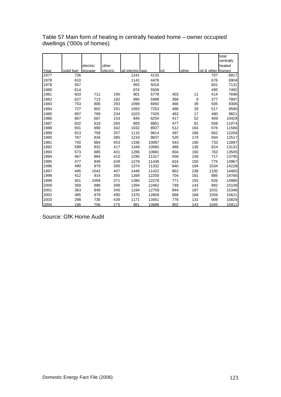|      |            |          |          |                   |       |     |       |                   | total     |
|------|------------|----------|----------|-------------------|-------|-----|-------|-------------------|-----------|
|      |            |          |          |                   |       |     |       |                   | centrally |
|      |            | electric | other    |                   |       |     |       |                   | heated    |
| Year | solid fuel | storage  | electric | all electric lgas |       | oil | other | oil & other homes |           |
| 1977 | 736        |          |          | 1241              | 4133  |     |       | 707               | 6817      |
| 1978 | 610        |          |          | 1142              | 4476  |     |       | 676               | 6904      |
| 1979 | 557        |          |          | 955               | 5018  |     |       | 601               | 7131      |
| 1980 | 614        |          |          | 874               | 5509  |     |       | 495               | 7492      |
| 1981 | 603        | 711      | 190      | 901               | 5778  | 403 | 11    | 414               | 7696      |
| 1982 | 627        | 713      | 182      | 895               | 5998  | 368 | 9     | 377               | 7897      |
| 1983 | 753        | 806      | 293      | 1099              | 6950  | 466 | 39    | 505               | 9306      |
| 1984 | 727        | 802      | 291      | 1093              | 7253  | 488 | 29    | 517               | 9590      |
| 1985 | 897        | 789      | 234      | 1023              | 7420  | 463 | 17    | 480               | 9821      |
| 1986 | 867        | 687      | 153      | 840               | 8254  | 417 | 52    | 469               | 10429     |
| 1987 | 832        | 618      | 265      | 883               | 8801  | 477 | 81    | 558               | 11074     |
| 1988 | 931        | 690      | 342      | 1032              | 8927  | 512 | 164   | 676               | 11566     |
| 1989 | 813        | 758      | 357      | 1115              | 9614  | 497 | 166   | 662               | 12204     |
| 1990 | 767        | 834      | 385      | 1219              | 9837  | 520 | 174   | 694               | 12517     |
| 1991 | 740        | 884      | 453      | 1336              | 10087 | 543 | 190   | 733               | 12897     |
| 1992 | 599        | 932      | 417      | 1349              | 10560 | 488 | 136   | 624               | 13131     |
| 1993 | 573        | 885      | 401      | 1286              | 10881 | 604 | 160   | 763               | 13505     |
| 1994 | 467        | 884      | 410      | 1295              | 11317 | 558 | 158   | 717               | 13795     |
| 1995 | 477        | 849      | 428      | 1278              | 11436 | 624 | 150   | 775               | 13967     |
| 1996 | 490        | 979      | 395      | 1374              | 11332 | 840 | 194   | 1034              | 14228     |
| 1997 | 495        | 1042     | 407      | 1448              | 11422 | 862 | 238   | 1100              | 14465     |
| 1998 | 412        | 914      | 355      | 1269              | 12200 | 704 | 181   | 885               | 14766     |
| 1999 | 401        | 1009     | 371      | 1380              | 12278 | 771 | 155   | 926               | 14985     |
| 2000 | 359        | 996      | 398      | 1394              | 12462 | 749 | 143   | 892               | 15109     |
| 2001 | 363        | 849      | 345      | 1194              | 12759 | 844 | 187   | 1031              | 15348     |
| 2002 | 385        | 879      | 490      | 1370              | 12809 | 888 | 168   | 1056              | 15621     |
| 2003 | 298        | 735      | 436      | 1171              | 13451 | 778 | 131   | 909               | 15829     |
| 2004 | 196        | 706      | 275      | 981               | 13688 | 902 | 143   | 1045              | 15911     |

Table 57 Main form of heating in centrally heated home – owner occupied dwellings ('000s of homes)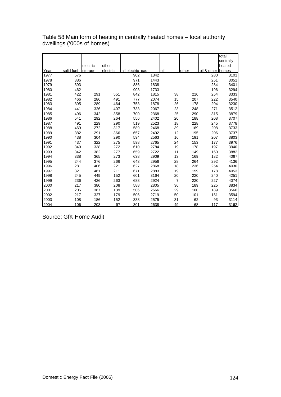|      |            |          |          |                   |      |                |       |             | total     |
|------|------------|----------|----------|-------------------|------|----------------|-------|-------------|-----------|
|      |            |          |          |                   |      |                |       |             | centrally |
|      |            | electric | other    |                   |      |                |       |             | heated    |
| Year | solid fuel | storage  | electric | all electric lgas |      | loil           | other | oil & other | homes     |
| 1977 | 576        |          |          | 902               | 1342 |                |       | 280         | 3101      |
| 1978 | 386        |          |          | 971               | 1443 |                |       | 251         | 3051      |
| 1979 | 393        |          |          | 886               | 1838 |                |       | 284         | 3401      |
| 1980 | 462        |          |          | 903               | 1733 |                |       | 196         | 3294      |
| 1981 | 422        | 291      | 551      | 842               | 1815 | 38             | 216   | 254         | 3333      |
| 1982 | 466        | 286      | 491      | 777               | 2074 | 15             | 207   | 222         | 3540      |
| 1983 | 395        | 289      | 464      | 753               | 1878 | 26             | 178   | 204         | 3230      |
| 1984 | 441        | 326      | 407      | 733               | 2067 | 23             | 248   | 271         | 3512      |
| 1985 | 496        | 342      | 358      | 700               | 2368 | 25             | 290   | 315         | 3879      |
| 1986 | 541        | 292      | 264      | 556               | 2402 | 20             | 188   | 208         | 3707      |
| 1987 | 491        | 229      | 290      | 519               | 2523 | 18             | 228   | 245         | 3778      |
| 1988 | 469        | 272      | 317      | 589               | 2468 | 39             | 169   | 208         | 3733      |
| 1989 | 382        | 291      | 366      | 657               | 2492 | 12             | 195   | 206         | 3737      |
| 1990 | 438        | 304      | 290      | 594               | 2563 | 16             | 191   | 207         | 3803      |
| 1991 | 437        | 322      | 275      | 598               | 2765 | 24             | 153   | 177         | 3976      |
| 1992 | 349        | 338      | 272      | 610               | 2784 | 19             | 178   | 197         | 3940      |
| 1993 | 342        | 382      | 277      | 659               | 2722 | 11             | 149   | 160         | 3882      |
| 1994 | 338        | 365      | 273      | 638               | 2909 | 13             | 169   | 182         | 4067      |
| 1995 | 244        | 376      | 266      | 643               | 2956 | 28             | 264   | 292         | 4136      |
| 1996 | 281        | 406      | 221      | 627               | 2868 | 18             | 236   | 254         | 4030      |
| 1997 | 321        | 461      | 211      | 671               | 2883 | 19             | 159   | 178         | 4053      |
| 1998 | 245        | 449      | 152      | 601               | 3164 | 20             | 220   | 240         | 4251      |
| 1999 | 236        | 426      | 263      | 688               | 2924 | $\overline{7}$ | 220   | 227         | 4074      |
| 2000 | 217        | 380      | 208      | 588               | 2805 | 36             | 189   | 225         | 3834      |
| 2001 | 205        | 367      | 139      | 506               | 2666 | 29             | 160   | 189         | 3566      |
| 2002 | 217        | 327      | 179      | 506               | 2719 | 50             | 101   | 151         | 3594      |
| 2003 | 108        | 186      | 152      | 338               | 2575 | 31             | 62    | 93          | 3114      |
| 2004 | 106        | 203      | 97       | 301               | 2638 | 49             | 68    | 117         | 3162      |

Table 58 Main form of heating in centrally heated homes – local authority dwellings ('000s of homes)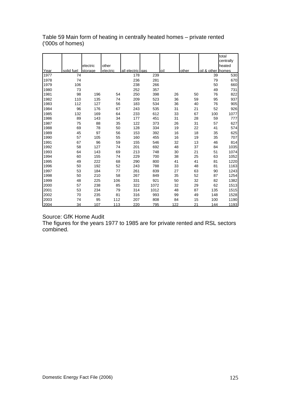|      |            |          |          |                   |      |     |       |                   | total     |
|------|------------|----------|----------|-------------------|------|-----|-------|-------------------|-----------|
|      |            |          |          |                   |      |     |       |                   | centrally |
|      |            | electric | other    |                   |      |     |       |                   | heated    |
| Year | solid fuel | storage  | electric | all electric lgas |      | oil | other | oil & other homes |           |
| 1977 | 74         |          |          | 178               | 239  |     |       | 39                | 530       |
| 1978 | 74         |          |          | 236               | 281  |     |       | 79                | 670       |
| 1979 | 106        |          |          | 238               | 266  |     |       | 50                | 660       |
| 1980 | 73         |          |          | 252               | 357  |     |       | 49                | 731       |
| 1981 | 98         | 196      | 54       | 250               | 398  | 26  | 50    | 76                | 822       |
| 1982 | 110        | 135      | 74       | 209               | 523  | 36  | 59    | 95                | 937       |
| 1983 | 112        | 127      | 56       | 183               | 534  | 36  | 40    | 76                | 905       |
| 1984 | 96         | 176      | 67       | 243               | 535  | 31  | 21    | 52                | 926       |
| 1985 | 132        | 169      | 64       | 233               | 612  | 33  | 67    | 100               | 1077      |
| 1986 | 89         | 143      | 34       | 177               | 451  | 31  | 28    | 59                | 777       |
| 1987 | 75         | 88       | 35       | 122               | 373  | 26  | 31    | 57                | 627       |
| 1988 | 69         | 78       | 50       | 128               | 334  | 19  | 22    | 41                | 574       |
| 1989 | 45         | 97       | 56       | 153               | 392  | 16  | 18    | 35                | 625       |
| 1990 | 57         | 105      | 55       | 160               | 455  | 16  | 19    | 35                | 707       |
| 1991 | 67         | 96       | 59       | 155               | 546  | 32  | 13    | 46                | 814       |
| 1992 | 58         | 127      | 74       | 201               | 692  | 48  | 37    | 84                | 1035      |
| 1993 | 64         | 143      | 69       | 213               | 748  | 30  | 21    | 51                | 1074      |
| 1994 | 60         | 155      | 74       | 229               | 700  | 38  | 25    | 63                | 1052      |
| 1995 | 49         | 222      | 68       | 290               | 800  | 41  | 41    | 81                | 1220      |
| 1996 | 50         | 192      | 52       | 243               | 788  | 33  | 48    | 81                | 1163      |
| 1997 | 53         | 184      | 77       | 261               | 839  | 27  | 63    | 90                | 1243      |
| 1998 | 50         | 210      | 58       | 267               | 849  | 35  | 52    | 87                | 1254      |
| 1999 | 48         | 225      | 106      | 331               | 921  | 50  | 32    | 82                | 1382      |
| 2000 | 57         | 238      | 85       | 322               | 1072 | 32  | 29    | 62                | 1513      |
| 2001 | 53         | 234      | 79       | 314               | 1012 | 48  | 87    | 135               | 1515      |
| 2002 | 70         | 235      | 81       | 316               | 993  | 99  | 49    | 148               | 1528      |
| 2003 | 74         | 95       | 112      | 207               | 808  | 84  | 15    | 100               | 1190      |
| 2004 | 34         | 107      | 113      | 220               | 795  | 122 | 21    | 144               | 1193      |

Table 59 Main form of heating in centrally heated homes – private rented ('000s of homes)

Source: GfK Home Audit

The figures for the years 1977 to 1985 are for private rented and RSL sectors combined.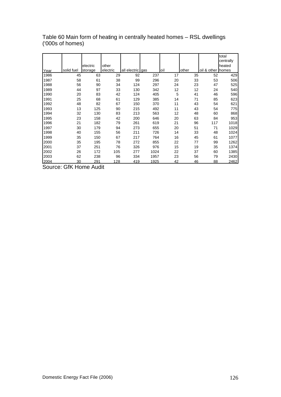|      |            |          |          |                  |      |     |       |                   | total     |
|------|------------|----------|----------|------------------|------|-----|-------|-------------------|-----------|
|      |            |          |          |                  |      |     |       |                   | centrally |
|      |            | electric | other    |                  |      |     |       |                   | heated    |
| Year | solid fuel | storage  | electric | all electric gas |      | oil | other | oil & other homes |           |
| 1986 | 45         | 63       | 29       | 92               | 237  | 17  | 35    | 52                | 429       |
| 1987 | 58         | 61       | 38       | 99               | 296  | 20  | 33    | 53                | 506       |
| 1988 | 56         | 90       | 34       | 124              | 297  | 24  | 23    | 47                | 525       |
| 1989 | 44         | 97       | 33       | 130              | 342  | 12  | 12    | 24                | 540       |
| 1990 | 20         | 83       | 42       | 124              | 405  | 5   | 41    | 46                | 596       |
| 1991 | 25         | 68       | 61       | 129              | 385  | 14  | 71    | 85                | 623       |
| 1992 | 48         | 82       | 67       | 150              | 370  | 11  | 43    | 54                | 621       |
| 1993 | 13         | 125      | 90       | 215              | 492  | 11  | 43    | 54                | 775       |
| 1994 | 32         | 130      | 83       | 213              | 563  | 12  | 48    | 60                | 868       |
| 1995 | 23         | 158      | 42       | 200              | 646  | 20  | 63    | 84                | 953       |
| 1996 | 21         | 182      | 79       | 261              | 619  | 21  | 96    | 117               | 1018      |
| 1997 | 30         | 179      | 94       | 273              | 655  | 20  | 51    | 71                | 1029      |
| 1998 | 40         | 155      | 56       | 211              | 726  | 14  | 33    | 48                | 1024      |
| 1999 | 35         | 150      | 67       | 217              | 764  | 16  | 45    | 61                | 1077      |
| 2000 | 35         | 195      | 78       | 272              | 855  | 22  | 77    | 99                | 1262      |
| 2001 | 37         | 251      | 76       | 326              | 976  | 15  | 19    | 35                | 1374      |
| 2002 | 26         | 172      | 105      | 277              | 1024 | 22  | 37    | 60                | 1385      |
| 2003 | 62         | 238      | 96       | 334              | 1957 | 23  | 56    | 79                | 2430      |
| 2004 | 30         | 291      | 128      | 419              | 1925 | 42  | 46    | 88                | 2462      |
|      |            |          |          |                  |      |     |       |                   |           |

Table 60 Main form of heating in centrally heated homes – RSL dwellings ('000s of homes)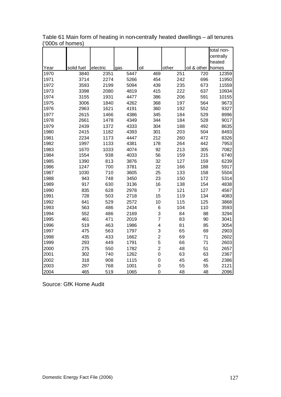|      |            |          |      |                         |       |                   | total non- |
|------|------------|----------|------|-------------------------|-------|-------------------|------------|
|      |            |          |      |                         |       |                   | centrally  |
|      |            |          |      |                         |       |                   | heated     |
| Year | solid fuel | electric | gas  | oil                     | other | oil & other homes |            |
| 1970 | 3840       | 2351     | 5447 | 469                     | 251   | 720               | 12359      |
| 1971 | 3714       | 2274     | 5266 | 454                     | 242   | 696               | 11950      |
| 1972 | 3593       | 2199     | 5094 | 439                     | 235   | 673               | 11559      |
| 1973 | 3398       | 2080     | 4819 | 415                     | 222   | 637               | 10934      |
| 1974 | 3155       | 1931     | 4477 | 386                     | 206   | 591               | 10155      |
| 1975 | 3006       | 1840     | 4262 | 368                     | 197   | 564               | 9673       |
| 1976 | 2963       | 1621     | 4191 | 360                     | 192   | 552               | 9327       |
| 1977 | 2615       | 1466     | 4386 | 345                     | 184   | 529               | 8996       |
| 1978 | 2661       | 1478     | 4349 | 344                     | 184   | 528               | 9017       |
| 1979 | 2439       | 1372     | 4333 | 304                     | 188   | 492               | 8635       |
| 1980 | 2415       | 1182     | 4393 | 301                     | 203   | 504               | 8493       |
| 1981 | 2234       | 1173     | 4447 | 212                     | 260   | 472               | 8326       |
| 1982 | 1997       | 1133     | 4381 | 178                     | 264   | 442               | 7953       |
| 1983 | 1670       | 1033     | 4074 | 92                      | 213   | 305               | 7082       |
| 1984 | 1554       | 938      | 4033 | 56                      | 159   | 215               | 6740       |
| 1985 | 1390       | 813      | 3876 | 32                      | 127   | 159               | 6239       |
| 1986 | 1247       | 700      | 3781 | 22                      | 166   | 188               | 5917       |
| 1987 | 1030       | 710      | 3605 | 25                      | 133   | 158               | 5504       |
| 1988 | 943        | 748      | 3450 | 23                      | 150   | 172               | 5314       |
| 1989 | 917        | 630      | 3136 | 16                      | 138   | 154               | 4838       |
| 1990 | 835        | 628      | 2978 | $\overline{7}$          | 121   | 127               | 4567       |
| 1991 | 728        | 503      | 2718 | 15                      | 119   | 134               | 4083       |
| 1992 | 641        | 529      | 2572 | 10                      | 115   | 125               | 3868       |
| 1993 | 563        | 486      | 2434 | 6                       | 104   | 110               | 3593       |
| 1994 | 552        | 486      | 2169 | 3                       | 84    | 88                | 3294       |
| 1995 | 461        | 471      | 2019 | $\overline{7}$          | 83    | 90                | 3041       |
| 1996 | 519        | 463      | 1986 | $\overline{\mathbf{4}}$ | 81    | 85                | 3054       |
| 1997 | 475        | 563      | 1797 | 3                       | 65    | 69                | 2903       |
| 1998 | 435        | 433      | 1662 | $\overline{\mathbf{c}}$ | 69    | 71                | 2602       |
| 1999 | 293        | 449      | 1791 | 5                       | 66    | 71                | 2603       |
| 2000 | 275        | 550      | 1782 | $\overline{\mathbf{c}}$ | 48    | 51                | 2657       |
| 2001 | 302        | 740      | 1262 | 0                       | 63    | 63                | 2367       |
| 2002 | 318        | 908      | 1115 | 0                       | 45    | 45                | 2386       |
| 2003 | 297        | 768      | 1001 | 0                       | 55    | 55                | 2121       |
| 2004 | 465        | 519      | 1065 | 0                       | 48    | 48                | 2096       |

Table 61 Main form of heating in non-centrally heated dwellings – all tenures ('000s of homes)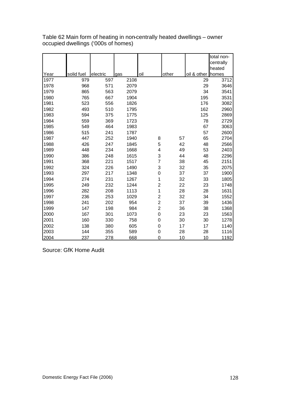|      |            |          |      |                         |       |             | total non- |
|------|------------|----------|------|-------------------------|-------|-------------|------------|
|      |            |          |      |                         |       |             | centrally  |
|      |            |          |      |                         |       |             | heated     |
| Year | solid fuel | electric | gas  | oil                     | other | oil & other | homes      |
| 1977 | 979        | 597      | 2108 |                         |       | 29          | 3712       |
| 1978 | 968        | 571      | 2079 |                         |       | 29          | 3646       |
| 1979 | 865        | 563      | 2079 |                         |       | 34          | 3541       |
| 1980 | 765        | 667      | 1904 |                         |       | 195         | 3531       |
| 1981 | 523        | 556      | 1826 |                         |       | 176         | 3082       |
| 1982 | 493        | 510      | 1795 |                         |       | 162         | 2960       |
| 1983 | 594        | 375      | 1775 |                         |       | 125         | 2869       |
| 1984 | 559        | 369      | 1723 |                         |       | 78          | 2729       |
| 1985 | 549        | 464      | 1983 |                         |       | 67          | 3063       |
| 1986 | 515        | 241      | 1787 |                         |       | 57          | 2600       |
| 1987 | 447        | 252      | 1940 | 8                       | 57    | 65          | 2704       |
| 1988 | 426        | 247      | 1845 | 5                       | 42    | 48          | 2566       |
| 1989 | 448        | 234      | 1668 | 4                       | 49    | 53          | 2403       |
| 1990 | 386        | 248      | 1615 | 3                       | 44    | 48          | 2296       |
| 1991 | 368        | 221      | 1517 | $\overline{7}$          | 38    | 45          | 2151       |
| 1992 | 324        | 226      | 1490 | 3                       | 32    | 35          | 2075       |
| 1993 | 297        | 217      | 1348 | $\mathbf 0$             | 37    | 37          | 1900       |
| 1994 | 274        | 231      | 1267 | 1                       | 32    | 33          | 1805       |
| 1995 | 249        | 232      | 1244 | $\overline{c}$          | 22    | 23          | 1748       |
| 1996 | 282        | 208      | 1113 | 1                       | 28    | 28          | 1631       |
| 1997 | 236        | 253      | 1029 | $\overline{c}$          | 32    | 34          | 1552       |
| 1998 | 241        | 202      | 954  | $\overline{\mathbf{c}}$ | 37    | 39          | 1436       |
| 1999 | 147        | 198      | 984  | $\overline{c}$          | 36    | 38          | 1368       |
| 2000 | 167        | 301      | 1073 | $\mathbf 0$             | 23    | 23          | 1563       |
| 2001 | 160        | 330      | 758  | $\mathbf 0$             | 30    | 30          | 1278       |
| 2002 | 138        | 380      | 605  | $\mathbf 0$             | 17    | 17          | 1140       |
| 2003 | 144        | 355      | 589  | 0                       | 28    | 28          | 1116       |
| 2004 | 237        | 278      | 668  | $\mathbf 0$             | 10    | 10          | 1192       |

Table 62 Main form of heating in non-centrally heated dwellings – owner occupied dwellings ('000s of homes)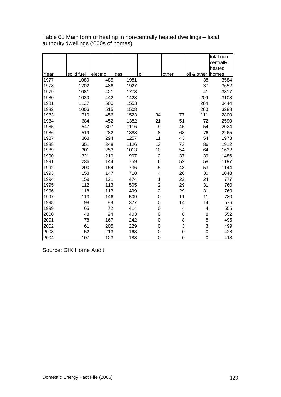|      |            |          |      |                         |                |                | total non- |
|------|------------|----------|------|-------------------------|----------------|----------------|------------|
|      |            |          |      |                         |                |                | centrally  |
|      |            |          |      |                         |                |                | heated     |
| Year | solid fuel | electric | gas  | oil                     | other          | oil & other    | homes      |
| 1977 | 1080       | 485      | 1981 |                         |                | 38             | 3584       |
| 1978 | 1202       | 486      | 1927 |                         |                | 37             | 3652       |
| 1979 | 1081       | 421      | 1773 |                         |                | 41             | 3317       |
| 1980 | 1030       | 442      | 1428 |                         |                | 209            | 3108       |
| 1981 | 1127       | 500      | 1553 |                         |                | 264            | 3444       |
| 1982 | 1006       | 515      | 1508 |                         |                | 260            | 3288       |
| 1983 | 710        | 456      | 1523 | 34                      | 77             | 111            | 2800       |
| 1984 | 684        | 452      | 1382 | 21                      | 51             | 72             | 2590       |
| 1985 | 547        | 307      | 1116 | 9                       | 45             | 54             | 2024       |
| 1986 | 519        | 282      | 1388 | 8                       | 68             | 76             | 2265       |
| 1987 | 368        | 294      | 1257 | 11                      | 43             | 54             | 1973       |
| 1988 | 351        | 348      | 1126 | 13                      | 73             | 86             | 1912       |
| 1989 | 301        | 253      | 1013 | 10                      | 54             | 64             | 1632       |
| 1990 | 321        | 219      | 907  | $\overline{2}$          | 37             | 39             | 1486       |
| 1991 | 236        | 144      | 759  | 6                       | 52             | 58             | 1197       |
| 1992 | 200        | 154      | 736  | 5                       | 48             | 53             | 1144       |
| 1993 | 153        | 147      | 718  | 4                       | 26             | 30             | 1048       |
| 1994 | 159        | 121      | 474  | 1                       | 22             | 24             | 777        |
| 1995 | 112        | 113      | 505  | $\overline{\mathbf{c}}$ | 29             | 31             | 760        |
| 1996 | 118        | 113      | 499  | $\overline{c}$          | 29             | 31             | 760        |
| 1997 | 113        | 146      | 509  | $\mathbf 0$             | 11             | 11             | 780        |
| 1998 | 98         | 88       | 377  | $\mathbf 0$             | 14             | 14             | 576        |
| 1999 | 65         | 72       | 414  | $\mathbf 0$             | 4              | 4              | 555        |
| 2000 | 48         | 94       | 403  | $\boldsymbol{0}$        | 8              | 8              | 552        |
| 2001 | 78         | 167      | 242  | $\mathbf 0$             | 8              | 8              | 495        |
| 2002 | 61         | 205      | 229  | $\mathbf 0$             | 3              | 3              | 499        |
| 2003 | 52         | 213      | 163  | $\mathbf 0$             | $\mathbf 0$    | $\mathbf 0$    | 428        |
| 2004 | 107        | 123      | 183  | $\mathbf 0$             | $\overline{0}$ | $\overline{0}$ | 413        |

Table 63 Main form of heating in non-centrally heated dwellings – local authority dwellings ('000s of homes)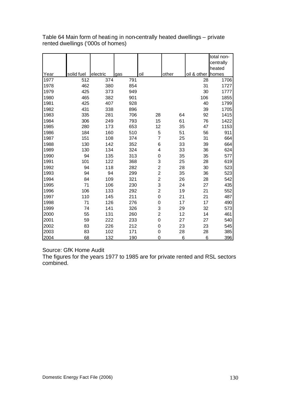|      |            |          |     |                         |       |             | total non- |
|------|------------|----------|-----|-------------------------|-------|-------------|------------|
|      |            |          |     |                         |       |             | centrally  |
|      |            |          |     |                         |       |             | heated     |
| Year | solid fuel | electric | gas | oil                     | other | oil & other | homes      |
| 1977 | 512        | 374      | 791 |                         |       | 28          | 1706       |
| 1978 | 462        | 380      | 854 |                         |       | 31          | 1727       |
| 1979 | 425        | 373      | 949 |                         |       | 30          | 1777       |
| 1980 | 465        | 382      | 901 |                         |       | 106         | 1855       |
| 1981 | 425        | 407      | 928 |                         |       | 40          | 1799       |
| 1982 | 431        | 338      | 896 |                         |       | 39          | 1705       |
| 1983 | 335        | 281      | 706 | 28                      | 64    | 92          | 1415       |
| 1984 | 306        | 249      | 793 | 15                      | 61    | 76          | 1422       |
| 1985 | 280        | 173      | 653 | 12                      | 35    | 47          | 1153       |
| 1986 | 184        | 160      | 510 | 5                       | 51    | 56          | 911        |
| 1987 | 151        | 108      | 374 | $\overline{7}$          | 25    | 31          | 664        |
| 1988 | 130        | 142      | 352 | 6                       | 33    | 39          | 664        |
| 1989 | 130        | 134      | 324 | 4                       | 33    | 36          | 624        |
| 1990 | 94         | 135      | 313 | $\mathbf 0$             | 35    | 35          | 577        |
| 1991 | 101        | 122      | 368 | 3                       | 25    | 28          | 619        |
| 1992 | 94         | 118      | 282 | $\overline{\mathbf{c}}$ | 28    | 30          | 523        |
| 1993 | 94         | 94       | 299 | $\overline{c}$          | 35    | 36          | 523        |
| 1994 | 84         | 109      | 321 | $\overline{c}$          | 26    | 28          | 542        |
| 1995 | 71         | 106      | 230 | 3                       | 24    | 27          | 435        |
| 1996 | 106        | 133      | 292 | $\overline{\mathbf{c}}$ | 19    | 21          | 552        |
| 1997 | 110        | 145      | 211 | $\mathbf 0$             | 21    | 21          | 487        |
| 1998 | 71         | 126      | 276 | $\mathbf 0$             | 17    | 17          | 490        |
| 1999 | 74         | 141      | 326 | 3                       | 29    | 32          | 573        |
| 2000 | 55         | 131      | 260 | $\overline{c}$          | 12    | 14          | 461        |
| 2001 | 59         | 222      | 233 | $\mathbf 0$             | 27    | 27          | 540        |
| 2002 | 83         | 226      | 212 | $\mathbf 0$             | 23    | 23          | 545        |
| 2003 | 83         | 102      | 171 | 0                       | 28    | 28          | 385        |
| 2004 | 68         | 132      | 190 | $\mathbf 0$             | 6     | 6           | 396        |

Table 64 Main form of heating in non-centrally heated dwellings – private rented dwellings ('000s of homes)

## Source: GfK Home Audit

The figures for the years 1977 to 1985 are for private rented and RSL sectors combined.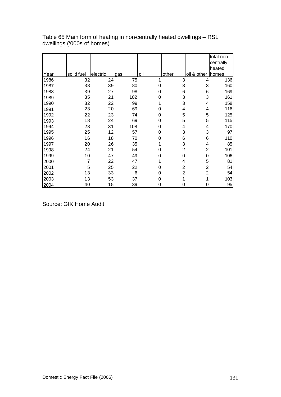|      |                |          |     |     |                |                   | total non-<br>centrally |
|------|----------------|----------|-----|-----|----------------|-------------------|-------------------------|
|      |                |          |     |     |                |                   | heated                  |
| Year | solid fuel     | electric | gas | oil | other          | oil & other homes |                         |
| 1986 | 32             | 24       | 75  |     | 3              | 4                 | 136                     |
| 1987 | 38             | 39       | 80  | 0   | 3              | 3                 | 160                     |
| 1988 | 39             | 27       | 98  | 0   | 6              | 6                 | 169                     |
| 1989 | 35             | 21       | 102 | 0   | 3              | 3                 | 161                     |
| 1990 | 32             | 22       | 99  |     | 3              | 4                 | 158                     |
| 1991 | 23             | 20       | 69  | 0   | 4              | 4                 | 116                     |
| 1992 | 22             | 23       | 74  | 0   | 5              | 5                 | 125                     |
| 1993 | 18             | 24       | 69  | 0   | 5              | 5                 | 115                     |
| 1994 | 28             | 31       | 108 | 0   | 4              | 4                 | 170                     |
| 1995 | 25             | 12       | 57  | 0   | 3              | 3                 | 97                      |
| 1996 | 16             | 18       | 70  | 0   | 6              | 6                 | 110                     |
| 1997 | 20             | 26       | 35  |     | 3              | 4                 | 85                      |
| 1998 | 24             | 21       | 54  | 0   | $\overline{2}$ | 2                 | 101                     |
| 1999 | 10             | 47       | 49  | 0   | 0              | 0                 | 106                     |
| 2000 | $\overline{7}$ | 22       | 47  |     | 4              | 5                 | 81                      |
| 2001 | 5              | 25       | 22  | 0   | $\overline{2}$ | $\overline{c}$    | 54                      |
| 2002 | 13             | 33       | 6   | 0   | $\overline{2}$ | $\overline{2}$    | 54                      |
| 2003 | 13             | 53       | 37  | 0   |                | 1                 | 103                     |
| 2004 | 40             | 15       | 39  | 0   | 0              | 0                 | 95                      |

Table 65 Main form of heating in non-centrally heated dwellings – RSL dwellings ('000s of homes)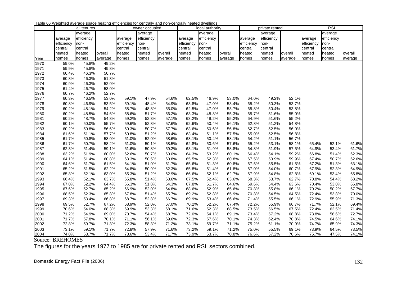|      |            | all tenures |         |            | owner occupied |         |            | local authority |         |            | private rented |         |            | <b>RSL</b> |         |
|------|------------|-------------|---------|------------|----------------|---------|------------|-----------------|---------|------------|----------------|---------|------------|------------|---------|
|      |            | average     |         |            | average        |         |            | average         |         |            | average        |         |            | average    |         |
|      | average    | efficiency  |         | average    | efficiency     |         | average    | efficiency      |         | average    | efficiency     |         | average    | efficiency |         |
|      | efficiency | non-        |         | efficiency | non-           |         | efficiency | non-            |         | efficiency | non-           |         | efficiency | non-       |         |
|      | central    | central     |         | central    | central        |         | central    | central         |         | central    | central        |         | central    | central    |         |
|      | heated     | heated      | overall | heated     | heated         | overall | heated     | heated          | overall | heated     | heated         | overall | heated     | heated     | overall |
| Year | homes      | homes       | average | homes      | homes          | average | homes      | homes           | average | homes      | homes          | average | homes      | homes      | average |
| 1970 | 59.0%      | 45.8%       | 49.2%   |            |                |         |            |                 |         |            |                |         |            |            |         |
| 1971 | 59.9%      | 45.8%       | 49.8%   |            |                |         |            |                 |         |            |                |         |            |            |         |
| 1972 | 60.4%      | 46.3%       | 50.7%   |            |                |         |            |                 |         |            |                |         |            |            |         |
| 1973 | 60.8%      | 46.3%       | 51.3%   |            |                |         |            |                 |         |            |                |         |            |            |         |
| 1974 | 60.9%      | 46.3%       | 52.0%   |            |                |         |            |                 |         |            |                |         |            |            |         |
| 1975 | 61.4%      | 46.7%       | 53.0%   |            |                |         |            |                 |         |            |                |         |            |            |         |
| 1976 | 60.7%      | 46.2%       | 52.7%   |            |                |         |            |                 |         |            |                |         |            |            |         |
| 1977 | 60.3%      | 46.5%       | 53.0%   | 59.1%      | 47.9%          | 54.6%   | 62.5%      | 46.9%           | 53.0%   | 64.0%      | 49.2%          | 52.1%   |            |            |         |
| 1978 | 60.8%      | 46.9%       | 53.5%   | 59.1%      | 48.4%          | 54.9%   | 63.8%      | 47.0%           | 53.4%   | 65.2%      | 50.3%          | 53.7%   |            |            |         |
| 1979 | 60.2%      | 48.1%       | 54.2%   | 58.7%      | 48.8%          | 55.0%   | 62.5%      | 47.0%           | 53.7%   | 65.8%      | 50.4%          | 53.8%   |            |            |         |
| 1980 | 60.2%      | 48.5%       | 54.6%   | 58.6%      | 51.7%          | 56.2%   | 63.3%      | 48.8%           | 55.3%   | 65.7%      | 51.6%          | 55.0%   |            |            |         |
| 1981 | 60.2%      | 48.7%       | 54.8%   | 59.2%      | 52.3%          | 57.1%   | 63.2%      | 49.2%           | 55.2%   | 64.9%      | 51.6%          | 55.2%   |            |            |         |
| 1982 | 60.1%      | 50.0%       | 55.7%   | 59.6%      | 52.8%          | 57.6%   | 62.6%      | 50.4%           | 56.1%   | 62.8%      | 51.2%          | 54.8%   |            |            |         |
| 1983 | 60.2%      | 50.8%       | 56.6%   | 60.3%      | 50.7%          | 57.7%   | 63.6%      | 50.6%           | 56.8%   | 62.7%      | 52.5%          | 56.0%   |            |            |         |
| 1984 | 61.6%      | 51.1%       | 57.7%   | 60.8%      | 51.2%          | 58.4%   | 63.4%      | 51.1%           | 57.5%   | 65.0%      | 52.5%          | 56.8%   |            |            |         |
| 1985 | 61.7%      | 50.8%       | 58.0%   | 61.0%      | 52.0%          | 58.6%   | 63.1%      | 50.4%           | 58.1%   | 64.2%      | 51.1%          | 56.7%   |            |            |         |
| 1986 | 61.7%      | 50.7%       | 58.2%   | 61.0%      | 50.1%          | 58.5%   | 62.8%      | 50.6%           | 57.6%   | 65.2%      | 53.1%          | 58.1%   | 65.4%      | 52.1%      | 61.6%   |
| 1987 | 62.3%      | 51.4%       | 59.1%   | 61.6%      | 50.8%          | 59.2%   | 63.1%      | 51.9%           | 58.8%   | 64.8%      | 51.9%          | 57.5%   | 64.9%      | 53.4%      | 61.7%   |
| 1988 | 63.2%      | 51.9%       | 60.0%   | 62.6%      | 50.7%          | 60.0%   | 64.3%      | 53.2%           | 60.1%   | 66.4%      | 54.1%          | 59.2%   | 66.8%      | 51.4%      | 62.3%   |
| 1989 | 64.1%      | 51.4%       | 60.8%   | 63.3%      | 50.5%          | 60.8%   | 65.5%      | 52.3%           | 60.8%   | 67.5%      | 53.9%          | 59.9%   | 67.4%      | 50.7%      | 62.6%   |
| 1990 | 64.6%      | 51.7%       | 61.5%   | 64.1%      | 51.0%          | 61.7%   | 65.6%      | 51.3%           | 60.8%   | 67.5%      | 55.5%          | 61.5%   | 67.2%      | 51.3%      | 63.1%   |
| 1991 | 65.2%      | 51.5%       | 62.2%   | 64.8%      | 50.9%          | 62.3%   | 65.8%      | 51.4%           | 61.8%   | 67.0%      | 54.0%          | 60.7%   | 67.9%      | 52.3%      | 64.9%   |
| 1992 | 65.8%      | 52.1%       | 63.0%   | 65.3%      | 51.2%          | 62.9%   | 66.6%      | 52.1%           | 62.7%   | 67.9%      | 54.8%          | 62.8%   | 69.1%      | 53.4%      | 65.8%   |
| 1993 | 66.4%      | 52.1%       | 63.7%   | 65.8%      | 51.4%          | 63.6%   | 67.5%      | 52.4%           | 63.6%   | 68.3%      | 53.7%          | 62.7%   | 70.8%      | 54.4%      | 68.2%   |
| 1994 | 67.0%      | 52.2%       | 64.4%   | 66.3%      | 51.8%          | 64.3%   | 67.8%      | 51.7%           | 64.6%   | 69.6%      | 54.4%          | 63.6%   | 70.4%      | 53.0%      | 66.8%   |
| 1995 | 67.6%      | 52.7%       | 65.2%   | 66.9%      | 52.0%          | 64.8%   | 68.6%      | 52.9%           | 65.6%   | 70.8%      | 55.8%          | 66.1%   | 70.2%      | 50.2%      | 67.7%   |
| 1996 | 68.5%      | 52.3%       | 65.8%   | 67.8%      | 51.4%          | 65.7%   | 69.2%      | 52.8%           | 65.9%   | 70.8%      | 54.5%          | 64.5%   | 72.4%      | 53.8%      | 70.0%   |
| 1997 | 69.3%      | 53.4%       | 66.8%   | 68.7%      | 52.8%          | 66.7%   | 69.9%      | 53.4%           | 66.6%   | 71.4%      | 55.5%          | 66.1%   | 72.9%      | 55.9%      | 71.3%   |
| 1998 | 69.5%      | 52.7%       | 67.2%   | 68.9%      | 52.0%          | 67.0%   | 70.2%      | 52.2%           | 67.4%   | 72.2%      | 55.9%          | 66.7%   | 71.7%      | 52.1%      | 69.4%   |
| 1999 | 70.6%      | 54.0%       | 68.3%   | 69.9%      | 53.3%          | 68.1%   | 71.6%      | 52.3%           | 68.5%   | 73.5%      | 56.5%          | 67.5%   | 72.4%      | 62.5%      | 71.4%   |
| 2000 | 71.2%      | 54.9%       | 69.0%   | 70.7%      | 54.4%          | 68.7%   | 72.0%      | 54.1%           | 69.1%   | 73.4%      | 57.2%          | 68.8%   | 73.8%      | 58.6%      | 72.7%   |
| 2001 | 71.7%      | 57.8%       | 70.1%   | 71.1%      | 56.1%          | 69.6%   | 72.3%      | 57.6%           | 70.1%   | 74.3%      | 62.4%          | 70.8%   | 74.5%      | 64.6%      | 74.1%   |
| 2002 | 72.8%      | 59.7%       | 71.3%   | 72.3%      | 58.3%          | 71.2%   | 73.1%      | 59.7%           | 71.1%   | 75.2%      | 61.1%          | 70.9%   | 74.7%      | 65.9%      | 74.3%   |
| 2003 | 73.1%      | 59.1%       | 71.7%   | 72.8%      | 57.9%          | 71.6%   | 73.2%      | 59.1%           | 71.2%   | 75.0%      | 55.5%          | 69.1%   | 73.9%      | 64.5%      | 73.5%   |
| 2004 | 74.0%      | 53.7%       | 71.7%   | 73.6%      | 53.4%          | 71.7%   | 73.9%      | 53.7%           | 70.8%   | 76.6%      | 57.2%          | 70.6%   | 75.7%      | 47.5%      | 74.1%   |

Table 66 Weighted average space heating efficiencies for centrally and non-centrally heated dwellings

Source: BREHOMES

The figures for the years 1977 to 1985 are for private rented and RSL sectors combined.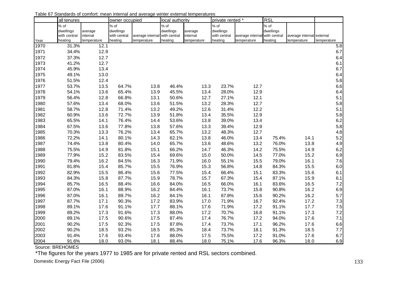|              | all tenures             |                         | owner occupied          |                                              | local authority |                         | private rented *        |                                              | <b>RSL</b> |                                          |             |
|--------------|-------------------------|-------------------------|-------------------------|----------------------------------------------|-----------------|-------------------------|-------------------------|----------------------------------------------|------------|------------------------------------------|-------------|
|              | % of                    |                         | $%$ of                  |                                              | $%$ of          |                         | % of                    |                                              | % of       |                                          |             |
|              | dwellings               | average                 | dwellings               |                                              | dwellings       | average                 | dwellings               |                                              | dwellings  |                                          |             |
|              | with central<br>heating | internal<br>temperature | with central<br>heating | average internal with central<br>temperature | heating         | internal<br>temperature | with central<br>heating | average internal with central<br>temperature | heating    | average internal external<br>temperature | temperature |
| Year<br>1970 | 31.3%                   | 12.1                    |                         |                                              |                 |                         |                         |                                              |            |                                          | 5.8         |
| 1971         | 34.4%                   | 12.9                    |                         |                                              |                 |                         |                         |                                              |            |                                          | 6.7         |
| 1972         | 37.3%                   | 12.7                    |                         |                                              |                 |                         |                         |                                              |            |                                          | 6.4         |
| 1973         | 41.2%                   | 12.7                    |                         |                                              |                 |                         |                         |                                              |            |                                          | 6.1         |
| 1974         | 45.9%                   | 13.4                    |                         |                                              |                 |                         |                         |                                              |            |                                          | 6.7         |
| 1975         | 49.1%                   | 13.0                    |                         |                                              |                 |                         |                         |                                              |            |                                          | 6.4         |
| 1976         | 51.5%                   | 12.4                    |                         |                                              |                 |                         |                         |                                              |            |                                          | 5.8         |
| 1977         | 53.7%                   | 13.5                    | 64.7%                   | 13.8                                         | 46.4%           | 13.3                    | 23.7%                   | 12.7                                         |            |                                          | 6.6         |
| 1978         | 54.1%                   | 13.6                    | 65.4%                   | 13.9                                         | 45.5%           | 13.4                    | 28.0%                   | 12.9                                         |            |                                          | 6.4         |
| 1979         | 56.4%                   | 12.8                    | 66.8%                   | 13.1                                         | 50.6%           | 12.7                    | 27.1%                   | 12.1                                         |            |                                          | 5.1         |
| 1980         | 57.6%                   | 13.4                    | 68.0%                   | 13.6                                         | 51.5%           | 13.2                    | 28.3%                   | 12.7                                         |            |                                          | 5.8         |
| 1981         | 58.7%                   | 12.8                    | 71.4%                   | 13.2                                         | 49.2%           | 12.6                    | 31.4%                   | 12.2                                         |            |                                          | 5.1         |
| 1982         | 60.9%                   | 13.6                    | 72.7%                   | 13.9                                         | 51.8%           | 13.4                    | 35.5%                   | 12.9                                         |            |                                          | 5.8         |
| 1983         | 65.5%                   | 14.1                    | 76.4%                   | 14.4                                         | 53.6%           | 13.8                    | 39.0%                   | 13.4                                         |            |                                          | 6.2         |
| 1984         | 67.5%                   | 13.6                    | 77.8%                   | 13.8                                         | 57.6%           | 13.3                    | 39.4%                   | 12.9                                         |            |                                          | 5.8         |
| 1985         | 70.3%                   | 13.3                    | 76.2%                   | 13.4                                         | 65.7%           | 13.2                    | 48.3%                   | 12.7                                         |            |                                          | 4.8         |
| 1986         | 72.2%                   | 14.1                    | 80.1%                   | 14.3                                         | 62.1%           | 13.8                    | 46.0%                   | 13.4                                         | 75.4%      | 14.1                                     | 5.2         |
| 1987         | 74.4%                   | 13.8                    | 80.4%                   | 14.0                                         | 65.7%           | 13.6                    | 48.6%                   | 13.2                                         | 76.0%      | 13.8                                     | 4.9         |
| 1988         | 75.5%                   | 14.9                    | 81.8%                   | 15.1                                         | 66.2%           | 14.7                    | 46.3%                   | 14.2                                         | 75.5%      | 14.9                                     | 6.2         |
| 1989         | 77.9%                   | 15.2                    | 83.5%                   | 15.4                                         | 69.6%           | 15.0                    | 50.0%                   | 14.5                                         | 77.0%      | 15.2                                     | 6.9         |
| 1990         | 79.4%                   | 16.2                    | 84.5%                   | 16.3                                         | 71.9%           | 16.0                    | 55.1%                   | 15.5                                         | 79.0%      | 16.1                                     | 7.6         |
| 1991         | 81.8%                   | 15.4                    | 85.7%                   | 15.5                                         | 76.9%           | 15.3                    | 56.8%                   | 14.8                                         | 84.3%      | 15.5                                     | 6.0         |
| 1992         | 82.9%                   | 15.5                    | 86.4%                   | 15.6                                         | 77.5%           | 15.4                    | 66.4%                   | 15.1                                         | 83.3%      | 15.6                                     | 6.1         |
| 1993         | 84.3%                   | 15.8                    | 87.7%                   | 15.9                                         | 78.7%           | 15.7                    | 67.3%                   | 15.4                                         | 87.1%      | 15.9                                     | 6.1         |
| 1994         | 85.7%                   | 16.5                    | 88.4%                   | 16.6                                         | 84.0%           | 16.5                    | 66.0%                   | 16.1                                         | 83.6%      | 16.5                                     | 7.2         |
| 1995         | 87.0%                   | 16.1                    | 88.9%                   | 16.2                                         | 84.4%           | 16.1                    | 73.7%                   | 15.8                                         | 90.8%      | 16.2                                     | 6.9         |
| 1996         | 87.0%                   | 16.1                    | 89.7%                   | 16.2                                         | 84.1%           | 16.1                    | 67.8%                   | 15.6                                         | 90.2%      | 16.2                                     | 5.7         |
| 1997         | 87.7%                   | 17.1                    | 90.3%                   | 17.2                                         | 83.9%           | 17.0                    | 71.9%                   | 16.7                                         | 92.4%      | 17.2                                     | 7.3         |
| 1998         | 89.1%                   | 17.6                    | 91.1%                   | 17.7                                         | 88.1%           | 17.6                    | 71.9%                   | 17.2                                         | 91.1%      | 17.7                                     | 7.5         |
| 1999         | 89.2%                   | 17.3                    | 91.6%                   | 17.3                                         | 88.0%           | 17.2                    | 70.7%                   | 16.8                                         | 91.1%      | 17.3                                     | 7.2         |
| 2000         | 89.1%                   | 17.5                    | 90.6%                   | 17.5                                         | 87.4%           | 17.4                    | 76.7%                   | 17.2                                         | 94.0%      | 17.6                                     | 7.1         |
| 2001         | 90.2%                   | 17.5                    | 92.3%                   | 17.5                                         | 87.8%           | 17.4                    | 73.7%                   | 17.1                                         | 96.2%      | 17.6                                     | 6.6         |
| 2002         | 90.2%                   | 18.5                    | 93.2%                   | 18.5                                         | 85.3%           | 18.4                    | 73.7%                   | 18.1                                         | 91.3%      | 18.5                                     | 7.7         |
| 2003         | 91.4%                   | 17.6                    | 93.4%                   | 17.6                                         | 88.0%           | 17.5                    | 75.5%                   | 17.2                                         | 91.0%      | 17.6                                     | 6.7         |
| 2004         | 91.6%                   | 18.0                    | 93.0%                   | 18.1                                         | 88.4%           | 18.0                    | 75.1%                   | 17.6                                         | 96.3%      | 18.0                                     | 6.9         |

Table 67 Standards of comfort: mean internal and average winter external temperatures

Source: BREHOMES

\*The figures for the years 1977 to 1985 are for private rented and RSL sectors combined.

Domestic Energy Fact File (2006) 133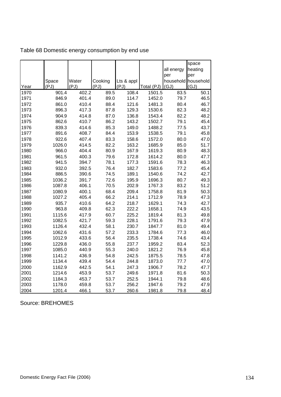|      |        |       |         |            |            | all energy | space<br>heating    |
|------|--------|-------|---------|------------|------------|------------|---------------------|
|      |        |       |         |            |            | per        | per                 |
|      | Space  | Water | Cooking | Lts & appl |            |            | household household |
| Year | (PJ)   | (PJ)  | (PJ)    | (PJ)       | Total (PJ) | (GJ)       | (GJ)                |
| 1970 | 901.4  | 402.2 | 89.5    | 108.4      | 1501.5     | 83.5       | 50.1                |
| 1971 | 846.9  | 401.4 | 89.0    | 114.7      | 1452.0     | 79.7       | 46.5                |
| 1972 | 861.0  | 410.4 | 88.4    | 121.6      | 1481.3     | 80.4       | 46.7                |
| 1973 | 896.3  | 417.3 | 87.8    | 129.3      | 1530.6     | 82.3       | 48.2                |
| 1974 | 904.9  | 414.8 | 87.0    | 136.8      | 1543.4     | 82.2       | 48.2                |
| 1975 | 862.6  | 410.7 | 86.2    | 143.2      | 1502.7     | 79.1       | 45.4                |
| 1976 | 839.3  | 414.6 | 85.3    | 149.0      | 1488.2     | 77.5       | 43.7                |
| 1977 | 891.6  | 408.7 | 84.4    | 153.9      | 1538.5     | 79.1       | 45.8                |
| 1978 | 922.6  | 407.4 | 83.3    | 158.6      | 1572.0     | 80.0       | 47.0                |
| 1979 | 1026.0 | 414.5 | 82.2    | 163.2      | 1685.9     | 85.0       | 51.7                |
| 1980 | 966.0  | 404.4 | 80.9    | 167.9      | 1619.3     | 80.9       | 48.3                |
| 1981 | 961.5  | 400.3 | 79.6    | 172.8      | 1614.2     | 80.0       | 47.7                |
| 1982 | 941.5  | 394.7 | 78.1    | 177.3      | 1591.6     | 78.3       | 46.3                |
| 1983 | 932.0  | 392.5 | 76.4    | 182.7      | 1583.6     | 77.2       | 45.4                |
| 1984 | 886.5  | 390.6 | 74.5    | 189.1      | 1540.6     | 74.2       | 42.7                |
| 1985 | 1036.2 | 391.7 | 72.6    | 195.9      | 1696.3     | 80.7       | 49.3                |
| 1986 | 1087.8 | 406.1 | 70.5    | 202.9      | 1767.3     | 83.2       | 51.2                |
| 1987 | 1080.9 | 400.1 | 68.4    | 209.4      | 1758.8     | 81.9       | 50.3                |
| 1988 | 1027.2 | 405.4 | 66.2    | 214.1      | 1712.9     | 78.9       | 47.3                |
| 1989 | 935.7  | 410.6 | 64.2    | 218.7      | 1629.1     | 74.3       | 42.7                |
| 1990 | 963.8  | 409.8 | 62.3    | 222.2      | 1658.1     | 74.9       | 43.5                |
| 1991 | 1115.6 | 417.9 | 60.7    | 225.2      | 1819.4     | 81.3       | 49.8                |
| 1992 | 1082.5 | 421.7 | 59.3    | 228.1      | 1791.6     | 79.3       | 47.9                |
| 1993 | 1126.4 | 432.4 | 58.1    | 230.7      | 1847.7     | 81.0       | 49.4                |
| 1994 | 1062.6 | 431.6 | 57.2    | 233.3      | 1784.6     | 77.3       | 46.0                |
| 1995 | 1012.9 | 433.6 | 56.4    | 235.5      | 1738.4     | 74.6       | 43.4                |
| 1996 | 1229.8 | 436.0 | 55.8    | 237.7      | 1959.2     | 83.4       | 52.3                |
| 1997 | 1085.0 | 440.9 | 55.3    | 240.0      | 1821.2     | 76.9       | 45.8                |
| 1998 | 1141.2 | 436.9 | 54.8    | 242.5      | 1875.5     | 78.5       | 47.8                |
| 1999 | 1134.4 | 439.4 | 54.4    | 244.8      | 1873.0     | 77.7       | 47.0                |
| 2000 | 1162.9 | 442.5 | 54.1    | 247.3      | 1906.7     | 78.2       | 47.7                |
| 2001 | 1214.6 | 453.9 | 53.7    | 249.6      | 1971.8     | 81.6       | 50.3                |
| 2002 | 1184.3 | 453.7 | 53.7    | 252.5      | 1944.1     | 79.8       | 48.6                |
| 2003 | 1178.0 | 459.8 | 53.7    | 256.2      | 1947.6     | 79.2       | 47.9                |
| 2004 | 1201.4 | 466.1 | 53.7    | 260.6      | 1981.8     | 79.8       | 48.4                |

Table 68 Domestic energy consumption by end use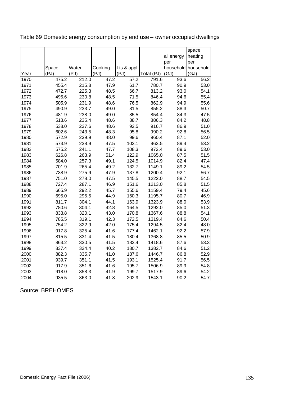|      |       |       |         |            |            |                     | space   |
|------|-------|-------|---------|------------|------------|---------------------|---------|
|      |       |       |         |            |            | all energy          | heating |
|      |       |       |         |            |            | per                 | per     |
|      | Space | Water | Cooking | Lts & appl |            | household household |         |
| Year | (PJ)  | (PJ)  | (PJ)    | (PJ)       | Total (PJ) | (GJ)                | (GJ)    |
| 1970 | 475.2 | 212.0 | 47.2    | 57.2       | 791.6      | 93.6                | 56.2    |
| 1971 | 455.4 | 215.8 | 47.9    | 61.7       | 780.7      | 90.9                | 53.0    |
| 1972 | 472.7 | 225.3 | 48.5    | 66.7       | 813.2      | 93.0                | 54.1    |
| 1973 | 495.6 | 230.8 | 48.5    | 71.5       | 846.4      | 94.6                | 55.4    |
| 1974 | 505.9 | 231.9 | 48.6    | 76.5       | 862.9      | 94.9                | 55.6    |
| 1975 | 490.9 | 233.7 | 49.0    | 81.5       | 855.2      | 88.3                | 50.7    |
| 1976 | 481.9 | 238.0 | 49.0    | 85.5       | 854.4      | 84.3                | 47.5    |
| 1977 | 513.6 | 235.4 | 48.6    | 88.7       | 886.3      | 84.2                | 48.8    |
| 1978 | 538.0 | 237.6 | 48.6    | 92.5       | 916.7      | 86.9                | 51.0    |
| 1979 | 602.6 | 243.5 | 48.3    | 95.8       | 990.2      | 92.8                | 56.5    |
| 1980 | 572.9 | 239.9 | 48.0    | 99.6       | 960.4      | 87.1                | 52.0    |
| 1981 | 573.9 | 238.9 | 47.5    | 103.1      | 963.5      | 89.4                | 53.2    |
| 1982 | 575.2 | 241.1 | 47.7    | 108.3      | 972.4      | 89.6                | 53.0    |
| 1983 | 626.8 | 263.9 | 51.4    | 122.9      | 1065.0     | 87.5                | 51.5    |
| 1984 | 584.0 | 257.3 | 49.1    | 124.5      | 1014.9     | 82.4                | 47.4    |
| 1985 | 701.9 | 265.4 | 49.2    | 132.7      | 1149.1     | 89.2                | 54.5    |
| 1986 | 738.9 | 275.9 | 47.9    | 137.8      | 1200.4     | 92.1                | 56.7    |
| 1987 | 751.0 | 278.0 | 47.5    | 145.5      | 1222.0     | 88.7                | 54.5    |
| 1988 | 727.4 | 287.1 | 46.9    | 151.6      | 1213.0     | 85.8                | 51.5    |
| 1989 | 665.9 | 292.2 | 45.7    | 155.6      | 1159.4     | 79.4                | 45.6    |
| 1990 | 695.0 | 295.5 | 44.9    | 160.3      | 1195.7     | 80.7                | 46.9    |
| 1991 | 811.7 | 304.1 | 44.1    | 163.9      | 1323.9     | 88.0                | 53.9    |
| 1992 | 780.6 | 304.1 | 42.8    | 164.5      | 1292.0     | 85.0                | 51.3    |
| 1993 | 833.8 | 320.1 | 43.0    | 170.8      | 1367.6     | 88.8                | 54.1    |
| 1994 | 785.5 | 319.1 | 42.3    | 172.5      | 1319.4     | 84.6                | 50.4    |
| 1995 | 754.2 | 322.9 | 42.0    | 175.4      | 1294.5     | 82.4                | 48.0    |
| 1996 | 917.8 | 325.4 | 41.6    | 177.4      | 1462.1     | 92.2                | 57.9    |
| 1997 | 815.5 | 331.4 | 41.5    | 180.4      | 1368.8     | 85.5                | 50.9    |
| 1998 | 863.2 | 330.5 | 41.5    | 183.4      | 1418.6     | 87.6                | 53.3    |
| 1999 | 837.4 | 324.4 | 40.2    | 180.7      | 1382.7     | 84.6                | 51.2    |
| 2000 | 882.3 | 335.7 | 41.0    | 187.6      | 1446.7     | 86.8                | 52.9    |
| 2001 | 939.7 | 351.1 | 41.5    | 193.1      | 1525.4     | 91.7                | 56.5    |
| 2002 | 917.9 | 351.6 | 41.6    | 195.7      | 1506.9     | 89.9                | 54.8    |
| 2003 | 918.0 | 358.3 | 41.9    | 199.7      | 1517.9     | 89.6                | 54.2    |
| 2004 | 935.5 | 363.0 | 41.8    | 202.9      | 1543.1     | 90.2                | 54.7    |

Table 69 Domestic energy consumption by end use – owner occupied dwellings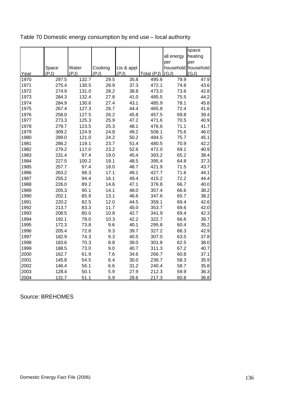|      |       |       |         |            |            |            | space               |
|------|-------|-------|---------|------------|------------|------------|---------------------|
|      |       |       |         |            |            | all energy | heating             |
|      |       |       |         |            |            | per        | per                 |
|      | Space | Water | Cooking | Lts & appl |            |            | household household |
| Year | (PJ)  | (PJ)  | (PJ)    | (PJ)       | Total (PJ) | (GJ)       | (GJ)                |
| 1970 | 297.5 | 132.7 | 29.5    | 35.8       | 495.6      | 79.9       | 47.9                |
| 1971 | 275.4 | 130.5 | 28.9    | 37.3       | 472.1      | 74.8       | 43.6                |
| 1972 | 274.9 | 131.0 | 28.2    | 38.8       | 473.0      | 73.6       | 42.8                |
| 1973 | 284.3 | 132.4 | 27.8    | 41.0       | 485.5      | 75.5       | 44.2                |
| 1974 | 284.9 | 130.6 | 27.4    | 43.1       | 485.9      | 78.1       | 45.8                |
| 1975 | 267.4 | 127.3 | 26.7    | 44.4       | 465.8      | 72.4       | 41.6                |
| 1976 | 258.0 | 127.5 | 26.2    | 45.8       | 457.5      | 69.8       | 39.4                |
| 1977 | 273.3 | 125.3 | 25.9    | 47.2       | 471.6      | 70.5       | 40.9                |
| 1978 | 279.7 | 123.5 | 25.3    | 48.1       | 476.6      | 71.1       | 41.7                |
| 1979 | 309.2 | 124.9 | 24.8    | 49.2       | 508.1      | 75.6       | 46.0                |
| 1980 | 289.0 | 121.0 | 24.2    | 50.2       | 484.5      | 75.7       | 45.1                |
| 1981 | 286.2 | 119.1 | 23.7    | 51.4       | 480.5      | 70.9       | 42.2                |
| 1982 | 279.2 | 117.0 | 23.2    | 52.6       | 472.0      | 69.1       | 40.9                |
| 1983 | 231.4 | 97.4  | 19.0    | 45.4       | 393.2      | 65.2       | 38.4                |
| 1984 | 227.5 | 100.2 | 19.1    | 48.5       | 395.4      | 64.8       | 37.3                |
| 1985 | 257.7 | 97.4  | 18.0    | 48.7       | 421.9      | 71.5       | 43.7                |
| 1986 | 263.2 | 98.3  | 17.1    | 49.1       | 427.7      | 71.6       | 44.1                |
| 1987 | 255.2 | 94.4  | 16.1    | 49.4       | 415.2      | 72.2       | 44.4                |
| 1988 | 226.0 | 89.2  | 14.6    | 47.1       | 376.8      | 66.7       | 40.0                |
| 1989 | 205.3 | 90.1  | 14.1    | 48.0       | 357.4      | 66.6       | 38.2                |
| 1990 | 202.1 | 85.9  | 13.1    | 46.6       | 347.6      | 65.7       | 38.2                |
| 1991 | 220.2 | 82.5  | 12.0    | 44.5       | 359.1      | 69.4       | 42.6                |
| 1992 | 213.7 | 83.3  | 11.7    | 45.0       | 353.7      | 69.6       | 42.0                |
| 1993 | 208.5 | 80.0  | 10.8    | 42.7       | 341.9      | 69.4       | 42.3                |
| 1994 | 192.1 | 78.0  | 10.3    | 42.2       | 322.7      | 66.6       | 39.7                |
| 1995 | 172.3 | 73.8  | 9.6     | 40.1       | 295.8      | 60.4       | 35.2                |
| 1996 | 205.4 | 72.8  | 9.3     | 39.7       | 327.2      | 68.3       | 42.9                |
| 1997 | 182.9 | 74.3  | 9.3     | 40.5       | 307.0      | 63.5       | 37.8                |
| 1998 | 183.6 | 70.3  | 8.8     | 39.0       | 301.8      | 62.5       | 38.0                |
| 1999 | 188.5 | 73.0  | 9.0     | 40.7       | 311.3      | 67.2       | 40.7                |
| 2000 | 162.7 | 61.9  | 7.6     | 34.6       | 266.7      | 60.8       | 37.1                |
| 2001 | 145.8 | 54.5  | 6.4     | 30.0       | 236.7      | 58.3       | 35.9                |
| 2002 | 146.4 | 56.1  | 6.6     | 31.2       | 240.4      | 58.7       | 35.8                |
| 2003 | 128.4 | 50.1  | 5.9     | 27.9       | 212.3      | 59.9       | 36.3                |
| 2004 | 131.7 | 51.1  | 5.9     | 28.6       | 217.3      | 60.8       | 36.8                |

Table 70 Domestic energy consumption by end use – local authority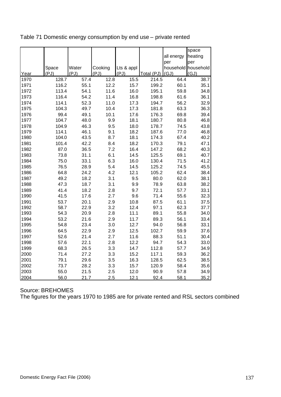|      |       |       |         |            |            | all energy | space<br>heating    |
|------|-------|-------|---------|------------|------------|------------|---------------------|
|      |       |       |         |            |            | per        | per                 |
|      | Space | Water | Cooking | Lts & appl |            |            | household household |
| Year | (PJ)  | (PJ)  | (PJ)    | (PJ)       | Total (PJ) | (GJ)       | (GJ)                |
| 1970 | 128.7 | 57.4  | 12.8    | 15.5       | 214.5      | 64.4       | 38.7                |
| 1971 | 116.2 | 55.1  | 12.2    | 15.7       | 199.2      | 60.1       | 35.1                |
| 1972 | 113.4 | 54.1  | 11.6    | 16.0       | 195.1      | 59.8       | 34.8                |
| 1973 | 116.4 | 54.2  | 11.4    | 16.8       | 198.8      | 61.6       | 36.1                |
| 1974 | 114.1 | 52.3  | 11.0    | 17.3       | 194.7      | 56.2       | 32.9                |
| 1975 | 104.3 | 49.7  | 10.4    | 17.3       | 181.8      | 63.3       | 36.3                |
| 1976 | 99.4  | 49.1  | 10.1    | 17.6       | 176.3      | 69.8       | 39.4                |
| 1977 | 104.7 | 48.0  | 9.9     | 18.1       | 180.7      | 80.8       | 46.8                |
| 1978 | 104.9 | 46.3  | 9.5     | 18.0       | 178.7      | 74.5       | 43.8                |
| 1979 | 114.1 | 46.1  | 9.1     | 18.2       | 187.6      | 77.0       | 46.8                |
| 1980 | 104.0 | 43.5  | 8.7     | 18.1       | 174.3      | 67.4       | 40.2                |
| 1981 | 101.4 | 42.2  | 8.4     | 18.2       | 170.3      | 79.1       | 47.1                |
| 1982 | 87.0  | 36.5  | 7.2     | 16.4       | 147.2      | 68.2       | 40.3                |
| 1983 | 73.8  | 31.1  | 6.1     | 14.5       | 125.5      | 69.1       | 40.7                |
| 1984 | 75.0  | 33.1  | 6.3     | 16.0       | 130.4      | 71.5       | 41.2                |
| 1985 | 76.5  | 28.9  | 5.4     | 14.5       | 125.2      | 74.5       | 45.5                |
| 1986 | 64.8  | 24.2  | 4.2     | 12.1       | 105.2      | 62.4       | 38.4                |
| 1987 | 49.2  | 18.2  | 3.1     | 9.5        | 80.0       | 62.0       | 38.1                |
| 1988 | 47.3  | 18.7  | 3.1     | 9.9        | 78.9       | 63.8       | 38.2                |
| 1989 | 41.4  | 18.2  | 2.8     | 9.7        | 72.1       | 57.7       | 33.1                |
| 1990 | 41.5  | 17.6  | 2.7     | 9.6        | 71.4       | 55.6       | 32.3                |
| 1991 | 53.7  | 20.1  | 2.9     | 10.8       | 87.5       | 61.1       | 37.5                |
| 1992 | 58.7  | 22.9  | 3.2     | 12.4       | 97.1       | 62.3       | 37.7                |
| 1993 | 54.3  | 20.9  | 2.8     | 11.1       | 89.1       | 55.8       | 34.0                |
| 1994 | 53.2  | 21.6  | 2.9     | 11.7       | 89.3       | 56.1       | 33.4                |
| 1995 | 54.8  | 23.4  | 3.0     | 12.7       | 94.0       | 56.8       | 33.1                |
| 1996 | 64.5  | 22.9  | 2.9     | 12.5       | 102.7      | 59.9       | 37.6                |
| 1997 | 52.6  | 21.4  | 2.7     | 11.6       | 88.3       | 51.1       | 30.4                |
| 1998 | 57.6  | 22.1  | 2.8     | 12.2       | 94.7       | 54.3       | 33.0                |
| 1999 | 68.3  | 26.5  | 3.3     | 14.7       | 112.8      | 57.7       | 34.9                |
| 2000 | 71.4  | 27.2  | 3.3     | 15.2       | 117.1      | 59.3       | 36.2                |
| 2001 | 79.1  | 29.6  | 3.5     | 16.3       | 128.5      | 62.5       | 38.5                |
| 2002 | 73.7  | 28.2  | 3.3     | 15.7       | 120.9      | 58.4       | 35.6                |
| 2003 | 55.0  | 21.5  | 2.5     | 12.0       | 90.9       | 57.8       | 34.9                |
| 2004 | 56.0  | 21.7  | 2.5     | 12.1       | 92.4       | 58.1       | 35.2                |

Table 71 Domestic energy consumption by end use – private rented

Source: BREHOMES

The figures for the years 1970 to 1985 are for private rented and RSL sectors combined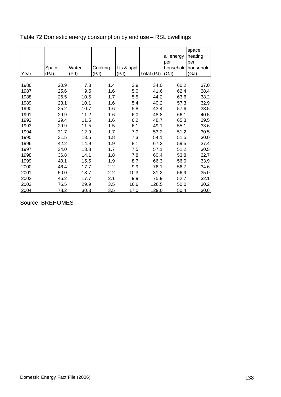|      |               |               |                 |                       |            | all energy  | space<br>heating                   |
|------|---------------|---------------|-----------------|-----------------------|------------|-------------|------------------------------------|
| Year | Space<br>(PJ) | Water<br>(PJ) | Cooking<br>(PJ) | Lts & appl<br>$(P_1)$ | Total (PJ) | per<br>(GJ) | per<br>household household<br>(GJ) |
|      |               |               |                 |                       |            |             |                                    |
| 1986 | 20.9          | 7.8           | 1.4             | 3.9                   | 34.0       | 60.2        | 37.0                               |
| 1987 | 25.6          | 9.5           | 1.6             | 5.0                   | 41.6       | 62.4        | 38.4                               |
| 1988 | 26.5          | 10.5          | 1.7             | 5.5                   | 44.2       | 63.6        | 38.2                               |
| 1989 | 23.1          | 10.1          | 1.6             | 5.4                   | 40.2       | 57.3        | 32.9                               |
| 1990 | 25.2          | 10.7          | 1.6             | 5.8                   | 43.4       | 57.6        | 33.5                               |
| 1991 | 29.9          | 11.2          | 1.6             | 6.0                   | 48.8       | 66.1        | 40.5                               |
| 1992 | 29.4          | 11.5          | 1.6             | 6.2                   | 48.7       | 65.3        | 39.5                               |
| 1993 | 29.9          | 11.5          | 1.5             | 6.1                   | 49.1       | 55.1        | 33.6                               |
| 1994 | 31.7          | 12.9          | 1.7             | 7.0                   | 53.2       | 51.2        | 30.5                               |
| 1995 | 31.5          | 13.5          | 1.8             | 7.3                   | 54.1       | 51.5        | 30.0                               |
| 1996 | 42.2          | 14.9          | 1.9             | 8.1                   | 67.2       | 59.5        | 37.4                               |
| 1997 | 34.0          | 13.8          | 1.7             | 7.5                   | 57.1       | 51.2        | 30.5                               |
| 1998 | 36.8          | 14.1          | 1.8             | 7.8                   | 60.4       | 53.8        | 32.7                               |
| 1999 | 40.1          | 15.5          | 1.9             | 8.7                   | 66.3       | 56.0        | 33.9                               |
| 2000 | 46.4          | 17.7          | 2.2             | 9.9                   | 76.1       | 56.7        | 34.6                               |
| 2001 | 50.0          | 18.7          | 2.2             | 10.3                  | 81.2       | 56.9        | 35.0                               |
| 2002 | 46.2          | 17.7          | 2.1             | 9.9                   | 75.9       | 52.7        | 32.1                               |
| 2003 | 76.5          | 29.9          | 3.5             | 16.6                  | 126.5      | 50.0        | 30.2                               |
| 2004 | 78.2          | 30.3          | 3.5             | 17.0                  | 129.0      | 50.4        | 30.6                               |

Table 72 Domestic energy consumption by end use – RSL dwellings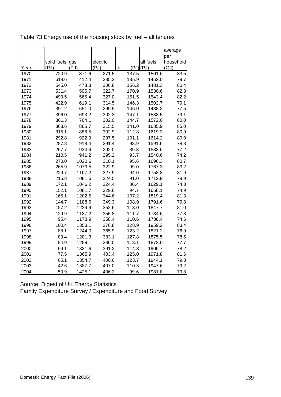| Table 73 Energy use of the housing stock by fuel – all tenures |  |
|----------------------------------------------------------------|--|
|----------------------------------------------------------------|--|

|              |                     |             |               |              |                       | average      |
|--------------|---------------------|-------------|---------------|--------------|-----------------------|--------------|
|              |                     |             |               |              |                       | per          |
|              | solid fuels<br>(PJ) | gas<br>(PJ) | electric      |              | all fuels<br>(PJ)(PJ) | household    |
| Year<br>1970 | 720.9               | 371.6       | (PJ)<br>271.5 | oil<br>137.5 | 1501.6                | (GJ)<br>83.5 |
| 1971         | 618.6               | 412.4       | 285.2         | 135.9        | 1452.0                | 79.7         |
| 1972         | 545.0               | 473.3       | 306.8         | 156.2        | 1481.3                | 80.4         |
| 1973         | 531.4               | 505.7       | 322.7         | 170.9        | 1530.6                | 82.3         |
| 1974         | 499.5               | 565.4       | 327.0         | 151.5        | 1543.4                | 82.2         |
| 1975         | 422.9               | 619.1       | 314.5         | 146.3        | 1502.7                | 79.1         |
| 1976         | 391.2               | 651.0       | 299.9         | 146.0        | 1488.2                | 77.5         |
| 1977         | 396.0               | 693.2       | 302.3         | 147.1        | 1538.5                | 79.1         |
| 1978         | 361.3               | 764.1       | 302.0         | 144.7        | 1572.0                | 80.0         |
| 1979         | 363.6               | 865.7       | 315.5         | 141.0        | 1685.9                | 85.0         |
| 1980         | 315.1               | 888.5       | 302.9         | 112.8        | 1619.3                | 80.9         |
| 1981         | 292.8               | 922.9       | 297.5         | 101.1        | 1614.2                | 80.0         |
| 1982         | 287.8               | 918.4       | 291.4         | 93.9         | 1591.6                | 78.3         |
| 1983         | 267.7               | 934.6       | 292.0         | 89.3         | 1583.6                | 77.2         |
| 1984         | 210.5               | 941.2       | 295.2         | 93.7         | 1540.6                | 74.2         |
| 1985         | 270.0               | 1020.6      | 310.1         | 95.6         | 1696.3                | 80.7         |
| 1986         | 265.9               | 1079.5      | 322.9         | 99.0         | 1767.3                | 83.2         |
| 1987         | 229.7               | 1107.2      | 327.9         | 94.0         | 1758.8                | 81.9         |
| 1988         | 215.8               | 1081.6      | 324.5         | 91.0         | 1712.9                | 78.9         |
| 1989         | 172.1               | 1046.2      | 324.4         | 86.4         | 1629.1                | 74.3         |
| 1990         | 152.1               | 1081.7      | 329.6         | 94.7         | 1658.1                | 74.9         |
| 1991         | 165.1               | 1202.5      | 344.6         | 107.2        | 1819.4                | 81.3         |
| 1992         | 144.7               | 1188.6      | 349.3         | 108.9        | 1791.6                | 79.3         |
| 1993         | 157.2               | 1224.9      | 352.6         | 113.0        | 1847.7                | 81.0         |
| 1994         | 129.9               | 1187.2      | 355.8         | 111.7        | 1784.6                | 77.3         |
| 1995         | 95.4                | 1173.9      | 358.4         | 110.6        | 1738.4                | 74.6         |
| 1996         | 100.4               | 1353.1      | 376.8         | 128.9        | 1959.2                | 83.4         |
| 1997         | 88.1                | 1244.0      | 365.9         | 123.2        | 1821.2                | 76.9         |
| 1998         | 83.4                | 1281.3      | 383.1         | 127.8        | 1875.5                | 78.5         |
| 1999         | 84.9                | 1289.1      | 386.0         | 113.1        | 1873.0                | 77.7         |
| 2000         | 69.1                | 1331.6      | 391.2         | 114.8        | 1906.7                | 78.2         |
| 2001         | 77.5                | 1365.9      | 403.4         | 125.0        | 1971.8                | 81.6         |
| 2002         | 65.1                | 1354.7      | 400.6         | 123.7        | 1944.1                | 79.8         |
| 2003         | 42.6                | 1387.7      | 407.0         | 110.3        | 1947.6                | 79.2         |
| 2004         | 50.9                | 1425.1      | 406.2         | 99.6         | 1981.8                | 79.8         |

Source: Digest of UK Energy Statistics Family Expenditure Survey / Expenditure and Food Survey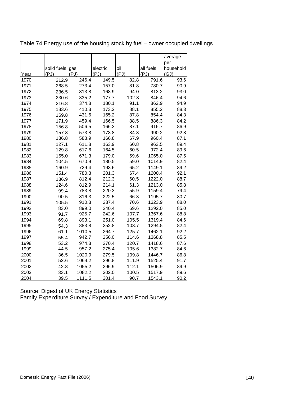|              |             |               |               |              |               | average      |
|--------------|-------------|---------------|---------------|--------------|---------------|--------------|
|              |             |               |               |              |               | per          |
|              | solid fuels | gas           | electric      | oil          | all fuels     | household    |
| Year<br>1970 | (PJ)        | (PJ)<br>246.4 | (PJ)<br>149.5 | (PJ)<br>82.8 | (PJ)<br>791.6 | (GJ)<br>93.6 |
| 1971         | 312.9       |               | 157.0         | 81.8         | 780.7         | 90.9         |
| 1972         | 268.5       | 273.4         |               |              |               |              |
|              | 236.5       | 313.8         | 168.9         | 94.0         | 813.2         | 93.0         |
| 1973         | 230.6       | 335.2         | 177.7         | 102.8        | 846.4         | 94.6         |
| 1974         | 216.8       | 374.8         | 180.1         | 91.1         | 862.9         | 94.9         |
| 1975         | 183.6       | 410.3         | 173.2         | 88.1         | 855.2         | 88.3         |
| 1976         | 169.8       | 431.6         | 165.2         | 87.8         | 854.4         | 84.3         |
| 1977         | 171.9       | 459.4         | 166.5         | 88.5         | 886.3         | 84.2         |
| 1978         | 156.8       | 506.5         | 166.3         | 87.1         | 916.7         | 86.9         |
| 1979         | 157.8       | 573.8         | 173.8         | 84.8         | 990.2         | 92.8         |
| 1980         | 136.8       | 588.9         | 166.8         | 67.9         | 960.4         | 87.1         |
| 1981         | 127.1       | 611.8         | 163.9         | 60.8         | 963.5         | 89.4         |
| 1982         | 129.8       | 617.6         | 164.5         | 60.5         | 972.4         | 89.6         |
| 1983         | 155.0       | 671.3         | 179.0         | 59.6         | 1065.0        | 87.5         |
| 1984         | 104.5       | 670.9         | 180.5         | 59.0         | 1014.9        | 82.4         |
| 1985         | 160.9       | 729.4         | 193.6         | 65.2         | 1149.1        | 89.2         |
| 1986         | 151.4       | 780.3         | 201.3         | 67.4         | 1200.4        | 92.1         |
| 1987         | 136.9       | 812.4         | 212.3         | 60.5         | 1222.0        | 88.7         |
| 1988         | 124.6       | 812.9         | 214.1         | 61.3         | 1213.0        | 85.8         |
| 1989         | 99.4        | 783.8         | 220.3         | 55.9         | 1159.4        | 79.4         |
| 1990         | 90.5        | 816.3         | 222.5         | 66.3         | 1195.7        | 80.7         |
| 1991         | 105.5       | 910.3         | 237.4         | 70.6         | 1323.9        | 88.0         |
| 1992         | 83.0        | 899.0         | 240.4         | 69.6         | 1292.0        | 85.0         |
| 1993         | 91.7        | 925.7         | 242.6         | 107.7        | 1367.6        | 88.8         |
| 1994         | 69.8        | 893.1         | 251.0         | 105.5        | 1319.4        | 84.6         |
| 1995         | 54.3        | 883.8         | 252.8         | 103.7        | 1294.5        | 82.4         |
| 1996         | 61.1        | 1010.5        | 264.7         | 125.7        | 1462.1        | 92.2         |
| 1997         | 55.4        | 942.7         | 256.0         | 114.6        | 1368.8        | 85.5         |
| 1998         | 53.2        | 974.3         | 270.4         | 120.7        | 1418.6        | 87.6         |
| 1999         | 44.5        | 957.2         | 275.4         | 105.6        | 1382.7        | 84.6         |
| 2000         | 36.5        | 1020.9        | 279.5         | 109.8        | 1446.7        | 86.8         |
| 2001         | 52.6        | 1064.2        | 296.8         | 111.9        | 1525.4        | 91.7         |
| 2002         | 42.8        | 1055.2        | 296.9         | 112.1        | 1506.9        | 89.9         |
| 2003         | 33.1        | 1082.2        | 302.0         | 100.5        | 1517.9        | 89.6         |
| 2004         | 39.5        | 1111.5        | 301.4         | 90.7         | 1543.1        | 90.2         |

Table 74 Energy use of the housing stock by fuel – owner occupied dwellings

Source: Digest of UK Energy Statistics Family Expenditure Survey / Expenditure and Food Survey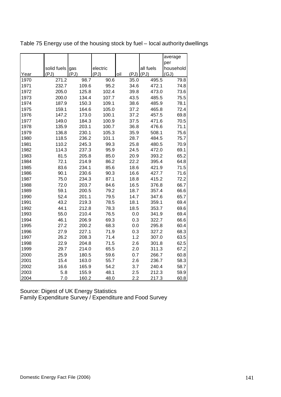|      |             |       |          |             |           | average   |
|------|-------------|-------|----------|-------------|-----------|-----------|
|      |             |       |          |             |           | per       |
|      | solid fuels | gas   | electric |             | all fuels | household |
| Year | (PJ)        | (PJ)  | (PJ)     | (PJ)<br>oil | (PJ)      | (GJ)      |
| 1970 | 271.2       | 98.7  | 90.6     | 35.0        | 495.5     | 79.8      |
| 1971 | 232.7       | 109.6 | 95.2     | 34.6        | 472.1     | 74.8      |
| 1972 | 205.0       | 125.8 | 102.4    | 39.8        | 473.0     | 73.6      |
| 1973 | 200.0       | 134.4 | 107.7    | 43.5        | 485.5     | 75.5      |
| 1974 | 187.9       | 150.3 | 109.1    | 38.6        | 485.9     | 78.1      |
| 1975 | 159.1       | 164.6 | 105.0    | 37.2        | 465.8     | 72.4      |
| 1976 | 147.2       | 173.0 | 100.1    | 37.2        | 457.5     | 69.8      |
| 1977 | 149.0       | 184.3 | 100.9    | 37.5        | 471.6     | 70.5      |
| 1978 | 135.9       | 203.1 | 100.7    | 36.8        | 476.6     | 71.1      |
| 1979 | 136.8       | 230.1 | 105.3    | 35.9        | 508.1     | 75.6      |
| 1980 | 118.5       | 236.2 | 101.1    | 28.7        | 484.5     | 75.7      |
| 1981 | 110.2       | 245.3 | 99.3     | 25.8        | 480.5     | 70.9      |
| 1982 | 114.3       | 237.3 | 95.9     | 24.5        | 472.0     | 69.1      |
| 1983 | 81.5        | 205.8 | 85.0     | 20.9        | 393.2     | 65.2      |
| 1984 | 72.1        | 214.9 | 86.2     | 22.2        | 395.4     | 64.8      |
| 1985 | 83.6        | 234.1 | 85.6     | 18.6        | 421.9     | 71.5      |
| 1986 | 90.1        | 230.6 | 90.3     | 16.6        | 427.7     | 71.6      |
| 1987 | 75.0        | 234.3 | 87.1     | 18.8        | 415.2     | 72.2      |
| 1988 | 72.0        | 203.7 | 84.6     | 16.5        | 376.8     | 66.7      |
| 1989 | 59.1        | 200.5 | 79.2     | 18.7        | 357.4     | 66.6      |
| 1990 | 52.4        | 201.1 | 79.5     | 14.7        | 347.6     | 65.7      |
| 1991 | 43.2        | 219.3 | 78.5     | 18.1        | 359.1     | 69.4      |
| 1992 | 44.1        | 212.8 | 78.3     | 18.5        | 353.7     | 69.6      |
| 1993 | 55.0        | 210.4 | 76.5     | 0.0         | 341.9     | 69.4      |
| 1994 | 46.1        | 206.9 | 69.3     | 0.3         | 322.7     | 66.6      |
| 1995 | 27.2        | 200.2 | 68.3     | 0.0         | 295.8     | 60.4      |
| 1996 | 27.9        | 227.1 | 71.9     | 0.3         | 327.2     | 68.3      |
| 1997 | 26.2        | 208.3 | 71.4     | 1.2         | 307.0     | 63.5      |
| 1998 | 22.9        | 204.8 | 71.5     | 2.6         | 301.8     | 62.5      |
| 1999 | 29.7        | 214.0 | 65.5     | 2.0         | 311.3     | 67.2      |
| 2000 | 25.9        | 180.5 | 59.6     | 0.7         | 266.7     | 60.8      |
| 2001 | 15.4        | 163.0 | 55.7     | 2.6         | 236.7     | 58.3      |
| 2002 | 16.6        | 165.9 | 54.2     | 3.7         | 240.4     | 58.7      |
| 2003 | 5.8         | 155.9 | 48.1     | 2.5         | 212.3     | 59.9      |
| 2004 | 7.0         | 160.2 | 48.0     | 2.2         | 217.3     | 60.8      |

Table 75 Energy use of the housing stock by fuel – local authority dwellings

Source: Digest of UK Energy Statistics Family Expenditure Survey / Expenditure and Food Survey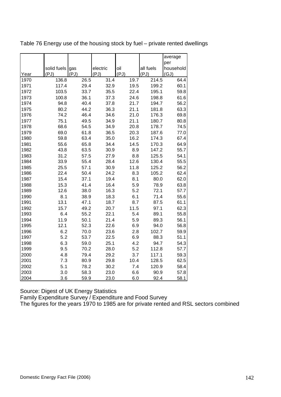|      |             |      |          |      |           | average   |
|------|-------------|------|----------|------|-----------|-----------|
|      |             |      |          |      |           | per       |
|      | solid fuels | gas  | electric | oil  | all fuels | household |
| Year | (PJ)        | (PJ) | (PJ)     | (PJ) | (PJ)      | (GJ)      |
| 1970 | 136.8       | 26.5 | 31.4     | 19.7 | 214.5     | 64.4      |
| 1971 | 117.4       | 29.4 | 32.9     | 19.5 | 199.2     | 60.1      |
| 1972 | 103.5       | 33.7 | 35.5     | 22.4 | 195.1     | 59.8      |
| 1973 | 100.8       | 36.1 | 37.3     | 24.6 | 198.8     | 61.6      |
| 1974 | 94.8        | 40.4 | 37.8     | 21.7 | 194.7     | 56.2      |
| 1975 | 80.2        | 44.2 | 36.3     | 21.1 | 181.8     | 63.3      |
| 1976 | 74.2        | 46.4 | 34.6     | 21.0 | 176.3     | 69.8      |
| 1977 | 75.1        | 49.5 | 34.9     | 21.1 | 180.7     | 80.8      |
| 1978 | 68.6        | 54.5 | 34.9     | 20.8 | 178.7     | 74.5      |
| 1979 | 69.0        | 61.8 | 36.5     | 20.3 | 187.6     | 77.0      |
| 1980 | 59.8        | 63.4 | 35.0     | 16.2 | 174.3     | 67.4      |
| 1981 | 55.6        | 65.8 | 34.4     | 14.5 | 170.3     | 64.9      |
| 1982 | 43.8        | 63.5 | 30.9     | 8.9  | 147.2     | 55.7      |
| 1983 | 31.2        | 57.5 | 27.9     | 8.8  | 125.5     | 54.1      |
| 1984 | 33.9        | 55.4 | 28.4     | 12.6 | 130.4     | 55.5      |
| 1985 | 25.5        | 57.1 | 30.9     | 11.8 | 125.2     | 56.2      |
| 1986 | 22.4        | 50.4 | 24.2     | 8.3  | 105.2     | 62.4      |
| 1987 | 15.4        | 37.1 | 19.4     | 8.1  | 80.0      | 62.0      |
| 1988 | 15.3        | 41.4 | 16.4     | 5.9  | 78.9      | 63.8      |
| 1989 | 12.6        | 38.0 | 16.3     | 5.2  | 72.1      | 57.7      |
| 1990 | 8.1         | 38.9 | 18.3     | 6.1  | 71.4      | 55.6      |
| 1991 | 13.1        | 47.1 | 18.7     | 8.7  | 87.5      | 61.1      |
| 1992 | 15.7        | 49.2 | 20.7     | 11.5 | 97.1      | 62.3      |
| 1993 | 6.4         | 55.2 | 22.1     | 5.4  | 89.1      | 55.8      |
| 1994 | 11.9        | 50.1 | 21.4     | 5.9  | 89.3      | 56.1      |
| 1995 | 12.1        | 52.3 | 22.6     | 6.9  | 94.0      | 56.8      |
| 1996 | 6.2         | 70.0 | 23.6     | 2.8  | 102.7     | 59.9      |
| 1997 | 5.2         | 53.7 | 22.5     | 6.9  | 88.3      | 51.1      |
| 1998 | 6.3         | 59.0 | 25.1     | 4.2  | 94.7      | 54.3      |
| 1999 | 9.5         | 70.2 | 28.0     | 5.2  | 112.8     | 57.7      |
| 2000 | 4.8         | 79.4 | 29.2     | 3.7  | 117.1     | 59.3      |
| 2001 | 7.3         | 80.9 | 29.8     | 10.4 | 128.5     | 62.5      |
| 2002 | 5.1         | 78.2 | 30.2     | 7.4  | 120.9     | 58.4      |
| 2003 | 3.0         | 58.3 | 23.0     | 6.6  | 90.9      | 57.8      |
| 2004 | 3.6         | 59.9 | 23.0     | 6.0  | 92.4      | 58.1      |

Table 76 Energy use of the housing stock by fuel – private rented dwellings

Source: Digest of UK Energy Statistics

Family Expenditure Survey / Expenditure and Food Survey

The figures for the years 1970 to 1985 are for private rented and RSL sectors combined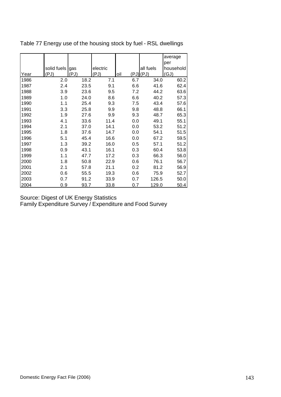|      |             |      |          |             |           | average   |
|------|-------------|------|----------|-------------|-----------|-----------|
|      |             |      |          |             |           | per       |
|      | solid fuels | gas  | electric |             | all fuels | household |
| Year | (PJ)        | (PJ) | (PJ)     | oil<br>(PJ) | (PJ)      | (GJ)      |
| 1986 | 2.0         | 18.2 | 7.1      | 6.7         | 34.0      | 60.2      |
| 1987 | 2.4         | 23.5 | 9.1      | 6.6         | 41.6      | 62.4      |
| 1988 | 3.9         | 23.6 | 9.5      | 7.2         | 44.2      | 63.6      |
| 1989 | 1.0         | 24.0 | 8.6      | 6.6         | 40.2      | 57.3      |
| 1990 | 1.1         | 25.4 | 9.3      | 7.5         | 43.4      | 57.6      |
| 1991 | 3.3         | 25.8 | 9.9      | 9.8         | 48.8      | 66.1      |
| 1992 | 1.9         | 27.6 | 9.9      | 9.3         | 48.7      | 65.3      |
| 1993 | 4.1         | 33.6 | 11.4     | 0.0         | 49.1      | 55.1      |
| 1994 | 2.1         | 37.0 | 14.1     | 0.0         | 53.2      | 51.2      |
| 1995 | 1.8         | 37.6 | 14.7     | 0.0         | 54.1      | 51.5      |
| 1996 | 5.1         | 45.4 | 16.6     | 0.0         | 67.2      | 59.5      |
| 1997 | 1.3         | 39.2 | 16.0     | 0.5         | 57.1      | 51.2      |
| 1998 | 0.9         | 43.1 | 16.1     | 0.3         | 60.4      | 53.8      |
| 1999 | 1.1         | 47.7 | 17.2     | 0.3         | 66.3      | 56.0      |
| 2000 | 1.8         | 50.8 | 22.9     | 0.6         | 76.1      | 56.7      |
| 2001 | 2.1         | 57.8 | 21.1     | 0.2         | 81.2      | 56.9      |
| 2002 | 0.6         | 55.5 | 19.3     | 0.6         | 75.9      | 52.7      |
| 2003 | 0.7         | 91.2 | 33.9     | 0.7         | 126.5     | 50.0      |
| 2004 | 0.9         | 93.7 | 33.8     | 0.7         | 129.0     | 50.4      |

Table 77 Energy use of the housing stock by fuel - RSL dwellings

Source: Digest of UK Energy Statistics

Family Expenditure Survey / Expenditure and Food Survey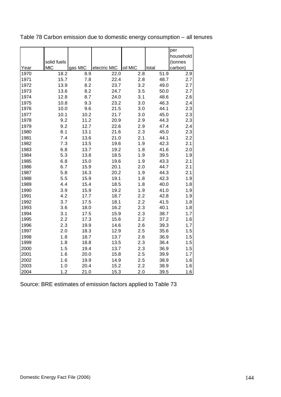|      |             |         |              |         |       | per       |
|------|-------------|---------|--------------|---------|-------|-----------|
|      |             |         |              |         |       | household |
|      | solid fuels |         |              |         |       | (tonnes   |
| Year | <b>MtC</b>  | gas MtC | electric MtC | oil MtC | total | carbon)   |
| 1970 | 18.2        | 8.9     | 22.0         | 2.8     | 51.9  | 2.9       |
| 1971 | 15.7        | 7.8     | 22.4         | 2.8     | 48.7  | 2.7       |
| 1972 | 13.9        | 8.2     | 23.7         | 3.2     | 49.0  | 2.7       |
| 1973 | 13.6        | 8.2     | 24.7         | 3.5     | 50.0  | 2.7       |
| 1974 | 12.8        | 8.7     | 24.0         | 3.1     | 48.6  | 2.6       |
| 1975 | 10.8        | 9.3     | 23.2         | 3.0     | 46.3  | 2.4       |
| 1976 | 10.0        | 9.6     | 21.5         | 3.0     | 44.1  | 2.3       |
| 1977 | 10.1        | 10.2    | 21.7         | 3.0     | 45.0  | 2.3       |
| 1978 | 9.2         | 11.2    | 20.9         | 2.9     | 44.3  | 2.3       |
| 1979 | 9.2         | 12.7    | 22.6         | 2.9     | 47.4  | 2.4       |
| 1980 | 8.1         | 13.1    | 21.6         | 2.3     | 45.0  | 2.3       |
| 1981 | 7.4         | 13.6    | 21.0         | 2.1     | 44.1  | 2.2       |
| 1982 | 7.3         | 13.5    | 19.6         | 1.9     | 42.3  | 2.1       |
| 1983 | 6.8         | 13.7    | 19.2         | 1.8     | 41.6  | 2.0       |
| 1984 | 5.3         | 13.8    | 18.5         | 1.9     | 39.5  | 1.9       |
| 1985 | 6.8         | 15.0    | 19.6         | 1.9     | 43.3  | 2.1       |
| 1986 | 6.7         | 15.9    | 20.1         | 2.0     | 44.7  | 2.1       |
| 1987 | 5.8         | 16.3    | 20.2         | 1.9     | 44.3  | 2.1       |
| 1988 | 5.5         | 15.9    | 19.1         | 1.8     | 42.3  | 1.9       |
| 1989 | 4.4         | 15.4    | 18.5         | 1.8     | 40.0  | 1.8       |
| 1990 | 3.9         | 15.9    | 19.2         | 1.9     | 41.0  | 1.9       |
| 1991 | 4.2         | 17.7    | 18.7         | 2.2     | 42.8  | 1.9       |
| 1992 | 3.7         | 17.5    | 18.1         | 2.2     | 41.5  | 1.8       |
| 1993 | 3.6         | 18.0    | 16.2         | 2.3     | 40.1  | 1.8       |
| 1994 | 3.1         | 17.5    | 15.9         | 2.3     | 38.7  | 1.7       |
| 1995 | 2.2         | 17.3    | 15.6         | 2.2     | 37.2  | 1.6       |
| 1996 | 2.3         | 19.9    | 14.6         | 2.6     | 39.3  | 1.7       |
| 1997 | 2.0         | 18.3    | 12.9         | 2.5     | 35.6  | 1.5       |
| 1998 | 1.8         | 18.7    | 13.7         | 2.6     | 36.9  | 1.5       |
| 1999 | 1.8         | 18.8    | 13.5         | 2.3     | 36.4  | 1.5       |
| 2000 | 1.5         | 19.4    | 13.7         | 2.3     | 36.9  | 1.5       |
| 2001 | 1.6         | 20.0    | 15.8         | 2.5     | 39.9  | 1.7       |
| 2002 | 1.6         | 19.9    | 14.9         | 2.5     | 38.9  | 1.6       |
| 2003 | 1.0         | 20.4    | 15.2         | 2.2     | 38.9  | 1.6       |
| 2004 | 1.2         | 21.0    | 15.3         | 2.0     | 39.5  | 1.6       |

Table 78 Carbon emission due to domestic energy consumption – all tenures

Source: BRE estimates of emission factors applied to Table 73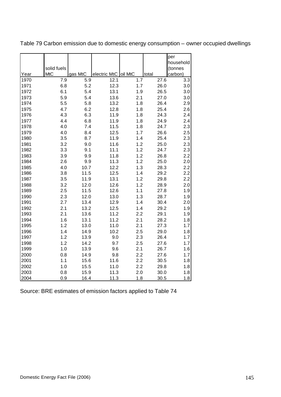|      | solid fuels |         |              |         |       | per<br>household<br>(tonnes |
|------|-------------|---------|--------------|---------|-------|-----------------------------|
| Year | <b>MtC</b>  | gas MtC | electric MtC | oil MtC | total | carbon)                     |
| 1970 | 7.9         | 5.9     | 12.1         | 1.7     | 27.6  | 3.3                         |
| 1971 | 6.8         | 5.2     | 12.3         | 1.7     | 26.0  | 3.0                         |
| 1972 | 6.1         | 5.4     | 13.1         | 1.9     | 26.5  | 3.0                         |
| 1973 | 5.9         | 5.4     | 13.6         | 2.1     | 27.0  | 3.0                         |
| 1974 | 5.5         | 5.8     | 13.2         | 1.8     | 26.4  | 2.9                         |
| 1975 | 4.7         | 6.2     | 12.8         | 1.8     | 25.4  | 2.6                         |
| 1976 | 4.3         | 6.3     | 11.9         | 1.8     | 24.3  | 2.4                         |
| 1977 | 4.4         | 6.8     | 11.9         | 1.8     | 24.9  | 2.4                         |
| 1978 | 4.0         | 7.4     | 11.5         | 1.8     | 24.7  | 2.3                         |
| 1979 | 4.0         | 8.4     | 12.5         | 1.7     | 26.6  | 2.5                         |
| 1980 | 3.5         | 8.7     | 11.9         | 1.4     | 25.4  | 2.3                         |
| 1981 | 3.2         | 9.0     | 11.6         | 1.2     | 25.0  | 2.3                         |
| 1982 | 3.3         | 9.1     | 11.1         | 1.2     | 24.7  | 2.3                         |
| 1983 | 3.9         | 9.9     | 11.8         | 1.2     | 26.8  | 2.2                         |
| 1984 | 2.6         | 9.9     | 11.3         | 1.2     | 25.0  | 2.0                         |
| 1985 | 4.0         | 10.7    | 12.2         | 1.3     | 28.3  | 2.2                         |
| 1986 | 3.8         | 11.5    | 12.5         | 1.4     | 29.2  | 2.2                         |
| 1987 | 3.5         | 11.9    | 13.1         | 1.2     | 29.8  | 2.2                         |
| 1988 | 3.2         | 12.0    | 12.6         | 1.2     | 28.9  | 2.0                         |
| 1989 | 2.5         | 11.5    | 12.6         | 1.1     | 27.8  | 1.9                         |
| 1990 | 2.3         | 12.0    | 13.0         | 1.3     | 28.7  | 1.9                         |
| 1991 | 2.7         | 13.4    | 12.9         | 1.4     | 30.4  | 2.0                         |
| 1992 | 2.1         | 13.2    | 12.5         | 1.4     | 29.2  | 1.9                         |
| 1993 | 2.1         | 13.6    | 11.2         | 2.2     | 29.1  | 1.9                         |
| 1994 | 1.6         | 13.1    | 11.2         | 2.1     | 28.2  | 1.8                         |
| 1995 | 1.2         | 13.0    | 11.0         | 2.1     | 27.3  | 1.7                         |
| 1996 | 1.4         | 14.9    | 10.2         | 2.5     | 29.0  | 1.8                         |
| 1997 | 1.2         | 13.9    | 9.0          | 2.3     | 26.4  | 1.7                         |
| 1998 | 1.2         | 14.2    | 9.7          | 2.5     | 27.6  | 1.7                         |
| 1999 | 1.0         | 13.9    | 9.6          | 2.1     | 26.7  | 1.6                         |
| 2000 | 0.8         | 14.9    | 9.8          | 2.2     | 27.6  | 1.7                         |
| 2001 | 1.1         | 15.6    | 11.6         | 2.2     | 30.5  | 1.8                         |
| 2002 | 1.0         | 15.5    | 11.0         | 2.2     | 29.8  | 1.8                         |
| 2003 | 0.8         | 15.9    | 11.3         | 2.0     | 30.0  | 1.8                         |
| 2004 | 0.9         | 16.4    | 11.3         | 1.8     | 30.5  | 1.8                         |

Table 79 Carbon emission due to domestic energy consumption – owner occupied dwellings

Source: BRE estimates of emission factors applied to Table 74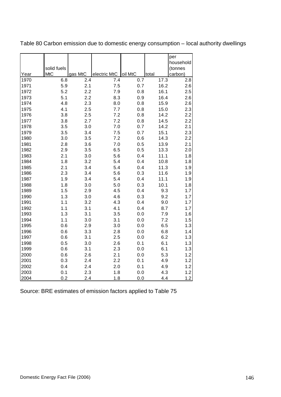|      |             |         |              |         |       | per<br>household |
|------|-------------|---------|--------------|---------|-------|------------------|
|      | solid fuels |         |              |         |       | (tonnes          |
| Year | <b>MtC</b>  | gas MtC | electric MtC | oil MtC | total | carbon)          |
| 1970 | 6.8         | 2.4     | 7.4          | 0.7     | 17.3  | 2.8              |
| 1971 | 5.9         | 2.1     | 7.5          | 0.7     | 16.2  | 2.6              |
| 1972 | 5.2         | 2.2     | 7.9          | 0.8     | 16.1  | 2.5              |
| 1973 | 5.1         | 2.2     | 8.3          | 0.9     | 16.4  | 2.6              |
| 1974 | 4.8         | 2.3     | 8.0          | 0.8     | 15.9  | 2.6              |
| 1975 | 4.1         | 2.5     | 7.7          | 0.8     | 15.0  | 2.3              |
| 1976 | 3.8         | 2.5     | 7.2          | 0.8     | 14.2  | 2.2              |
| 1977 | 3.8         | 2.7     | 7.2          | 0.8     | 14.5  | 2.2              |
| 1978 | 3.5         | 3.0     | 7.0          | 0.7     | 14.2  | 2.1              |
| 1979 | 3.5         | 3.4     | 7.5          | 0.7     | 15.1  | 2.3              |
| 1980 | 3.0         | 3.5     | 7.2          | 0.6     | 14.3  | 2.2              |
| 1981 | 2.8         | 3.6     | 7.0          | 0.5     | 13.9  | 2.1              |
| 1982 | 2.9         | 3.5     | 6.5          | 0.5     | 13.3  | 2.0              |
| 1983 | 2.1         | 3.0     | 5.6          | 0.4     | 11.1  | 1.8              |
| 1984 | 1.8         | 3.2     | 5.4          | 0.4     | 10.8  | 1.8              |
| 1985 | 2.1         | 3.4     | 5.4          | 0.4     | 11.3  | 1.9              |
| 1986 | 2.3         | 3.4     | 5.6          | 0.3     | 11.6  | 1.9              |
| 1987 | 1.9         | 3.4     | 5.4          | 0.4     | 11.1  | 1.9              |
| 1988 | 1.8         | 3.0     | 5.0          | 0.3     | 10.1  | 1.8              |
| 1989 | 1.5         | 2.9     | 4.5          | 0.4     | 9.3   | 1.7              |
| 1990 | 1.3         | 3.0     | 4.6          | 0.3     | 9.2   | 1.7              |
| 1991 | 1.1         | 3.2     | 4.3          | 0.4     | 9.0   | 1.7              |
| 1992 | 1.1         | 3.1     | 4.1          | 0.4     | 8.7   | 1.7              |
| 1993 | 1.3         | 3.1     | 3.5          | 0.0     | 7.9   | 1.6              |
| 1994 | 1.1         | 3.0     | 3.1          | 0.0     | 7.2   | 1.5              |
| 1995 | 0.6         | 2.9     | 3.0          | 0.0     | 6.5   | 1.3              |
| 1996 | 0.6         | 3.3     | 2.8          | 0.0     | 6.8   | 1.4              |
| 1997 | 0.6         | 3.1     | 2.5          | $0.0\,$ | 6.2   | 1.3              |
| 1998 | 0.5         | 3.0     | 2.6          | 0.1     | 6.1   | 1.3              |
| 1999 | 0.6         | 3.1     | 2.3          | 0.0     | 6.1   | 1.3              |
| 2000 | 0.6         | 2.6     | 2.1          | 0.0     | 5.3   | 1.2              |
| 2001 | 0.3         | 2.4     | 2.2          | 0.1     | 4.9   | 1.2              |
| 2002 | 0.4         | 2.4     | 2.0          | 0.1     | 4.9   | 1.2              |
| 2003 | 0.1         | 2.3     | 1.8          | 0.0     | 4.3   | 1.2              |
| 2004 | 0.2         | 2.4     | 1.8          | 0.0     | 4.4   | 1.2              |

Table 80 Carbon emission due to domestic energy consumption – local authority dwellings

Source: BRE estimates of emission factors applied to Table 75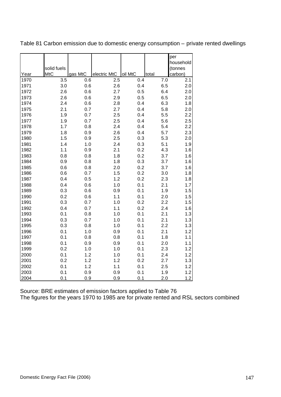|      |             |         |              |         |       | per<br>household |
|------|-------------|---------|--------------|---------|-------|------------------|
|      | solid fuels |         |              |         |       | (tonnes          |
| Year | <b>MtC</b>  | gas MtC | electric MtC | oil MtC | total | carbon)          |
| 1970 | 3.5         | 0.6     | 2.5          | 0.4     | 7.0   | 2.1              |
| 1971 | 3.0         | 0.6     | 2.6          | 0.4     | 6.5   | 2.0              |
| 1972 | 2.6         | 0.6     | 2.7          | 0.5     | 6.4   | 2.0              |
| 1973 | 2.6         | 0.6     | 2.9          | 0.5     | 6.5   | 2.0              |
| 1974 | 2.4         | 0.6     | 2.8          | 0.4     | 6.3   | 1.8              |
| 1975 | 2.1         | 0.7     | 2.7          | 0.4     | 5.8   | 2.0              |
| 1976 | 1.9         | 0.7     | 2.5          | 0.4     | 5.5   | 2.2              |
| 1977 | 1.9         | 0.7     | 2.5          | 0.4     | 5.6   | 2.5              |
| 1978 | 1.7         | 0.8     | 2.4          | 0.4     | 5.4   | 2.2              |
| 1979 | 1.8         | 0.9     | 2.6          | 0.4     | 5.7   | 2.3              |
| 1980 | 1.5         | 0.9     | 2.5          | 0.3     | 5.3   | 2.0              |
| 1981 | 1.4         | 1.0     | 2.4          | 0.3     | 5.1   | 1.9              |
| 1982 | 1.1         | 0.9     | 2.1          | 0.2     | 4.3   | 1.6              |
| 1983 | 0.8         | 0.8     | 1.8          | 0.2     | 3.7   | 1.6              |
| 1984 | 0.9         | 0.8     | 1.8          | 0.3     | 3.7   | 1.6              |
| 1985 | 0.6         | 0.8     | 2.0          | 0.2     | 3.7   | 1.6              |
| 1986 | 0.6         | 0.7     | 1.5          | 0.2     | 3.0   | 1.8              |
| 1987 | 0.4         | 0.5     | 1.2          | 0.2     | 2.3   | 1.8              |
| 1988 | 0.4         | 0.6     | 1.0          | 0.1     | 2.1   | 1.7              |
| 1989 | 0.3         | 0.6     | 0.9          | 0.1     | 1.9   | 1.5              |
| 1990 | 0.2         | 0.6     | 1.1          | 0.1     | 2.0   | 1.5              |
| 1991 | 0.3         | 0.7     | 1.0          | 0.2     | 2.2   | 1.5              |
| 1992 | 0.4         | 0.7     | 1.1          | 0.2     | 2.4   | 1.6              |
| 1993 | 0.1         | 0.8     | 1.0          | 0.1     | 2.1   | 1.3              |
| 1994 | 0.3         | 0.7     | 1.0          | 0.1     | 2.1   | 1.3              |
| 1995 | 0.3         | 0.8     | 1.0          | 0.1     | 2.2   | 1.3              |
| 1996 | 0.1         | 1.0     | 0.9          | 0.1     | 2.1   | 1.2              |
| 1997 | 0.1         | 0.8     | 0.8          | 0.1     | 1.8   | 1.1              |
| 1998 | 0.1         | 0.9     | 0.9          | 0.1     | 2.0   | 1.1              |
| 1999 | 0.2         | 1.0     | 1.0          | 0.1     | 2.3   | 1.2              |
| 2000 | 0.1         | 1.2     | 1.0          | 0.1     | 2.4   | 1.2              |
| 2001 | 0.2         | 1.2     | 1.2          | 0.2     | 2.7   | 1.3              |
| 2002 | 0.1         | 1.2     | 1.1          | 0.1     | 2.5   | 1.2              |
| 2003 | 0.1         | 0.9     | 0.9          | 0.1     | 1.9   | 1.2              |
| 2004 | 0.1         | 0.9     | 0.9          | 0.1     | 2.0   | 1.2              |

Table 81 Carbon emission due to domestic energy consumption – private rented dwellings

Source: BRE estimates of emission factors applied to Table 76 The figures for the years 1970 to 1985 are for private rented and RSL sectors combined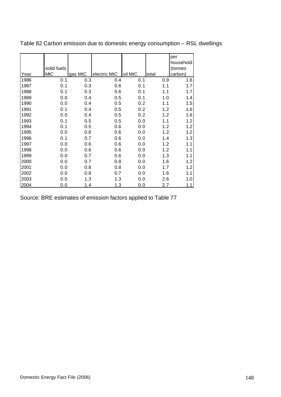|      |             |         |              |         |       | per       |
|------|-------------|---------|--------------|---------|-------|-----------|
|      |             |         |              |         |       | household |
|      | solid fuels |         |              |         |       | (tonnes   |
| Year | <b>MtC</b>  | gas MtC | electric MtC | oil MtC | total | carbon)   |
| 1986 | 0.1         | 0.3     | 0.4          | 0.1     | 0.9   | 1.6       |
| 1987 | 0.1         | 0.3     | 0.6          | 0.1     | 1.1   | 1.7       |
| 1988 | 0.1         | 0.3     | 0.6          | 0.1     | 1.1   | 1.7       |
| 1989 | 0.0         | 0.4     | 0.5          | 0.1     | 1.0   | 1.4       |
| 1990 | 0.0         | 0.4     | 0.5          | 0.2     | 1.1   | 1.5       |
| 1991 | 0.1         | 0.4     | 0.5          | 0.2     | 1.2   | 1.6       |
| 1992 | 0.0         | 0.4     | 0.5          | 0.2     | 1.2   | 1.6       |
| 1993 | 0.1         | 0.5     | 0.5          | 0.0     | 1.1   | 1.2       |
| 1994 | 0.1         | 0.5     | 0.6          | 0.0     | 1.2   | 1.2       |
| 1995 | 0.0         | 0.6     | 0.6          | 0.0     | 1.2   | 1.2       |
| 1996 | 0.1         | 0.7     | 0.6          | 0.0     | 1.4   | 1.3       |
| 1997 | 0.0         | 0.6     | 0.6          | 0.0     | 1.2   | 1.1       |
| 1998 | 0.0         | 0.6     | 0.6          | 0.0     | 1.2   | 1.1       |
| 1999 | 0.0         | 0.7     | 0.6          | 0.0     | 1.3   | 1.1       |
| 2000 | 0.0         | 0.7     | 0.8          | 0.0     | 1.6   | 1.2       |
| 2001 | 0.0         | 0.8     | 0.8          | 0.0     | 1.7   | 1.2       |
| 2002 | 0.0         | 0.8     | 0.7          | 0.0     | 1.6   | 1.1       |
| 2003 | 0.0         | 1.3     | 1.3          | 0.0     | 2.6   | 1.0       |
| 2004 | 0.0         | 1.4     | 1.3          | 0.0     | 2.7   | 1.1       |

Table 82 Carbon emission due to domestic energy consumption – RSL dwellings

Source: BRE estimates of emission factors applied to Table 77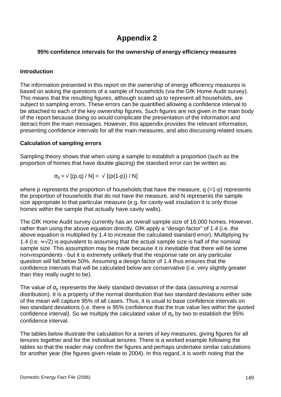## **Appendix 2**

#### **95% confidence intervals for the ownership of energy efficiency measures**

#### **Introduction**

The information presented in this report on the ownership of energy efficiency measures is based on asking the questions of a sample of households (via the GfK Home Audit survey). This means that the resulting figures, although scaled up to represent all households, are subject to sampling errors. These errors can be quantified allowing a confidence interval to be attached to each of the key ownership figures. Such figures are not given in the main body of the report because doing so would complicate the presentation of the information and detract from the main messages. However, this appendix provides the relevant information, presenting confidence intervals for all the main measures, and also discussing related issues.

#### **Calculation of sampling errors**

Sampling theory shows that when using a sample to establish a proportion (such as the proportion of homes that have double glazing) the standard error can be written as:

$$
\sigma_{p} = \sqrt{[(p.q) / N]} = \sqrt{[(p(1-p)) / N]}
$$

where p represents the proportion of households that have the measure,  $q$  (=1-p) represents the proportion of households that do not have the measure, and N represents the sample size appropriate to that particular measure (e.g. for cavity wall insulation it is only those homes within the sample that actually have cavity walls).

The GfK Home Audit survey currently has an overall sample size of 16,000 homes. However, rather than using the above equation directly, GfK apply a "design factor" of 1.4 (i.e. the above equation is multiplied by 1.4 to increase the calculated standard error). Multiplying by 1.4 (i.e.  $\approx$  √2) is equivalent to assuming that the actual sample size is half of the nominal sample size. This assumption may be made because it is inevitable that there will be some non-respondents - but it is extremely unlikely that the response rate on any particular question will fall below 50%. Assuming a design factor of 1.4 thus ensures that the confidence intervals that will be calculated below are conservative (i.e. very slightly greater than they really ought to be).

The value of  $\sigma_{\rm o}$  represents the likely standard deviation of the data (assuming a normal distribution). It is a property of the normal distribution that two standard deviations either side of the mean will capture 95% of all cases. Thus, it is usual to base confidence intervals on two standard deviations (i.e. there is 95% confidence that the true value lies within the quoted confidence interval). So we multiply the calculated value of  $\sigma_{\rm o}$  by two to establish the 95% confidence interval.

The tables below illustrate the calculation for a series of key measures, giving figures for all tenures together and for the individual tenures. There is a worked example following the tables so that the reader may confirm the figures and perhaps undertake similar calculations for another year (the figures given relate to 2004). In this regard, it is worth noting that the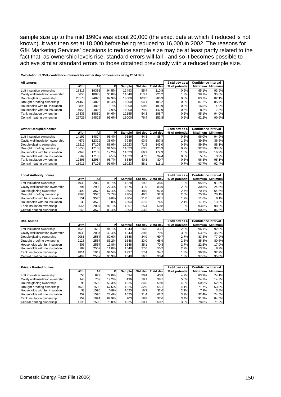sample size up to the mid 1990s was about 20,000 (the exact date at which it reduced is not known). It was then set at 18,000 before being reduced to 16,000 in 2002. The reasons for GfK Marketing Services' decisions to reduce sample size may be at least partly related to the fact that, as ownership levels rise, standard errors will fall - and so it becomes possible to achieve similar standard errors to those obtained previously with a reduced sample size.

**Calculation of 95% confidence intervals for ownership of measures using 2004 data**

| All tenures                      |       |       |       |        |        |                   | 2 std dev as al | <b>Confidence interval</b> |                |
|----------------------------------|-------|-------|-------|--------|--------|-------------------|-----------------|----------------------------|----------------|
|                                  | With  | All   | Р     | Sample |        | Std dev 2 std dev | % of potential  | <b>Maximum</b>             | <b>Minimum</b> |
|                                  |       |       |       |        |        |                   |                 |                            |                |
| Loft insulation ownership        | 18315 | 19383 | 94.5% | 12493  | 55.4   | 110.8             | 0.6%            | 95.1%                      | 93.9%          |
| Cavity wall insulation ownership | 6655  | 18073 | 36.8% | 11648  | 113.1  | 226.2             | 1.3%            | 38.1%                      | 35.6%          |
| Double glazing ownership         | 20578 | 24825 | 82.9% | 16000  | 103.5  | 206.9             | 0.8%            | 83.7% l                    | 82.1%          |
| Draught proofing ownership       | 21458 | 24825 | 86.4% | 16000  | 94.1   | 188.2             | 0.8%            | 87.2%                      | 85.7%          |
| Households with full insulation  | 3895  | 24825 | 15.7% | 16000  | 99.9   | 199.9             | 0.8%            | 16.5%                      | 14.9%          |
| Households with no insulation    | 1953  | 24825 | 7.9%  | 16000  | 74.0 l | 147.9             | 0.6%            | 8.5%                       | 7.3%           |
| Tank insulation ownership        | 17833 | 18860 | 94.6% | 12155  | 54.3   | 108.7             | 0.6%            | 95.1%                      | 94.0%          |
| Central heating ownership        | 22729 | 24825 | 91.6% | 16000  | 76.4   | 152.8             | 0.6%            | 92.2%                      | 90.9%          |

| <b>Owner Occupied homes</b>      |       |       |          |         |      |                   | 2 std dev as a | <b>Confidence interval</b> |                |
|----------------------------------|-------|-------|----------|---------|------|-------------------|----------------|----------------------------|----------------|
|                                  | With  | All   |          | Samplel |      | Std dev 2 std dev | % of potential | <b>Maximum</b>             | <b>Minimum</b> |
| Loft insulation ownership        | 14197 | 14874 | $95.4\%$ | 9586    | 44.3 | 88.7              | 0.6%           | $96.0\%$                   | 94.9%          |
| Cavity wall insulation ownership | 4679  | 12312 | 38.0%    | 7935    | 93.9 | 187.8             | 1.5%           | 39.5%                      | 36.5%          |
| Double glazing ownership         | 15212 | 17103 | 88.9%    | 11023   | 71.5 | 143.0             | 0.8%           | 89.8%                      | 88.1%          |
| Draught proofing ownership       | 15656 | 17103 | 91.5%    | 11023   | 63.5 | 126.9             | 0.7%           | 92.3%                      | 90.8%          |
| Households with full insulation  | 2948  | 17103 | 17.2%    | 11023   | 86.1 | 172.3             | 1.0%           | 18.2%                      | 16.2%          |
| Households with no insulation    | 767   | 17103 | 4.5%     | 11023   | 47.2 | 94.4              | 0.6%           | 5.0%                       | 3.9%           |
| Tank insulation ownership        | 12395 | 12954 | $95.7\%$ | 8349    | 40.3 | 80.7              | 0.6%           | 96.3%                      | 95.1%          |
| Central heating ownership        | 15911 | 17103 | 93.0%    | 11023   | 58.1 | 116.1             | 0.7%           | 93.7%                      | 92.4%          |

| <b>Local Authority homes</b>     |      |            |          |        |                   |                   | 2 std dev as a | Confidence interval |                |
|----------------------------------|------|------------|----------|--------|-------------------|-------------------|----------------|---------------------|----------------|
|                                  | With | <b>All</b> |          | Sample |                   | Std dev 2 std dev | % of potential | Maximum             | <b>Minimum</b> |
| Loft insulation ownership        | 1930 | 2060       | 93.7%    | 1328   | 19.2 <sub>1</sub> | 38.5              | 1.9%           | $95.6\%$            | 91.8%          |
| Cavity wall insulation ownership | 797  | 2909       | 27.4%    | 1875   | 41.9              | 83.9              | 2.9%           | 30.3%               | 24.5%          |
| Double glazing ownership         | 2409 | 3575       | 67.4%    | 2304   | 48.9              | 97.8              | 2.7%           | 70.1% l             | 64.6%          |
| Draught proofing ownership       | 2598 | 3575       | 72.7% l  | 2304   | 46.5              | 92.9              | 2.6%           | 75.3%               | 70.1%          |
| Households with full insulation  | 351  | 3575       | 9.8%     | 2304   | 31.01             | 62.1              | 1.7%           | 11.6% l             | 8.1%           |
| Households with no insulation    | 538  | 3575       | $15.0\%$ | 2304   | 37.3              | 74.6              | 2.1%           | 17.1% l             | 13.0%          |
| Tank insulation ownership        | 2667 | 2897       | 92.1%    | 1867   | 25.4              | 50.8              | 1.8%           | 93.8%               | 90.3%          |
| Central heating ownership        | 3162 | 3575       | 88.4%    | 2304   | 33.3              | 66.7              | 1.9%           | 90.3%               | 86.6%          |

| <b>RSL homes</b>                 |      |      |       |         |                   |                   | 2 std dev as a | <b>Confidence interval</b> |                |
|----------------------------------|------|------|-------|---------|-------------------|-------------------|----------------|----------------------------|----------------|
|                                  | With | All  |       | Samplel |                   | Std dev 2 std dev | % of potential | <b>Maximum</b>             | <b>Minimum</b> |
| Loft insulation ownership        | 1523 | 1619 | 94.1% | 1043    | 16.6              | 33.1              | 2.0%           | 96.1%                      | $92.0\%$       |
| Cavity wall insulation ownership | 1030 | 2084 | 49.4% | 1343    | 39.8              | 79.6              | 3.8%           | 53.2%                      | 45.6%          |
| Double glazing ownership         | 2061 | 2557 | 80.6% | 1648    | 34.9              | 69.7              | 2.7%           | 83.3%                      | 77.9%          |
| Draught proofing ownership       | 2128 | 2557 | 83.2% | 1648    | 33.0 <sub>1</sub> | 65.9              | 2.6%           | 85.8%                      | $80.6\%$       |
| Households with full insulation  | 506  | 2557 | 19.8% | 1648    | 35.1              | 70.3              | 2.7%           | 22.5%                      | 17.0%          |
| Households with no insulation    | 282  | 2557 | 11.0% | 1648    | 27.6              | 55.2              | 2.2%           | $13.2\%$                   | 8.9%           |
| Tank insulation ownership        | 1814 | 1919 | 94.5% | 1237    | 17.4              | 34.7              | 1.8%           | 96.3%                      | 92.7%          |
| Central heating ownership        | 2462 | 2557 | 96.3% | 1648    | 167               | 33.4              | 3%             | $97.6\%$                   | 95.0%          |

| <b>Private Rented homes</b>      |      |      |       |         |      |                   |                | Confidence interval |                |
|----------------------------------|------|------|-------|---------|------|-------------------|----------------|---------------------|----------------|
|                                  | With | All  | D     | Samplel |      | Std dev 2 std dev | % of potential | <b>Maximum</b>      | <b>Minimum</b> |
| Loft insulation ownership        | 655  | 829  | 79.0% | 534     | 20.4 | 40.9              | 4.9%           | 83.9%               | 74.1%          |
| Cavity wall insulation ownership | 148  | 769  | 19.2% | 496     | 19.1 | 38.1              | 5.0%           | 24.2%               | 14.3%          |
| Double glazing ownership         | 895  | 1590 | 56.3% | 1025    | 34.5 | 69.0              | 4.3%           | 60.6%               | 52.0%          |
| Draught proofing ownership       | 1075 | 1590 | 67.6% | 1025    | 32.5 | 65.1              | 4.1%           | 71.7% l             | 63.5%          |
| Households with full insulation  | 93   | 1590 | 5.8%  | 1025    | 16.3 | 32.6              | 2.1%           | 7.9%                | 3.8%           |
| Households with no insulation    | 452  | 1590 | 28.4% | 1025    | 31.4 | 62.7              | 3.9%           | 32.4%               | 24.5%          |
| Tank insulation ownership        | 959  | 1091 | 87.9% | 703     | 18.8 | 37.6              | 3.4%           | 91.3%               | 84.5%          |
| Central heating ownership        | 1193 | 1590 | 75.0% | 1025    | 30.1 | 60.2              | 3.8%           | 78.8%               | 71.2%          |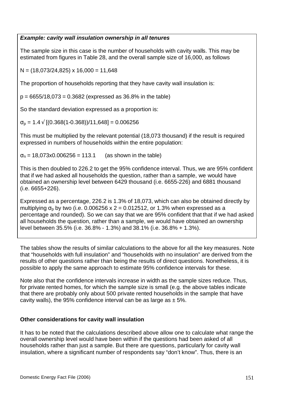#### *Example: cavity wall insulation ownership in all tenures*

The sample size in this case is the number of households with cavity walls. This may be estimated from figures in Table 28, and the overall sample size of 16,000, as follows

 $N = (18,073/24,825) \times 16,000 = 11,648$ 

The proportion of households reporting that they have cavity wall insulation is:

 $p = 6655/18,073 = 0.3682$  (expressed as 36.8% in the table)

So the standard deviation expressed as a proportion is:

 $\sigma_{\rm p}$  = 1.4  $\sqrt{(0.368(1-0.368))/11,648}$  = 0.006256

This must be multiplied by the relevant potential (18,073 thousand) if the result is required expressed in numbers of households within the entire population:

 $\sigma_n$  = 18,073x0.006256 = 113.1 (as shown in the table)

This is then doubled to 226.2 to get the 95% confidence interval. Thus, we are 95% confident that if we had asked all households the question, rather than a sample, we would have obtained an ownership level between 6429 thousand (i.e. 6655-226) and 6881 thousand (i.e. 6655+226).

Expressed as a percentage, 226.2 is 1.3% of 18,073, which can also be obtained directly by multiplying  $\sigma_{\rm o}$  by two (i.e. 0.006256 x 2 = 0.012512, or 1.3% when expressed as a percentage and rounded). So we can say that we are 95% confident that that if we had asked all households the question, rather than a sample, we would have obtained an ownership level between 35.5% (i.e. 36.8% - 1.3%) and 38.1% (i.e. 36.8% + 1.3%).

The tables show the results of similar calculations to the above for all the key measures. Note that "households with full insulation" and "households with no insulation" are derived from the results of other questions rather than being the results of direct questions. Nonetheless, it is possible to apply the same approach to estimate 95% confidence intervals for these.

Note also that the confidence intervals increase in width as the sample sizes reduce. Thus, for private rented homes, for which the sample size is small (e.g. the above tables indicate that there are probably only about 500 private rented households in the sample that have cavity walls), the 95% confidence interval can be as large as  $\pm$  5%.

### **Other considerations for cavity wall insulation**

It has to be noted that the calculations described above allow one to calculate what range the overall ownership level would have been within if the questions had been asked of all households rather than just a sample. But there are questions, particularly for cavity wall insulation, where a significant number of respondents say "don't know". Thus, there is an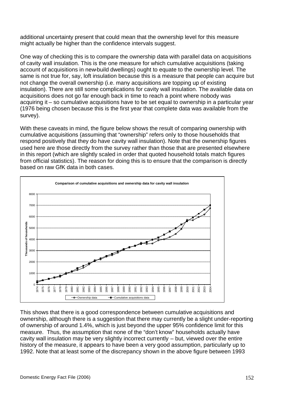additional uncertainty present that could mean that the ownership level for this measure might actually be higher than the confidence intervals suggest.

One way of checking this is to compare the ownership data with parallel data on acquisitions of cavity wall insulation. This is the one measure for which cumulative acquisitions (taking account of acquisitions in new-build dwellings) ought to equate to the ownership level. The same is not true for, say, loft insulation because this is a measure that people can acquire but not change the overall ownership (i.e. many acquisitions are topping up of existing insulation). There are still some complications for cavity wall insulation. The available data on acquisitions does not go far enough back in time to reach a point where nobody was acquiring it – so cumulative acquisitions have to be set equal to ownership in a particular year (1976 being chosen because this is the first year that complete data was available from the survey).

With these caveats in mind, the figure below shows the result of comparing ownership with cumulative acquisitions (assuming that "ownership" refers only to those households that respond positively that they do have cavity wall insulation). Note that the ownership figures used here are those directly from the survey rather than those that are presented elsewhere in this report (which are slightly scaled in order that quoted household totals match figures from official statistics). The reason for doing this is to ensure that the comparison is directly based on raw GfK data in both cases.



This shows that there is a good correspondence between cumulative acquisitions and ownership, although there is a suggestion that there may currently be a slight under-reporting of ownership of around 1.4%, which is just beyond the upper 95% confidence limit for this measure. Thus, the assumption that none of the "don't know" households actually have cavity wall insulation may be very slightly incorrect currently – but, viewed over the entire history of the measure, it appears to have been a very good assumption, particularly up to 1992. Note that at least some of the discrepancy shown in the above figure between 1993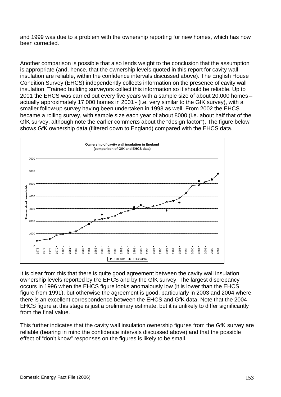and 1999 was due to a problem with the ownership reporting for new homes, which has now been corrected.

Another comparison is possible that also lends weight to the conclusion that the assumption is appropriate (and, hence, that the ownership levels quoted in this report for cavity wall insulation are reliable, within the confidence intervals discussed above). The English House Condition Survey (EHCS) independently collects information on the presence of cavity wall insulation. Trained building surveyors collect this information so it should be reliable. Up to 2001 the EHCS was carried out every five years with a sample size of about 20,000 homes – actually approximately 17,000 homes in 2001 - (i.e. very similar to the GfK survey), with a smaller follow-up survey having been undertaken in 1998 as well. From 2002 the EHCS became a rolling survey, with sample size each year of about 8000 (i.e. about half that of the GfK survey, although note the earlier comments about the "design factor"). The figure below shows GfK ownership data (filtered down to England) compared with the EHCS data.



It is clear from this that there is quite good agreement between the cavity wall insulation ownership levels reported by the EHCS and by the GfK survey. The largest discrepancy occurs in 1996 when the EHCS figure looks anomalously low (it is lower than the EHCS figure from 1991), but otherwise the agreement is good, particularly in 2003 and 2004 where there is an excellent correspondence between the EHCS and GfK data. Note that the 2004 EHCS figure at this stage is just a preliminary estimate, but it is unlikely to differ significantly from the final value.

This further indicates that the cavity wall insulation ownership figures from the GfK survey are reliable (bearing in mind the confidence intervals discussed above) and that the possible effect of "don't know" responses on the figures is likely to be small.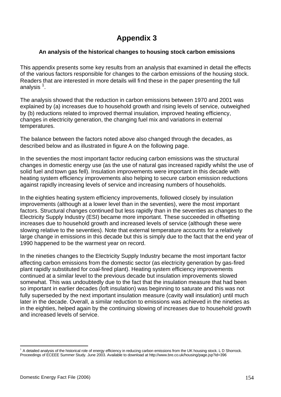# **Appendix 3**

### **An analysis of the historical changes to housing stock carbon emissions**

This appendix presents some key results from an analysis that examined in detail the effects of the various factors responsible for changes to the carbon emissions of the housing stock. Readers that are interested in more details will find these in the paper presenting the full analysis  $^{\rm 1}.$ 

The analysis showed that the reduction in carbon emissions between 1970 and 2001 was explained by (a) increases due to household growth and rising levels of service, outweighed by (b) reductions related to improved thermal insulation, improved heating efficiency, changes in electricity generation, the changing fuel mix and variations in external temperatures.

The balance between the factors noted above also changed through the decades, as described below and as illustrated in figure A on the following page.

In the seventies the most important factor reducing carbon emissions was the structural changes in domestic energy use (as the use of natural gas increased rapidly whilst the use of solid fuel and town gas fell). Insulation improvements were important in this decade with heating system efficiency improvements also helping to secure carbon emission reductions against rapidly increasing levels of service and increasing numbers of households.

In the eighties heating system efficiency improvements, followed closely by insulation improvements (although at a lower level than in the seventies), were the most important factors. Structural changes continued but less rapidly than in the seventies as changes to the Electricity Supply Industry (ESI) became more important. These succeeded in offsetting increases due to household growth and increased levels of service (although these were slowing relative to the seventies). Note that external temperature accounts for a relatively large change in emissions in this decade but this is simply due to the fact that the end year of 1990 happened to be the warmest year on record.

In the nineties changes to the Electricity Supply Industry became the most important factor affecting carbon emissions from the domestic sector (as electricity generation by gas-fired plant rapidly substituted for coal-fired plant). Heating system efficiency improvements continued at a similar level to the previous decade but insulation improvements slowed somewhat. This was undoubtedly due to the fact that the insulation measure that had been so important in earlier decades (loft insulation) was beginning to saturate and this was not fully superseded by the next important insulation measure (cavity wall insulation) until much later in the decade. Overall, a similar reduction to emissions was achieved in the nineties as in the eighties, helped again by the continuing slowing of increases due to household growth and increased levels of service.

l

 $<sup>1</sup>$  A detailed analysis of the historical role of energy efficiency in reducing carbon emissions from the UK housing stock. L D Shorrock.</sup> Proceedings of ECEEE Summer Study. June 2003. Available to download at http://www.bre.co.uk/housing/page.jsp?id=396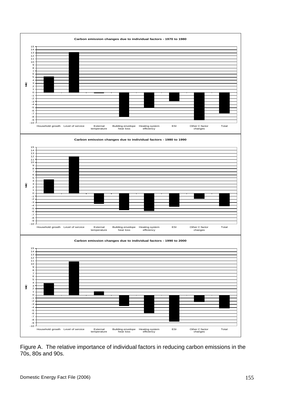

Figure A. The relative importance of individual factors in reducing carbon emissions in the 70s, 80s and 90s.